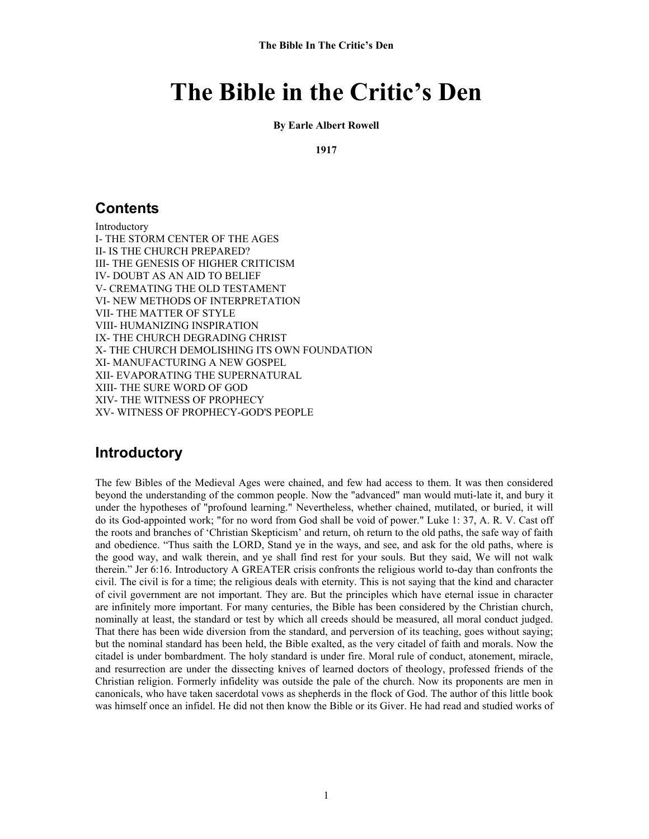#### **By Earle Albert Rowell**

**1917** 

### **Contents**

Introductory I- THE STORM CENTER OF THE AGES II- IS THE CHURCH PREPARED? III- THE GENESIS OF HIGHER CRITICISM IV- DOUBT AS AN AID TO BELIEF V- CREMATING THE OLD TESTAMENT VI- NEW METHODS OF INTERPRETATION VII- THE MATTER OF STYLE VIII- HUMANIZING INSPIRATION IX- THE CHURCH DEGRADING CHRIST X- THE CHURCH DEMOLISHING ITS OWN FOUNDATION XI- MANUFACTURING A NEW GOSPEL XII- EVAPORATING THE SUPERNATURAL XIII- THE SURE WORD OF GOD XIV- THE WITNESS OF PROPHECY XV- WITNESS OF PROPHECY-GOD'S PEOPLE

# **Introductory**

The few Bibles of the Medieval Ages were chained, and few had access to them. It was then considered beyond the understanding of the common people. Now the "advanced" man would muti-late it, and bury it under the hypotheses of "profound learning." Nevertheless, whether chained, mutilated, or buried, it will do its God-appointed work; "for no word from God shall be void of power." Luke 1: 37, A. R. V. Cast off the roots and branches of 'Christian Skepticism' and return, oh return to the old paths, the safe way of faith and obedience. "Thus saith the LORD, Stand ye in the ways, and see, and ask for the old paths, where is the good way, and walk therein, and ye shall find rest for your souls. But they said, We will not walk therein." Jer 6:16. Introductory A GREATER crisis confronts the religious world to-day than confronts the civil. The civil is for a time; the religious deals with eternity. This is not saying that the kind and character of civil government are not important. They are. But the principles which have eternal issue in character are infinitely more important. For many centuries, the Bible has been considered by the Christian church, nominally at least, the standard or test by which all creeds should be measured, all moral conduct judged. That there has been wide diversion from the standard, and perversion of its teaching, goes without saying; but the nominal standard has been held, the Bible exalted, as the very citadel of faith and morals. Now the citadel is under bombardment. The holy standard is under fire. Moral rule of conduct, atonement, miracle, and resurrection are under the dissecting knives of learned doctors of theology, professed friends of the Christian religion. Formerly infidelity was outside the pale of the church. Now its proponents are men in canonicals, who have taken sacerdotal vows as shepherds in the flock of God. The author of this little book was himself once an infidel. He did not then know the Bible or its Giver. He had read and studied works of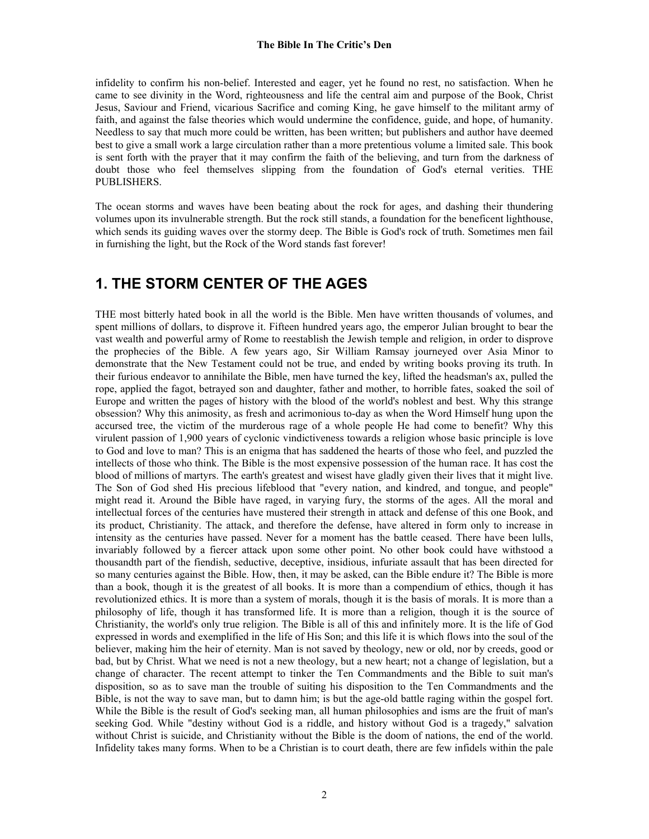infidelity to confirm his non-belief. Interested and eager, yet he found no rest, no satisfaction. When he came to see divinity in the Word, righteousness and life the central aim and purpose of the Book, Christ Jesus, Saviour and Friend, vicarious Sacrifice and coming King, he gave himself to the militant army of faith, and against the false theories which would undermine the confidence, guide, and hope, of humanity. Needless to say that much more could be written, has been written; but publishers and author have deemed best to give a small work a large circulation rather than a more pretentious volume a limited sale. This book is sent forth with the prayer that it may confirm the faith of the believing, and turn from the darkness of doubt those who feel themselves slipping from the foundation of God's eternal verities. THE PUBLISHERS.

The ocean storms and waves have been beating about the rock for ages, and dashing their thundering volumes upon its invulnerable strength. But the rock still stands, a foundation for the beneficent lighthouse, which sends its guiding waves over the stormy deep. The Bible is God's rock of truth. Sometimes men fail in furnishing the light, but the Rock of the Word stands fast forever!

# **1. THE STORM CENTER OF THE AGES**

THE most bitterly hated book in all the world is the Bible. Men have written thousands of volumes, and spent millions of dollars, to disprove it. Fifteen hundred years ago, the emperor Julian brought to bear the vast wealth and powerful army of Rome to reestablish the Jewish temple and religion, in order to disprove the prophecies of the Bible. A few years ago, Sir William Ramsay journeyed over Asia Minor to demonstrate that the New Testament could not be true, and ended by writing books proving its truth. In their furious endeavor to annihilate the Bible, men have turned the key, lifted the headsman's ax, pulled the rope, applied the fagot, betrayed son and daughter, father and mother, to horrible fates, soaked the soil of Europe and written the pages of history with the blood of the world's noblest and best. Why this strange obsession? Why this animosity, as fresh and acrimonious to-day as when the Word Himself hung upon the accursed tree, the victim of the murderous rage of a whole people He had come to benefit? Why this virulent passion of 1,900 years of cyclonic vindictiveness towards a religion whose basic principle is love to God and love to man? This is an enigma that has saddened the hearts of those who feel, and puzzled the intellects of those who think. The Bible is the most expensive possession of the human race. It has cost the blood of millions of martyrs. The earth's greatest and wisest have gladly given their lives that it might live. The Son of God shed His precious lifeblood that "every nation, and kindred, and tongue, and people" might read it. Around the Bible have raged, in varying fury, the storms of the ages. All the moral and intellectual forces of the centuries have mustered their strength in attack and defense of this one Book, and its product, Christianity. The attack, and therefore the defense, have altered in form only to increase in intensity as the centuries have passed. Never for a moment has the battle ceased. There have been lulls, invariably followed by a fiercer attack upon some other point. No other book could have withstood a thousandth part of the fiendish, seductive, deceptive, insidious, infuriate assault that has been directed for so many centuries against the Bible. How, then, it may be asked, can the Bible endure it? The Bible is more than a book, though it is the greatest of all books. It is more than a compendium of ethics, though it has revolutionized ethics. It is more than a system of morals, though it is the basis of morals. It is more than a philosophy of life, though it has transformed life. It is more than a religion, though it is the source of Christianity, the world's only true religion. The Bible is all of this and infinitely more. It is the life of God expressed in words and exemplified in the life of His Son; and this life it is which flows into the soul of the believer, making him the heir of eternity. Man is not saved by theology, new or old, nor by creeds, good or bad, but by Christ. What we need is not a new theology, but a new heart; not a change of legislation, but a change of character. The recent attempt to tinker the Ten Commandments and the Bible to suit man's disposition, so as to save man the trouble of suiting his disposition to the Ten Commandments and the Bible, is not the way to save man, but to damn him; is but the age-old battle raging within the gospel fort. While the Bible is the result of God's seeking man, all human philosophies and isms are the fruit of man's seeking God. While "destiny without God is a riddle, and history without God is a tragedy," salvation without Christ is suicide, and Christianity without the Bible is the doom of nations, the end of the world. Infidelity takes many forms. When to be a Christian is to court death, there are few infidels within the pale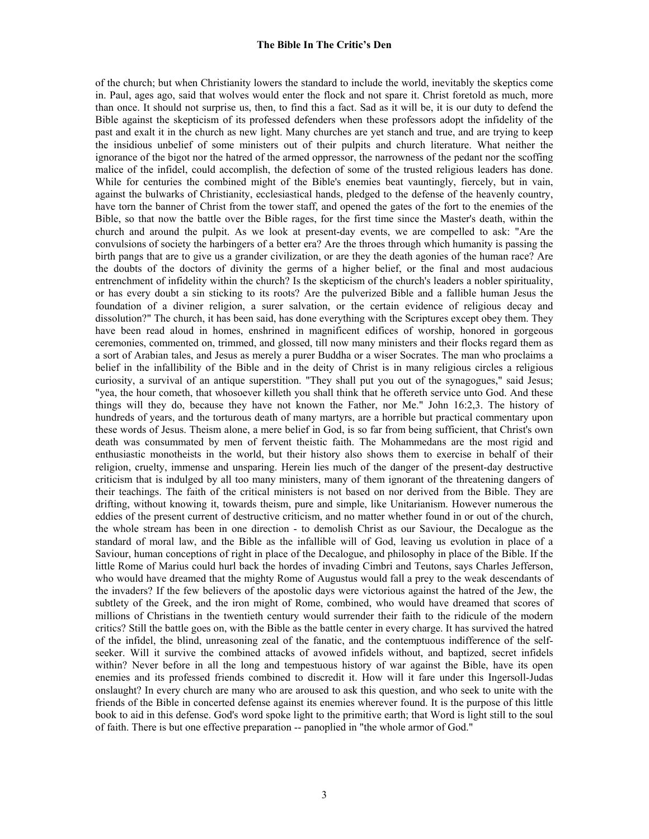of the church; but when Christianity lowers the standard to include the world, inevitably the skeptics come in. Paul, ages ago, said that wolves would enter the flock and not spare it. Christ foretold as much, more than once. It should not surprise us, then, to find this a fact. Sad as it will be, it is our duty to defend the Bible against the skepticism of its professed defenders when these professors adopt the infidelity of the past and exalt it in the church as new light. Many churches are yet stanch and true, and are trying to keep the insidious unbelief of some ministers out of their pulpits and church literature. What neither the ignorance of the bigot nor the hatred of the armed oppressor, the narrowness of the pedant nor the scoffing malice of the infidel, could accomplish, the defection of some of the trusted religious leaders has done. While for centuries the combined might of the Bible's enemies beat vauntingly, fiercely, but in vain, against the bulwarks of Christianity, ecclesiastical hands, pledged to the defense of the heavenly country, have torn the banner of Christ from the tower staff, and opened the gates of the fort to the enemies of the Bible, so that now the battle over the Bible rages, for the first time since the Master's death, within the church and around the pulpit. As we look at present-day events, we are compelled to ask: "Are the convulsions of society the harbingers of a better era? Are the throes through which humanity is passing the birth pangs that are to give us a grander civilization, or are they the death agonies of the human race? Are the doubts of the doctors of divinity the germs of a higher belief, or the final and most audacious entrenchment of infidelity within the church? Is the skepticism of the church's leaders a nobler spirituality, or has every doubt a sin sticking to its roots? Are the pulverized Bible and a fallible human Jesus the foundation of a diviner religion, a surer salvation, or the certain evidence of religious decay and dissolution?" The church, it has been said, has done everything with the Scriptures except obey them. They have been read aloud in homes, enshrined in magnificent edifices of worship, honored in gorgeous ceremonies, commented on, trimmed, and glossed, till now many ministers and their flocks regard them as a sort of Arabian tales, and Jesus as merely a purer Buddha or a wiser Socrates. The man who proclaims a belief in the infallibility of the Bible and in the deity of Christ is in many religious circles a religious curiosity, a survival of an antique superstition. "They shall put you out of the synagogues," said Jesus; "yea, the hour cometh, that whosoever killeth you shall think that he offereth service unto God. And these things will they do, because they have not known the Father, nor Me." John 16:2,3. The history of hundreds of years, and the torturous death of many martyrs, are a horrible but practical commentary upon these words of Jesus. Theism alone, a mere belief in God, is so far from being sufficient, that Christ's own death was consummated by men of fervent theistic faith. The Mohammedans are the most rigid and enthusiastic monotheists in the world, but their history also shows them to exercise in behalf of their religion, cruelty, immense and unsparing. Herein lies much of the danger of the present-day destructive criticism that is indulged by all too many ministers, many of them ignorant of the threatening dangers of their teachings. The faith of the critical ministers is not based on nor derived from the Bible. They are drifting, without knowing it, towards theism, pure and simple, like Unitarianism. However numerous the eddies of the present current of destructive criticism, and no matter whether found in or out of the church, the whole stream has been in one direction - to demolish Christ as our Saviour, the Decalogue as the standard of moral law, and the Bible as the infallible will of God, leaving us evolution in place of a Saviour, human conceptions of right in place of the Decalogue, and philosophy in place of the Bible. If the little Rome of Marius could hurl back the hordes of invading Cimbri and Teutons, says Charles Jefferson, who would have dreamed that the mighty Rome of Augustus would fall a prey to the weak descendants of the invaders? If the few believers of the apostolic days were victorious against the hatred of the Jew, the subtlety of the Greek, and the iron might of Rome, combined, who would have dreamed that scores of millions of Christians in the twentieth century would surrender their faith to the ridicule of the modern critics? Still the battle goes on, with the Bible as the battle center in every charge. It has survived the hatred of the infidel, the blind, unreasoning zeal of the fanatic, and the contemptuous indifference of the selfseeker. Will it survive the combined attacks of avowed infidels without, and baptized, secret infidels within? Never before in all the long and tempestuous history of war against the Bible, have its open enemies and its professed friends combined to discredit it. How will it fare under this Ingersoll-Judas onslaught? In every church are many who are aroused to ask this question, and who seek to unite with the friends of the Bible in concerted defense against its enemies wherever found. It is the purpose of this little book to aid in this defense. God's word spoke light to the primitive earth; that Word is light still to the soul of faith. There is but one effective preparation -- panoplied in "the whole armor of God."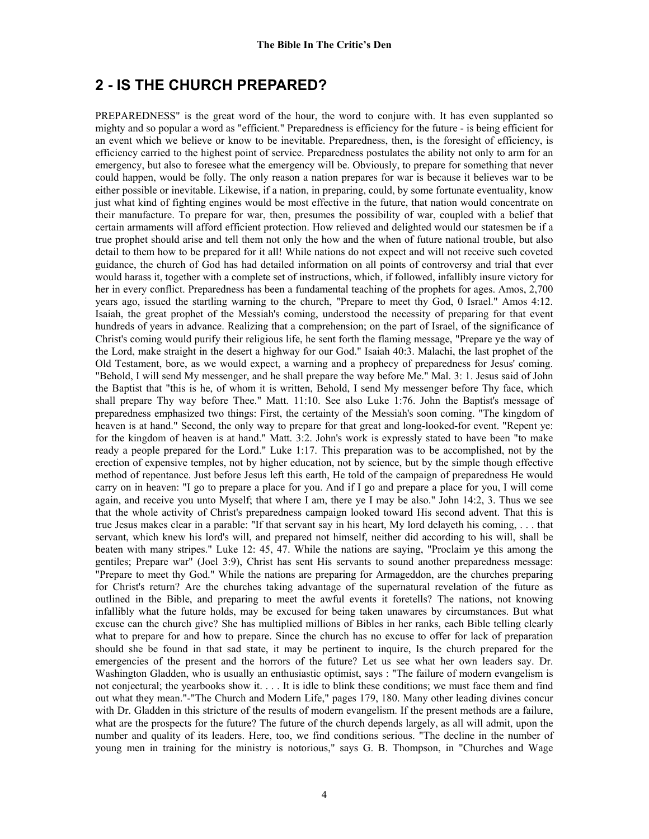# **2 - IS THE CHURCH PREPARED?**

PREPAREDNESS" is the great word of the hour, the word to conjure with. It has even supplanted so mighty and so popular a word as "efficient." Preparedness is efficiency for the future - is being efficient for an event which we believe or know to be inevitable. Preparedness, then, is the foresight of efficiency, is efficiency carried to the highest point of service. Preparedness postulates the ability not only to arm for an emergency, but also to foresee what the emergency will be. Obviously, to prepare for something that never could happen, would be folly. The only reason a nation prepares for war is because it believes war to be either possible or inevitable. Likewise, if a nation, in preparing, could, by some fortunate eventuality, know just what kind of fighting engines would be most effective in the future, that nation would concentrate on their manufacture. To prepare for war, then, presumes the possibility of war, coupled with a belief that certain armaments will afford efficient protection. How relieved and delighted would our statesmen be if a true prophet should arise and tell them not only the how and the when of future national trouble, but also detail to them how to be prepared for it all! While nations do not expect and will not receive such coveted guidance, the church of God has had detailed information on all points of controversy and trial that ever would harass it, together with a complete set of instructions, which, if followed, infallibly insure victory for her in every conflict. Preparedness has been a fundamental teaching of the prophets for ages. Amos, 2,700 years ago, issued the startling warning to the church, "Prepare to meet thy God, 0 Israel." Amos 4:12. Isaiah, the great prophet of the Messiah's coming, understood the necessity of preparing for that event hundreds of years in advance. Realizing that a comprehension; on the part of Israel, of the significance of Christ's coming would purify their religious life, he sent forth the flaming message, "Prepare ye the way of the Lord, make straight in the desert a highway for our God." Isaiah 40:3. Malachi, the last prophet of the Old Testament, bore, as we would expect, a warning and a prophecy of preparedness for Jesus' coming. "Behold, I will send My messenger, and he shall prepare the way before Me." Mal. 3: 1. Jesus said of John the Baptist that "this is he, of whom it is written, Behold, I send My messenger before Thy face, which shall prepare Thy way before Thee." Matt. 11:10. See also Luke 1:76. John the Baptist's message of preparedness emphasized two things: First, the certainty of the Messiah's soon coming. "The kingdom of heaven is at hand." Second, the only way to prepare for that great and long-looked-for event. "Repent ye: for the kingdom of heaven is at hand." Matt. 3:2. John's work is expressly stated to have been "to make ready a people prepared for the Lord." Luke 1:17. This preparation was to be accomplished, not by the erection of expensive temples, not by higher education, not by science, but by the simple though effective method of repentance. Just before Jesus left this earth, He told of the campaign of preparedness He would carry on in heaven: "I go to prepare a place for you. And if I go and prepare a place for you, I will come again, and receive you unto Myself; that where I am, there ye I may be also." John 14:2, 3. Thus we see that the whole activity of Christ's preparedness campaign looked toward His second advent. That this is true Jesus makes clear in a parable: "If that servant say in his heart, My lord delayeth his coming, . . . that servant, which knew his lord's will, and prepared not himself, neither did according to his will, shall be beaten with many stripes." Luke 12: 45, 47. While the nations are saying, "Proclaim ye this among the gentiles; Prepare war" (Joel 3:9), Christ has sent His servants to sound another preparedness message: "Prepare to meet thy God." While the nations are preparing for Armageddon, are the churches preparing for Christ's return? Are the churches taking advantage of the supernatural revelation of the future as outlined in the Bible, and preparing to meet the awful events it foretells? The nations, not knowing infallibly what the future holds, may be excused for being taken unawares by circumstances. But what excuse can the church give? She has multiplied millions of Bibles in her ranks, each Bible telling clearly what to prepare for and how to prepare. Since the church has no excuse to offer for lack of preparation should she be found in that sad state, it may be pertinent to inquire, Is the church prepared for the emergencies of the present and the horrors of the future? Let us see what her own leaders say. Dr. Washington Gladden, who is usually an enthusiastic optimist, says : "The failure of modern evangelism is not conjectural; the yearbooks show it. . . . It is idle to blink these conditions; we must face them and find out what they mean."-"The Church and Modern Life," pages 179, 180. Many other leading divines concur with Dr. Gladden in this stricture of the results of modern evangelism. If the present methods are a failure, what are the prospects for the future? The future of the church depends largely, as all will admit, upon the number and quality of its leaders. Here, too, we find conditions serious. "The decline in the number of young men in training for the ministry is notorious," says G. B. Thompson, in "Churches and Wage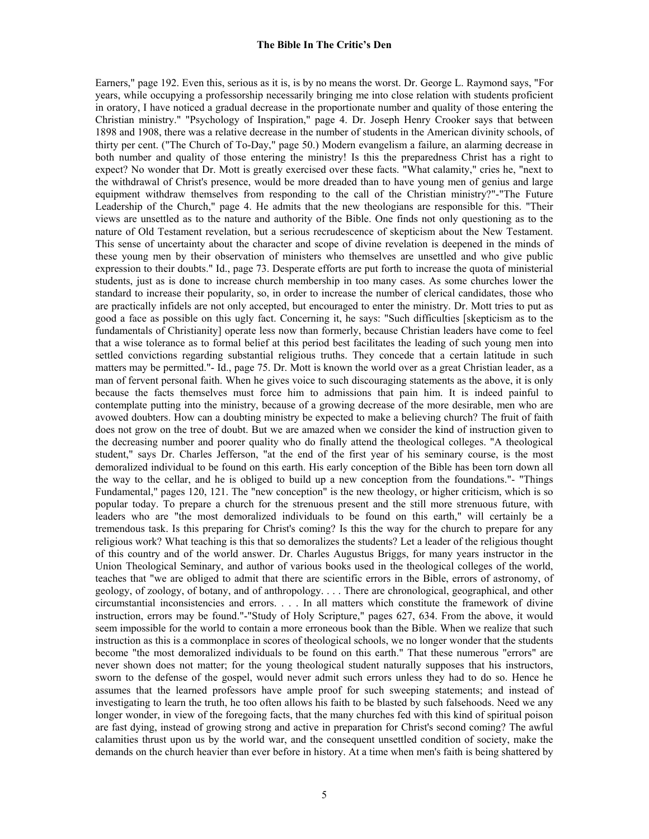Earners," page 192. Even this, serious as it is, is by no means the worst. Dr. George L. Raymond says, "For years, while occupying a professorship necessarily bringing me into close relation with students proficient in oratory, I have noticed a gradual decrease in the proportionate number and quality of those entering the Christian ministry." "Psychology of Inspiration," page 4. Dr. Joseph Henry Crooker says that between 1898 and 1908, there was a relative decrease in the number of students in the American divinity schools, of thirty per cent. ("The Church of To-Day," page 50.) Modern evangelism a failure, an alarming decrease in both number and quality of those entering the ministry! Is this the preparedness Christ has a right to expect? No wonder that Dr. Mott is greatly exercised over these facts. "What calamity," cries he, "next to the withdrawal of Christ's presence, would be more dreaded than to have young men of genius and large equipment withdraw themselves from responding to the call of the Christian ministry?"-"The Future Leadership of the Church," page 4. He admits that the new theologians are responsible for this. "Their views are unsettled as to the nature and authority of the Bible. One finds not only questioning as to the nature of Old Testament revelation, but a serious recrudescence of skepticism about the New Testament. This sense of uncertainty about the character and scope of divine revelation is deepened in the minds of these young men by their observation of ministers who themselves are unsettled and who give public expression to their doubts." Id., page 73. Desperate efforts are put forth to increase the quota of ministerial students, just as is done to increase church membership in too many cases. As some churches lower the standard to increase their popularity, so, in order to increase the number of clerical candidates, those who are practically infidels are not only accepted, but encouraged to enter the ministry. Dr. Mott tries to put as good a face as possible on this ugly fact. Concerning it, he says: "Such difficulties [skepticism as to the fundamentals of Christianity] operate less now than formerly, because Christian leaders have come to feel that a wise tolerance as to formal belief at this period best facilitates the leading of such young men into settled convictions regarding substantial religious truths. They concede that a certain latitude in such matters may be permitted."- Id., page 75. Dr. Mott is known the world over as a great Christian leader, as a man of fervent personal faith. When he gives voice to such discouraging statements as the above, it is only because the facts themselves must force him to admissions that pain him. It is indeed painful to contemplate putting into the ministry, because of a growing decrease of the more desirable, men who are avowed doubters. How can a doubting ministry be expected to make a believing church? The fruit of faith does not grow on the tree of doubt. But we are amazed when we consider the kind of instruction given to the decreasing number and poorer quality who do finally attend the theological colleges. "A theological student," says Dr. Charles Jefferson, "at the end of the first year of his seminary course, is the most demoralized individual to be found on this earth. His early conception of the Bible has been torn down all the way to the cellar, and he is obliged to build up a new conception from the foundations."- "Things Fundamental," pages 120, 121. The "new conception" is the new theology, or higher criticism, which is so popular today. To prepare a church for the strenuous present and the still more strenuous future, with leaders who are "the most demoralized individuals to be found on this earth," will certainly be a tremendous task. Is this preparing for Christ's coming? Is this the way for the church to prepare for any religious work? What teaching is this that so demoralizes the students? Let a leader of the religious thought of this country and of the world answer. Dr. Charles Augustus Briggs, for many years instructor in the Union Theological Seminary, and author of various books used in the theological colleges of the world, teaches that "we are obliged to admit that there are scientific errors in the Bible, errors of astronomy, of geology, of zoology, of botany, and of anthropology. . . . There are chronological, geographical, and other circumstantial inconsistencies and errors. . . . In all matters which constitute the framework of divine instruction, errors may be found."-"Study of Holy Scripture," pages 627, 634. From the above, it would seem impossible for the world to contain a more erroneous book than the Bible. When we realize that such instruction as this is a commonplace in scores of theological schools, we no longer wonder that the students become "the most demoralized individuals to be found on this earth." That these numerous "errors" are never shown does not matter; for the young theological student naturally supposes that his instructors, sworn to the defense of the gospel, would never admit such errors unless they had to do so. Hence he assumes that the learned professors have ample proof for such sweeping statements; and instead of investigating to learn the truth, he too often allows his faith to be blasted by such falsehoods. Need we any longer wonder, in view of the foregoing facts, that the many churches fed with this kind of spiritual poison are fast dying, instead of growing strong and active in preparation for Christ's second coming? The awful calamities thrust upon us by the world war, and the consequent unsettled condition of society, make the demands on the church heavier than ever before in history. At a time when men's faith is being shattered by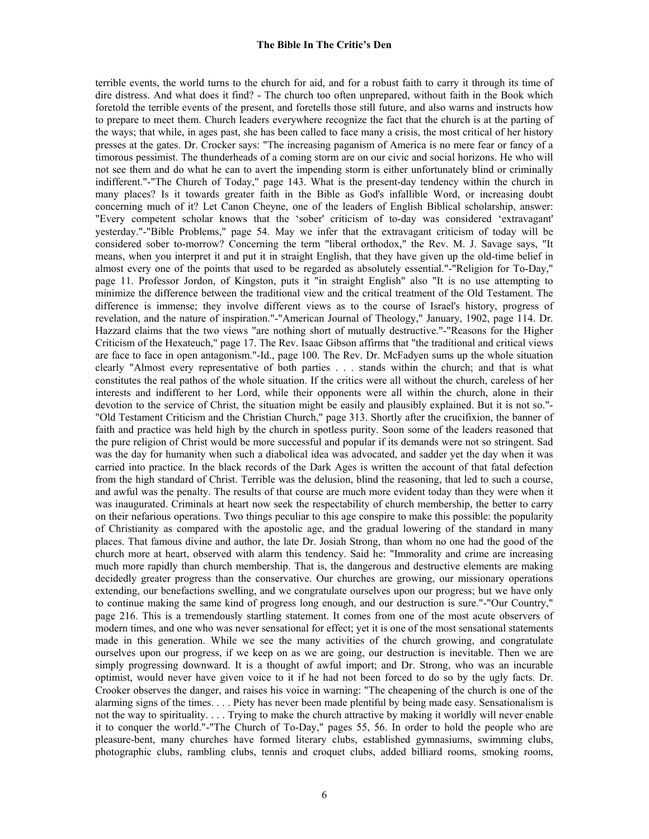terrible events, the world turns to the church for aid, and for a robust faith to carry it through its time of dire distress. And what does it find? - The church too often unprepared, without faith in the Book which foretold the terrible events of the present, and foretells those still future, and also warns and instructs how to prepare to meet them. Church leaders everywhere recognize the fact that the church is at the parting of the ways; that while, in ages past, she has been called to face many a crisis, the most critical of her history presses at the gates. Dr. Crocker says: "The increasing paganism of America is no mere fear or fancy of a timorous pessimist. The thunderheads of a coming storm are on our civic and social horizons. He who will not see them and do what he can to avert the impending storm is either unfortunately blind or criminally indifferent."-"The Church of Today," page 143. What is the present-day tendency within the church in many places? Is it towards greater faith in the Bible as God's infallible Word, or increasing doubt concerning much of it? Let Canon Cheyne, one of the leaders of English Biblical scholarship, answer: "Every competent scholar knows that the 'sober' criticism of to-day was considered 'extravagant' yesterday."-"Bible Problems," page 54. May we infer that the extravagant criticism of today will be considered sober to-morrow? Concerning the term "liberal orthodox," the Rev. M. J. Savage says, "It means, when you interpret it and put it in straight English, that they have given up the old-time belief in almost every one of the points that used to be regarded as absolutely essential."-"Religion for To-Day," page 11. Professor Jordon, of Kingston, puts it "in straight English" also "It is no use attempting to minimize the difference between the traditional view and the critical treatment of the Old Testament. The difference is immense; they involve different views as to the course of Israel's history, progress of revelation, and the nature of inspiration."-"American Journal of Theology," January, 1902, page 114. Dr. Hazzard claims that the two views "are nothing short of mutually destructive."-"Reasons for the Higher Criticism of the Hexateuch," page 17. The Rev. Isaac Gibson affirms that "the traditional and critical views are face to face in open antagonism."-Id., page 100. The Rev. Dr. McFadyen sums up the whole situation clearly "Almost every representative of both parties . . . stands within the church; and that is what constitutes the real pathos of the whole situation. If the critics were all without the church, careless of her interests and indifferent to her Lord, while their opponents were all within the church, alone in their devotion to the service of Christ, the situation might be easily and plausibly explained. But it is not so."- "Old Testament Criticism and the Christian Church," page 313. Shortly after the crucifixion, the banner of faith and practice was held high by the church in spotless purity. Soon some of the leaders reasoned that the pure religion of Christ would be more successful and popular if its demands were not so stringent. Sad was the day for humanity when such a diabolical idea was advocated, and sadder yet the day when it was carried into practice. In the black records of the Dark Ages is written the account of that fatal defection from the high standard of Christ. Terrible was the delusion, blind the reasoning, that led to such a course, and awful was the penalty. The results of that course are much more evident today than they were when it was inaugurated. Criminals at heart now seek the respectability of church membership, the better to carry on their nefarious operations. Two things peculiar to this age conspire to make this possible: the popularity of Christianity as compared with the apostolic age, and the gradual lowering of the standard in many places. That famous divine and author, the late Dr. Josiah Strong, than whom no one had the good of the church more at heart, observed with alarm this tendency. Said he: "Immorality and crime are increasing much more rapidly than church membership. That is, the dangerous and destructive elements are making decidedly greater progress than the conservative. Our churches are growing, our missionary operations extending, our benefactions swelling, and we congratulate ourselves upon our progress; but we have only to continue making the same kind of progress long enough, and our destruction is sure."-"Our Country," page 216. This is a tremendously startling statement. It comes from one of the most acute observers of modern times, and one who was never sensational for effect; yet it is one of the most sensational statements made in this generation. While we see the many activities of the church growing, and congratulate ourselves upon our progress, if we keep on as we are going, our destruction is inevitable. Then we are simply progressing downward. It is a thought of awful import; and Dr. Strong, who was an incurable optimist, would never have given voice to it if he had not been forced to do so by the ugly facts. Dr. Crooker observes the danger, and raises his voice in warning: "The cheapening of the church is one of the alarming signs of the times. . . . Piety has never been made plentiful by being made easy. Sensationalism is not the way to spirituality. . . . Trying to make the church attractive by making it worldly will never enable it to conquer the world."-"The Church of To-Day," pages 55, 56. In order to hold the people who are pleasure-bent, many churches have formed literary clubs, established gymnasiums, swimming clubs, photographic clubs, rambling clubs, tennis and croquet clubs, added billiard rooms, smoking rooms,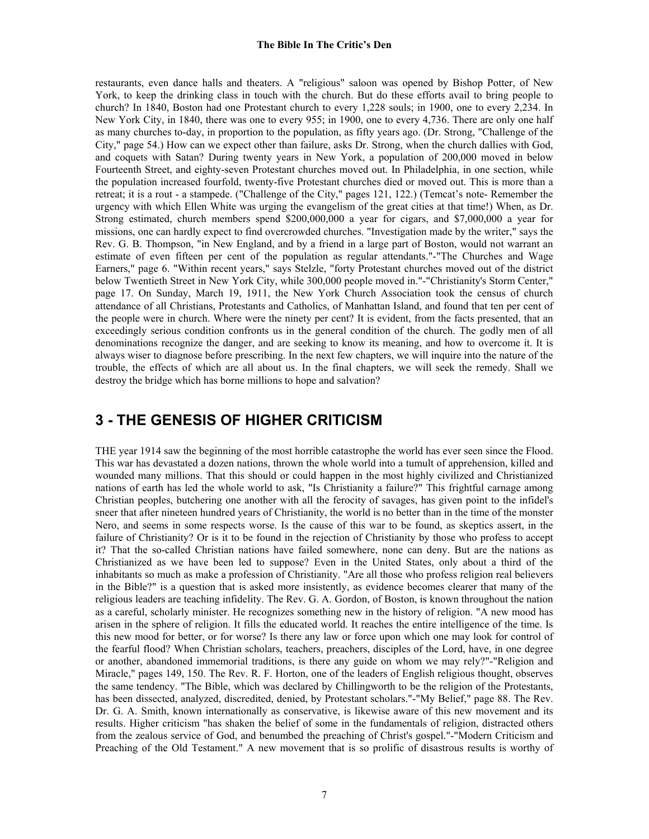restaurants, even dance halls and theaters. A "religious" saloon was opened by Bishop Potter, of New York, to keep the drinking class in touch with the church. But do these efforts avail to bring people to church? In 1840, Boston had one Protestant church to every 1,228 souls; in 1900, one to every 2,234. In New York City, in 1840, there was one to every 955; in 1900, one to every 4,736. There are only one half as many churches to-day, in proportion to the population, as fifty years ago. (Dr. Strong, "Challenge of the City," page 54.) How can we expect other than failure, asks Dr. Strong, when the church dallies with God, and coquets with Satan? During twenty years in New York, a population of 200,000 moved in below Fourteenth Street, and eighty-seven Protestant churches moved out. In Philadelphia, in one section, while the population increased fourfold, twenty-five Protestant churches died or moved out. This is more than a retreat; it is a rout - a stampede. ("Challenge of the City," pages 121, 122.) (Temcat's note- Remember the urgency with which Ellen White was urging the evangelism of the great cities at that time!) When, as Dr. Strong estimated, church members spend \$200,000,000 a year for cigars, and \$7,000,000 a year for missions, one can hardly expect to find overcrowded churches. "Investigation made by the writer," says the Rev. G. B. Thompson, "in New England, and by a friend in a large part of Boston, would not warrant an estimate of even fifteen per cent of the population as regular attendants."-"The Churches and Wage Earners," page 6. "Within recent years," says Stelzle, "forty Protestant churches moved out of the district below Twentieth Street in New York City, while 300,000 people moved in."-"Christianity's Storm Center," page 17. On Sunday, March 19, 1911, the New York Church Association took the census of church attendance of all Christians, Protestants and Catholics, of Manhattan Island, and found that ten per cent of the people were in church. Where were the ninety per cent? It is evident, from the facts presented, that an exceedingly serious condition confronts us in the general condition of the church. The godly men of all denominations recognize the danger, and are seeking to know its meaning, and how to overcome it. It is always wiser to diagnose before prescribing. In the next few chapters, we will inquire into the nature of the trouble, the effects of which are all about us. In the final chapters, we will seek the remedy. Shall we destroy the bridge which has borne millions to hope and salvation?

# **3 - THE GENESIS OF HIGHER CRITICISM**

THE year 1914 saw the beginning of the most horrible catastrophe the world has ever seen since the Flood. This war has devastated a dozen nations, thrown the whole world into a tumult of apprehension, killed and wounded many millions. That this should or could happen in the most highly civilized and Christianized nations of earth has led the whole world to ask, "Is Christianity a failure?" This frightful carnage among Christian peoples, butchering one another with all the ferocity of savages, has given point to the infidel's sneer that after nineteen hundred years of Christianity, the world is no better than in the time of the monster Nero, and seems in some respects worse. Is the cause of this war to be found, as skeptics assert, in the failure of Christianity? Or is it to be found in the rejection of Christianity by those who profess to accept it? That the so-called Christian nations have failed somewhere, none can deny. But are the nations as Christianized as we have been led to suppose? Even in the United States, only about a third of the inhabitants so much as make a profession of Christianity. "Are all those who profess religion real believers in the Bible?" is a question that is asked more insistently, as evidence becomes clearer that many of the religious leaders are teaching infidelity. The Rev. G. A. Gordon, of Boston, is known throughout the nation as a careful, scholarly minister. He recognizes something new in the history of religion. "A new mood has arisen in the sphere of religion. It fills the educated world. It reaches the entire intelligence of the time. Is this new mood for better, or for worse? Is there any law or force upon which one may look for control of the fearful flood? When Christian scholars, teachers, preachers, disciples of the Lord, have, in one degree or another, abandoned immemorial traditions, is there any guide on whom we may rely?"-"Religion and Miracle," pages 149, 150. The Rev. R. F. Horton, one of the leaders of English religious thought, observes the same tendency. "The Bible, which was declared by Chillingworth to be the religion of the Protestants, has been dissected, analyzed, discredited, denied, by Protestant scholars."-"My Belief," page 88. The Rev. Dr. G. A. Smith, known internationally as conservative, is likewise aware of this new movement and its results. Higher criticism "has shaken the belief of some in the fundamentals of religion, distracted others from the zealous service of God, and benumbed the preaching of Christ's gospel."-"Modern Criticism and Preaching of the Old Testament." A new movement that is so prolific of disastrous results is worthy of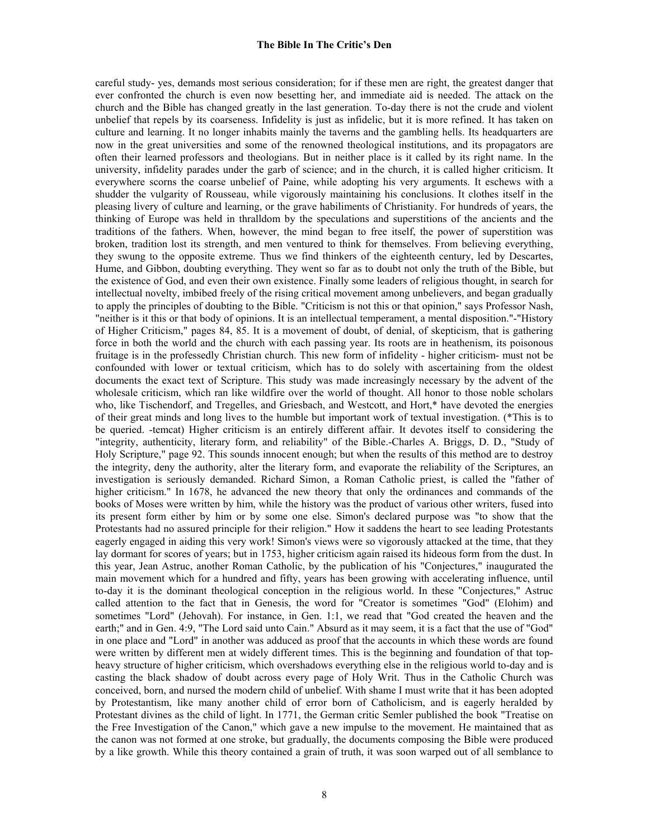careful study- yes, demands most serious consideration; for if these men are right, the greatest danger that ever confronted the church is even now besetting her, and immediate aid is needed. The attack on the church and the Bible has changed greatly in the last generation. To-day there is not the crude and violent unbelief that repels by its coarseness. Infidelity is just as infidelic, but it is more refined. It has taken on culture and learning. It no longer inhabits mainly the taverns and the gambling hells. Its headquarters are now in the great universities and some of the renowned theological institutions, and its propagators are often their learned professors and theologians. But in neither place is it called by its right name. In the university, infidelity parades under the garb of science; and in the church, it is called higher criticism. It everywhere scorns the coarse unbelief of Paine, while adopting his very arguments. It eschews with a shudder the vulgarity of Rousseau, while vigorously maintaining his conclusions. It clothes itself in the pleasing livery of culture and learning, or the grave habiliments of Christianity. For hundreds of years, the thinking of Europe was held in thralldom by the speculations and superstitions of the ancients and the traditions of the fathers. When, however, the mind began to free itself, the power of superstition was broken, tradition lost its strength, and men ventured to think for themselves. From believing everything, they swung to the opposite extreme. Thus we find thinkers of the eighteenth century, led by Descartes, Hume, and Gibbon, doubting everything. They went so far as to doubt not only the truth of the Bible, but the existence of God, and even their own existence. Finally some leaders of religious thought, in search for intellectual novelty, imbibed freely of the rising critical movement among unbelievers, and began gradually to apply the principles of doubting to the Bible. "Criticism is not this or that opinion," says Professor Nash, "neither is it this or that body of opinions. It is an intellectual temperament, a mental disposition."-"History of Higher Criticism," pages 84, 85. It is a movement of doubt, of denial, of skepticism, that is gathering force in both the world and the church with each passing year. Its roots are in heathenism, its poisonous fruitage is in the professedly Christian church. This new form of infidelity - higher criticism- must not be confounded with lower or textual criticism, which has to do solely with ascertaining from the oldest documents the exact text of Scripture. This study was made increasingly necessary by the advent of the wholesale criticism, which ran like wildfire over the world of thought. All honor to those noble scholars who, like Tischendorf, and Tregelles, and Griesbach, and Westcott, and Hort,\* have devoted the energies of their great minds and long lives to the humble but important work of textual investigation. (\*This is to be queried. -temcat) Higher criticism is an entirely different affair. It devotes itself to considering the "integrity, authenticity, literary form, and reliability" of the Bible.-Charles A. Briggs, D. D., "Study of Holy Scripture," page 92. This sounds innocent enough; but when the results of this method are to destroy the integrity, deny the authority, alter the literary form, and evaporate the reliability of the Scriptures, an investigation is seriously demanded. Richard Simon, a Roman Catholic priest, is called the "father of higher criticism." In 1678, he advanced the new theory that only the ordinances and commands of the books of Moses were written by him, while the history was the product of various other writers, fused into its present form either by him or by some one else. Simon's declared purpose was "to show that the Protestants had no assured principle for their religion." How it saddens the heart to see leading Protestants eagerly engaged in aiding this very work! Simon's views were so vigorously attacked at the time, that they lay dormant for scores of years; but in 1753, higher criticism again raised its hideous form from the dust. In this year, Jean Astruc, another Roman Catholic, by the publication of his "Conjectures," inaugurated the main movement which for a hundred and fifty, years has been growing with accelerating influence, until to-day it is the dominant theological conception in the religious world. In these "Conjectures," Astruc called attention to the fact that in Genesis, the word for "Creator is sometimes "God" (Elohim) and sometimes "Lord" (Jehovah). For instance, in Gen. 1:1, we read that "God created the heaven and the earth;" and in Gen. 4:9, "The Lord said unto Cain." Absurd as it may seem, it is a fact that the use of "God" in one place and "Lord" in another was adduced as proof that the accounts in which these words are found were written by different men at widely different times. This is the beginning and foundation of that topheavy structure of higher criticism, which overshadows everything else in the religious world to-day and is casting the black shadow of doubt across every page of Holy Writ. Thus in the Catholic Church was conceived, born, and nursed the modern child of unbelief. With shame I must write that it has been adopted by Protestantism, like many another child of error born of Catholicism, and is eagerly heralded by Protestant divines as the child of light. In 1771, the German critic Semler published the book "Treatise on the Free Investigation of the Canon," which gave a new impulse to the movement. He maintained that as the canon was not formed at one stroke, but gradually, the documents composing the Bible were produced by a like growth. While this theory contained a grain of truth, it was soon warped out of all semblance to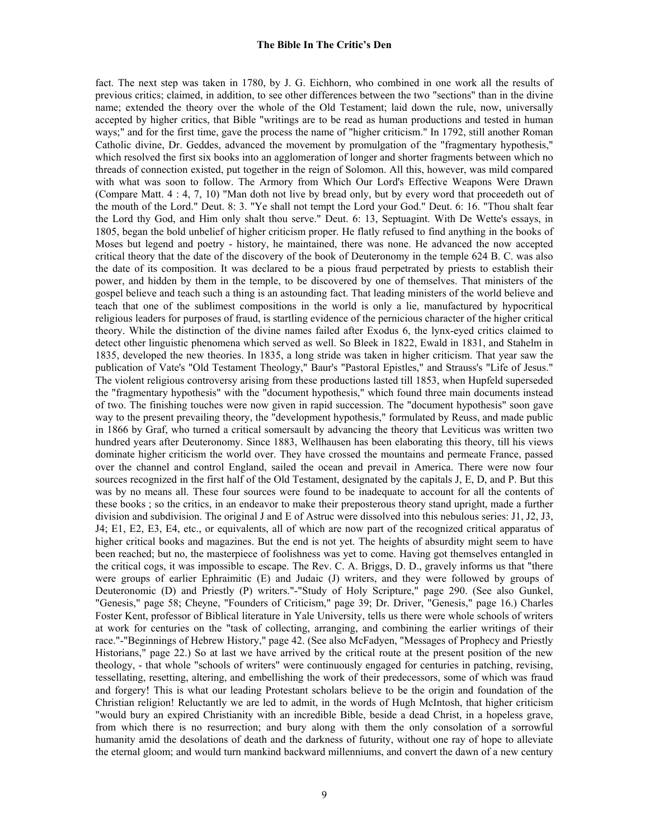fact. The next step was taken in 1780, by J. G. Eichhorn, who combined in one work all the results of previous critics; claimed, in addition, to see other differences between the two "sections" than in the divine name; extended the theory over the whole of the Old Testament; laid down the rule, now, universally accepted by higher critics, that Bible "writings are to be read as human productions and tested in human ways;" and for the first time, gave the process the name of "higher criticism." In 1792, still another Roman Catholic divine, Dr. Geddes, advanced the movement by promulgation of the "fragmentary hypothesis," which resolved the first six books into an agglomeration of longer and shorter fragments between which no threads of connection existed, put together in the reign of Solomon. All this, however, was mild compared with what was soon to follow. The Armory from Which Our Lord's Effective Weapons Were Drawn (Compare Matt. 4 : 4, 7, 10) "Man doth not live by bread only, but by every word that proceedeth out of the mouth of the Lord." Deut. 8: 3. "Ye shall not tempt the Lord your God." Deut. 6: 16. "Thou shalt fear the Lord thy God, and Him only shalt thou serve." Deut. 6: 13, Septuagint. With De Wette's essays, in 1805, began the bold unbelief of higher criticism proper. He flatly refused to find anything in the books of Moses but legend and poetry - history, he maintained, there was none. He advanced the now accepted critical theory that the date of the discovery of the book of Deuteronomy in the temple 624 B. C. was also the date of its composition. It was declared to be a pious fraud perpetrated by priests to establish their power, and hidden by them in the temple, to be discovered by one of themselves. That ministers of the gospel believe and teach such a thing is an astounding fact. That leading ministers of the world believe and teach that one of the sublimest compositions in the world is only a lie, manufactured by hypocritical religious leaders for purposes of fraud, is startling evidence of the pernicious character of the higher critical theory. While the distinction of the divine names failed after Exodus 6, the lynx-eyed critics claimed to detect other linguistic phenomena which served as well. So Bleek in 1822, Ewald in 1831, and Stahelm in 1835, developed the new theories. In 1835, a long stride was taken in higher criticism. That year saw the publication of Vate's "Old Testament Theology," Baur's "Pastoral Epistles," and Strauss's "Life of Jesus." The violent religious controversy arising from these productions lasted till 1853, when Hupfeld superseded the "fragmentary hypothesis" with the "document hypothesis," which found three main documents instead of two. The finishing touches were now given in rapid succession. The "document hypothesis" soon gave way to the present prevailing theory, the "development hypothesis," formulated by Reuss, and made public in 1866 by Graf, who turned a critical somersault by advancing the theory that Leviticus was written two hundred years after Deuteronomy. Since 1883, Wellhausen has been elaborating this theory, till his views dominate higher criticism the world over. They have crossed the mountains and permeate France, passed over the channel and control England, sailed the ocean and prevail in America. There were now four sources recognized in the first half of the Old Testament, designated by the capitals J, E, D, and P. But this was by no means all. These four sources were found to be inadequate to account for all the contents of these books ; so the critics, in an endeavor to make their preposterous theory stand upright, made a further division and subdivision. The original J and E of Astruc were dissolved into this nebulous series: J1, J2, J3, J4; E1, E2, E3, E4, etc., or equivalents, all of which are now part of the recognized critical apparatus of higher critical books and magazines. But the end is not yet. The heights of absurdity might seem to have been reached; but no, the masterpiece of foolishness was yet to come. Having got themselves entangled in the critical cogs, it was impossible to escape. The Rev. C. A. Briggs, D. D., gravely informs us that "there were groups of earlier Ephraimitic (E) and Judaic (J) writers, and they were followed by groups of Deuteronomic (D) and Priestly (P) writers."-"Study of Holy Scripture," page 290. (See also Gunkel, "Genesis," page 58; Cheyne, "Founders of Criticism," page 39; Dr. Driver, "Genesis," page 16.) Charles Foster Kent, professor of Biblical literature in Yale University, tells us there were whole schools of writers at work for centuries on the "task of collecting, arranging, and combining the earlier writings of their race."-"Beginnings of Hebrew History," page 42. (See also McFadyen, "Messages of Prophecy and Priestly Historians," page 22.) So at last we have arrived by the critical route at the present position of the new theology, - that whole "schools of writers" were continuously engaged for centuries in patching, revising, tessellating, resetting, altering, and embellishing the work of their predecessors, some of which was fraud and forgery! This is what our leading Protestant scholars believe to be the origin and foundation of the Christian religion! Reluctantly we are led to admit, in the words of Hugh McIntosh, that higher criticism "would bury an expired Christianity with an incredible Bible, beside a dead Christ, in a hopeless grave, from which there is no resurrection; and bury along with them the only consolation of a sorrowful humanity amid the desolations of death and the darkness of futurity, without one ray of hope to alleviate the eternal gloom; and would turn mankind backward millenniums, and convert the dawn of a new century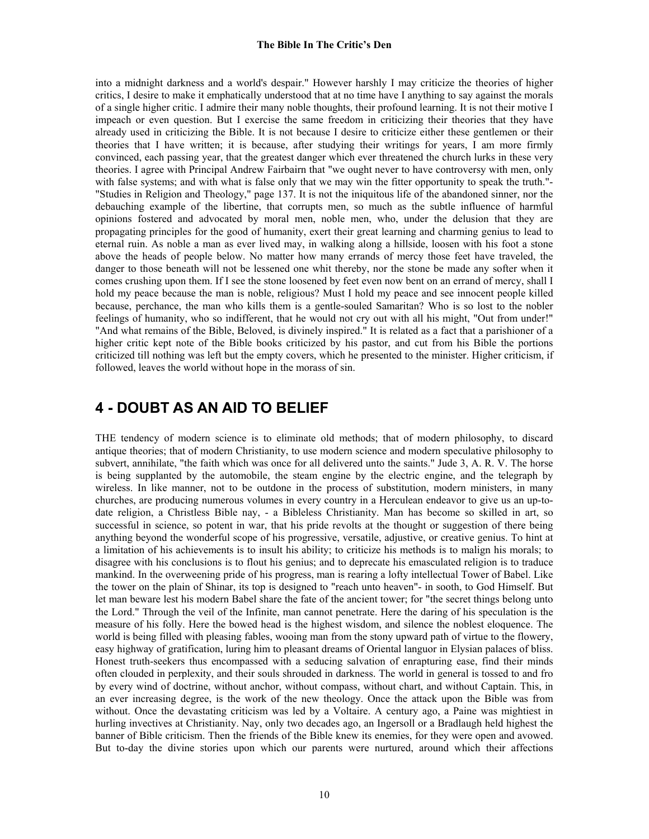into a midnight darkness and a world's despair." However harshly I may criticize the theories of higher critics, I desire to make it emphatically understood that at no time have I anything to say against the morals of a single higher critic. I admire their many noble thoughts, their profound learning. It is not their motive I impeach or even question. But I exercise the same freedom in criticizing their theories that they have already used in criticizing the Bible. It is not because I desire to criticize either these gentlemen or their theories that I have written; it is because, after studying their writings for years, I am more firmly convinced, each passing year, that the greatest danger which ever threatened the church lurks in these very theories. I agree with Principal Andrew Fairbairn that "we ought never to have controversy with men, only with false systems; and with what is false only that we may win the fitter opportunity to speak the truth."-"Studies in Religion and Theology," page 137. It is not the iniquitous life of the abandoned sinner, nor the debauching example of the libertine, that corrupts men, so much as the subtle influence of harmful opinions fostered and advocated by moral men, noble men, who, under the delusion that they are propagating principles for the good of humanity, exert their great learning and charming genius to lead to eternal ruin. As noble a man as ever lived may, in walking along a hillside, loosen with his foot a stone above the heads of people below. No matter how many errands of mercy those feet have traveled, the danger to those beneath will not be lessened one whit thereby, nor the stone be made any softer when it comes crushing upon them. If I see the stone loosened by feet even now bent on an errand of mercy, shall I hold my peace because the man is noble, religious? Must I hold my peace and see innocent people killed because, perchance, the man who kills them is a gentle-souled Samaritan? Who is so lost to the nobler feelings of humanity, who so indifferent, that he would not cry out with all his might, "Out from under!" "And what remains of the Bible, Beloved, is divinely inspired." It is related as a fact that a parishioner of a higher critic kept note of the Bible books criticized by his pastor, and cut from his Bible the portions criticized till nothing was left but the empty covers, which he presented to the minister. Higher criticism, if followed, leaves the world without hope in the morass of sin.

### **4 - DOUBT AS AN AID TO BELIEF**

THE tendency of modern science is to eliminate old methods; that of modern philosophy, to discard antique theories; that of modern Christianity, to use modern science and modern speculative philosophy to subvert, annihilate, "the faith which was once for all delivered unto the saints." Jude 3, A. R. V. The horse is being supplanted by the automobile, the steam engine by the electric engine, and the telegraph by wireless. In like manner, not to be outdone in the process of substitution, modern ministers, in many churches, are producing numerous volumes in every country in a Herculean endeavor to give us an up-todate religion, a Christless Bible nay, - a Bibleless Christianity. Man has become so skilled in art, so successful in science, so potent in war, that his pride revolts at the thought or suggestion of there being anything beyond the wonderful scope of his progressive, versatile, adjustive, or creative genius. To hint at a limitation of his achievements is to insult his ability; to criticize his methods is to malign his morals; to disagree with his conclusions is to flout his genius; and to deprecate his emasculated religion is to traduce mankind. In the overweening pride of his progress, man is rearing a lofty intellectual Tower of Babel. Like the tower on the plain of Shinar, its top is designed to "reach unto heaven"- in sooth, to God Himself. But let man beware lest his modern Babel share the fate of the ancient tower; for "the secret things belong unto the Lord." Through the veil of the Infinite, man cannot penetrate. Here the daring of his speculation is the measure of his folly. Here the bowed head is the highest wisdom, and silence the noblest eloquence. The world is being filled with pleasing fables, wooing man from the stony upward path of virtue to the flowery, easy highway of gratification, luring him to pleasant dreams of Oriental languor in Elysian palaces of bliss. Honest truth-seekers thus encompassed with a seducing salvation of enrapturing ease, find their minds often clouded in perplexity, and their souls shrouded in darkness. The world in general is tossed to and fro by every wind of doctrine, without anchor, without compass, without chart, and without Captain. This, in an ever increasing degree, is the work of the new theology. Once the attack upon the Bible was from without. Once the devastating criticism was led by a Voltaire. A century ago, a Paine was mightiest in hurling invectives at Christianity. Nay, only two decades ago, an Ingersoll or a Bradlaugh held highest the banner of Bible criticism. Then the friends of the Bible knew its enemies, for they were open and avowed. But to-day the divine stories upon which our parents were nurtured, around which their affections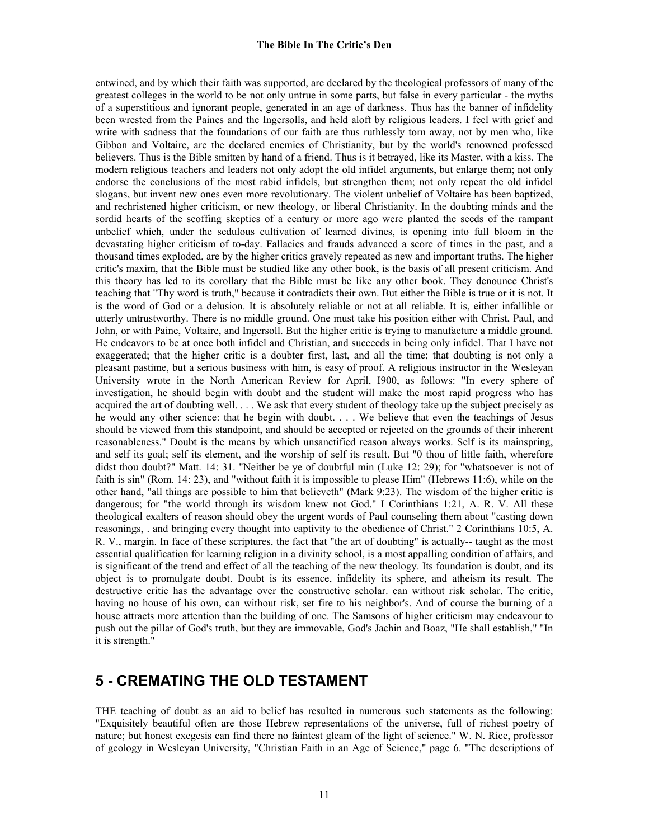entwined, and by which their faith was supported, are declared by the theological professors of many of the greatest colleges in the world to be not only untrue in some parts, but false in every particular - the myths of a superstitious and ignorant people, generated in an age of darkness. Thus has the banner of infidelity been wrested from the Paines and the Ingersolls, and held aloft by religious leaders. I feel with grief and write with sadness that the foundations of our faith are thus ruthlessly torn away, not by men who, like Gibbon and Voltaire, are the declared enemies of Christianity, but by the world's renowned professed believers. Thus is the Bible smitten by hand of a friend. Thus is it betrayed, like its Master, with a kiss. The modern religious teachers and leaders not only adopt the old infidel arguments, but enlarge them; not only endorse the conclusions of the most rabid infidels, but strengthen them; not only repeat the old infidel slogans, but invent new ones even more revolutionary. The violent unbelief of Voltaire has been baptized, and rechristened higher criticism, or new theology, or liberal Christianity. In the doubting minds and the sordid hearts of the scoffing skeptics of a century or more ago were planted the seeds of the rampant unbelief which, under the sedulous cultivation of learned divines, is opening into full bloom in the devastating higher criticism of to-day. Fallacies and frauds advanced a score of times in the past, and a thousand times exploded, are by the higher critics gravely repeated as new and important truths. The higher critic's maxim, that the Bible must be studied like any other book, is the basis of all present criticism. And this theory has led to its corollary that the Bible must be like any other book. They denounce Christ's teaching that "Thy word is truth," because it contradicts their own. But either the Bible is true or it is not. It is the word of God or a delusion. It is absolutely reliable or not at all reliable. It is, either infallible or utterly untrustworthy. There is no middle ground. One must take his position either with Christ, Paul, and John, or with Paine, Voltaire, and Ingersoll. But the higher critic is trying to manufacture a middle ground. He endeavors to be at once both infidel and Christian, and succeeds in being only infidel. That I have not exaggerated; that the higher critic is a doubter first, last, and all the time; that doubting is not only a pleasant pastime, but a serious business with him, is easy of proof. A religious instructor in the Wesleyan University wrote in the North American Review for April, I900, as follows: "In every sphere of investigation, he should begin with doubt and the student will make the most rapid progress who has acquired the art of doubting well. . . . We ask that every student of theology take up the subject precisely as he would any other science: that he begin with doubt. . . . We believe that even the teachings of Jesus should be viewed from this standpoint, and should be accepted or rejected on the grounds of their inherent reasonableness." Doubt is the means by which unsanctified reason always works. Self is its mainspring, and self its goal; self its element, and the worship of self its result. But "0 thou of little faith, wherefore didst thou doubt?" Matt. 14: 31. "Neither be ye of doubtful min (Luke 12: 29); for "whatsoever is not of faith is sin" (Rom. 14: 23), and "without faith it is impossible to please Him" (Hebrews 11:6), while on the other hand, "all things are possible to him that believeth" (Mark 9:23). The wisdom of the higher critic is dangerous; for "the world through its wisdom knew not God." I Corinthians 1:21, A. R. V. All these theological exalters of reason should obey the urgent words of Paul counseling them about "casting down reasonings, . and bringing every thought into captivity to the obedience of Christ." 2 Corinthians 10:5, A. R. V., margin. In face of these scriptures, the fact that "the art of doubting" is actually-- taught as the most essential qualification for learning religion in a divinity school, is a most appalling condition of affairs, and is significant of the trend and effect of all the teaching of the new theology. Its foundation is doubt, and its object is to promulgate doubt. Doubt is its essence, infidelity its sphere, and atheism its result. The destructive critic has the advantage over the constructive scholar. can without risk scholar. The critic, having no house of his own, can without risk, set fire to his neighbor's. And of course the burning of a house attracts more attention than the building of one. The Samsons of higher criticism may endeavour to push out the pillar of God's truth, but they are immovable, God's Jachin and Boaz, "He shall establish," "In it is strength."

# **5 - CREMATING THE OLD TESTAMENT**

THE teaching of doubt as an aid to belief has resulted in numerous such statements as the following: "Exquisitely beautiful often are those Hebrew representations of the universe, full of richest poetry of nature; but honest exegesis can find there no faintest gleam of the light of science." W. N. Rice, professor of geology in Wesleyan University, "Christian Faith in an Age of Science," page 6. "The descriptions of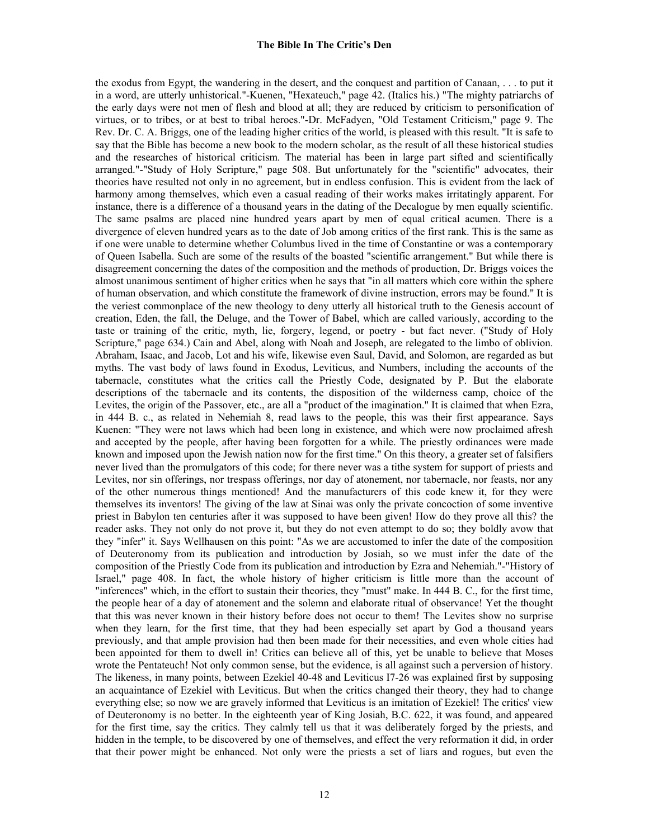the exodus from Egypt, the wandering in the desert, and the conquest and partition of Canaan, . . . to put it in a word, are utterly unhistorical."-Kuenen, "Hexateuch," page 42. (Italics his.) "The mighty patriarchs of the early days were not men of flesh and blood at all; they are reduced by criticism to personification of virtues, or to tribes, or at best to tribal heroes."-Dr. McFadyen, "Old Testament Criticism," page 9. The Rev. Dr. C. A. Briggs, one of the leading higher critics of the world, is pleased with this result. "It is safe to say that the Bible has become a new book to the modern scholar, as the result of all these historical studies and the researches of historical criticism. The material has been in large part sifted and scientifically arranged."-"Study of Holy Scripture," page 508. But unfortunately for the "scientific" advocates, their theories have resulted not only in no agreement, but in endless confusion. This is evident from the lack of harmony among themselves, which even a casual reading of their works makes irritatingly apparent. For instance, there is a difference of a thousand years in the dating of the Decalogue by men equally scientific. The same psalms are placed nine hundred years apart by men of equal critical acumen. There is a divergence of eleven hundred years as to the date of Job among critics of the first rank. This is the same as if one were unable to determine whether Columbus lived in the time of Constantine or was a contemporary of Queen Isabella. Such are some of the results of the boasted "scientific arrangement." But while there is disagreement concerning the dates of the composition and the methods of production, Dr. Briggs voices the almost unanimous sentiment of higher critics when he says that "in all matters which core within the sphere of human observation, and which constitute the framework of divine instruction, errors may be found." It is the veriest commonplace of the new theology to deny utterly all historical truth to the Genesis account of creation, Eden, the fall, the Deluge, and the Tower of Babel, which are called variously, according to the taste or training of the critic, myth, lie, forgery, legend, or poetry - but fact never. ("Study of Holy Scripture," page 634.) Cain and Abel, along with Noah and Joseph, are relegated to the limbo of oblivion. Abraham, Isaac, and Jacob, Lot and his wife, likewise even Saul, David, and Solomon, are regarded as but myths. The vast body of laws found in Exodus, Leviticus, and Numbers, including the accounts of the tabernacle, constitutes what the critics call the Priestly Code, designated by P. But the elaborate descriptions of the tabernacle and its contents, the disposition of the wilderness camp, choice of the Levites, the origin of the Passover, etc., are all a "product of the imagination." It is claimed that when Ezra, in 444 B. c., as related in Nehemiah 8, read laws to the people, this was their first appearance. Says Kuenen: "They were not laws which had been long in existence, and which were now proclaimed afresh and accepted by the people, after having been forgotten for a while. The priestly ordinances were made known and imposed upon the Jewish nation now for the first time." On this theory, a greater set of falsifiers never lived than the promulgators of this code; for there never was a tithe system for support of priests and Levites, nor sin offerings, nor trespass offerings, nor day of atonement, nor tabernacle, nor feasts, nor any of the other numerous things mentioned! And the manufacturers of this code knew it, for they were themselves its inventors! The giving of the law at Sinai was only the private concoction of some inventive priest in Babylon ten centuries after it was supposed to have been given! How do they prove all this? the reader asks. They not only do not prove it, but they do not even attempt to do so; they boldly avow that they "infer" it. Says Wellhausen on this point: "As we are accustomed to infer the date of the composition of Deuteronomy from its publication and introduction by Josiah, so we must infer the date of the composition of the Priestly Code from its publication and introduction by Ezra and Nehemiah."-"History of Israel," page 408. In fact, the whole history of higher criticism is little more than the account of "inferences" which, in the effort to sustain their theories, they "must" make. In 444 B. C., for the first time, the people hear of a day of atonement and the solemn and elaborate ritual of observance! Yet the thought that this was never known in their history before does not occur to them! The Levites show no surprise when they learn, for the first time, that they had been especially set apart by God a thousand years previously, and that ample provision had then been made for their necessities, and even whole cities had been appointed for them to dwell in! Critics can believe all of this, yet be unable to believe that Moses wrote the Pentateuch! Not only common sense, but the evidence, is all against such a perversion of history. The likeness, in many points, between Ezekiel 40-48 and Leviticus I7-26 was explained first by supposing an acquaintance of Ezekiel with Leviticus. But when the critics changed their theory, they had to change everything else; so now we are gravely informed that Leviticus is an imitation of Ezekiel! The critics' view of Deuteronomy is no better. In the eighteenth year of King Josiah, B.C. 622, it was found, and appeared for the first time, say the critics. They calmly tell us that it was deliberately forged by the priests, and hidden in the temple, to be discovered by one of themselves, and effect the very reformation it did, in order that their power might be enhanced. Not only were the priests a set of liars and rogues, but even the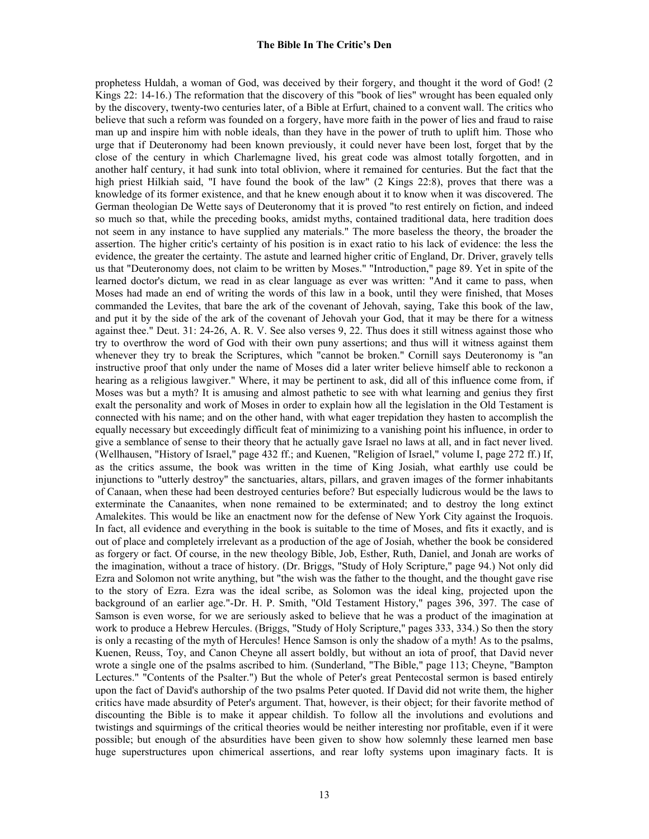prophetess Huldah, a woman of God, was deceived by their forgery, and thought it the word of God! (2 Kings 22: 14-16.) The reformation that the discovery of this "book of lies" wrought has been equaled only by the discovery, twenty-two centuries later, of a Bible at Erfurt, chained to a convent wall. The critics who believe that such a reform was founded on a forgery, have more faith in the power of lies and fraud to raise man up and inspire him with noble ideals, than they have in the power of truth to uplift him. Those who urge that if Deuteronomy had been known previously, it could never have been lost, forget that by the close of the century in which Charlemagne lived, his great code was almost totally forgotten, and in another half century, it had sunk into total oblivion, where it remained for centuries. But the fact that the high priest Hilkiah said, "I have found the book of the law" (2 Kings 22:8), proves that there was a knowledge of its former existence, and that he knew enough about it to know when it was discovered. The German theologian De Wette says of Deuteronomy that it is proved "to rest entirely on fiction, and indeed so much so that, while the preceding books, amidst myths, contained traditional data, here tradition does not seem in any instance to have supplied any materials." The more baseless the theory, the broader the assertion. The higher critic's certainty of his position is in exact ratio to his lack of evidence: the less the evidence, the greater the certainty. The astute and learned higher critic of England, Dr. Driver, gravely tells us that "Deuteronomy does, not claim to be written by Moses." "Introduction," page 89. Yet in spite of the learned doctor's dictum, we read in as clear language as ever was written: "And it came to pass, when Moses had made an end of writing the words of this law in a book, until they were finished, that Moses commanded the Levites, that bare the ark of the covenant of Jehovah, saying, Take this book of the law, and put it by the side of the ark of the covenant of Jehovah your God, that it may be there for a witness against thee." Deut. 31: 24-26, A. R. V. See also verses 9, 22. Thus does it still witness against those who try to overthrow the word of God with their own puny assertions; and thus will it witness against them whenever they try to break the Scriptures, which "cannot be broken." Cornill says Deuteronomy is "an instructive proof that only under the name of Moses did a later writer believe himself able to reckonon a hearing as a religious lawgiver." Where, it may be pertinent to ask, did all of this influence come from, if Moses was but a myth? It is amusing and almost pathetic to see with what learning and genius they first exalt the personality and work of Moses in order to explain how all the legislation in the Old Testament is connected with his name; and on the other hand, with what eager trepidation they hasten to accomplish the equally necessary but exceedingly difficult feat of minimizing to a vanishing point his influence, in order to give a semblance of sense to their theory that he actually gave Israel no laws at all, and in fact never lived. (Wellhausen, "History of Israel," page 432 ff.; and Kuenen, "Religion of Israel," volume I, page 272 ff.) If, as the critics assume, the book was written in the time of King Josiah, what earthly use could be injunctions to "utterly destroy" the sanctuaries, altars, pillars, and graven images of the former inhabitants of Canaan, when these had been destroyed centuries before? But especially ludicrous would be the laws to exterminate the Canaanites, when none remained to be exterminated; and to destroy the long extinct Amalekites. This would be like an enactment now for the defense of New York City against the Iroquois. In fact, all evidence and everything in the book is suitable to the time of Moses, and fits it exactly, and is out of place and completely irrelevant as a production of the age of Josiah, whether the book be considered as forgery or fact. Of course, in the new theology Bible, Job, Esther, Ruth, Daniel, and Jonah are works of the imagination, without a trace of history. (Dr. Briggs, "Study of Holy Scripture," page 94.) Not only did Ezra and Solomon not write anything, but "the wish was the father to the thought, and the thought gave rise to the story of Ezra. Ezra was the ideal scribe, as Solomon was the ideal king, projected upon the background of an earlier age."-Dr. H. P. Smith, "Old Testament History," pages 396, 397. The case of Samson is even worse, for we are seriously asked to believe that he was a product of the imagination at work to produce a Hebrew Hercules. (Briggs, "Study of Holy Scripture," pages 333, 334.) So then the story is only a recasting of the myth of Hercules! Hence Samson is only the shadow of a myth! As to the psalms, Kuenen, Reuss, Toy, and Canon Cheyne all assert boldly, but without an iota of proof, that David never wrote a single one of the psalms ascribed to him. (Sunderland, "The Bible," page 113; Cheyne, "Bampton Lectures." "Contents of the Psalter.") But the whole of Peter's great Pentecostal sermon is based entirely upon the fact of David's authorship of the two psalms Peter quoted. If David did not write them, the higher critics have made absurdity of Peter's argument. That, however, is their object; for their favorite method of discounting the Bible is to make it appear childish. To follow all the involutions and evolutions and twistings and squirmings of the critical theories would be neither interesting nor profitable, even if it were possible; but enough of the absurdities have been given to show how solemnly these learned men base huge superstructures upon chimerical assertions, and rear lofty systems upon imaginary facts. It is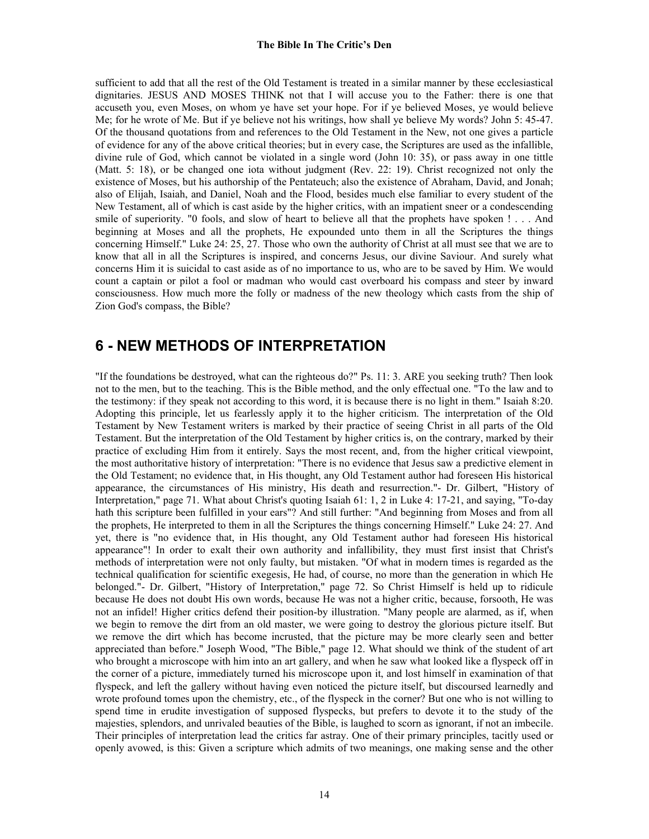sufficient to add that all the rest of the Old Testament is treated in a similar manner by these ecclesiastical dignitaries. JESUS AND MOSES THINK not that I will accuse you to the Father: there is one that accuseth you, even Moses, on whom ye have set your hope. For if ye believed Moses, ye would believe Me; for he wrote of Me. But if ye believe not his writings, how shall ye believe My words? John 5: 45-47. Of the thousand quotations from and references to the Old Testament in the New, not one gives a particle of evidence for any of the above critical theories; but in every case, the Scriptures are used as the infallible, divine rule of God, which cannot be violated in a single word (John 10: 35), or pass away in one tittle (Matt. 5: 18), or be changed one iota without judgment (Rev. 22: 19). Christ recognized not only the existence of Moses, but his authorship of the Pentateuch; also the existence of Abraham, David, and Jonah; also of Elijah, Isaiah, and Daniel, Noah and the Flood, besides much else familiar to every student of the New Testament, all of which is cast aside by the higher critics, with an impatient sneer or a condescending smile of superiority. "0 fools, and slow of heart to believe all that the prophets have spoken ! . . . And beginning at Moses and all the prophets, He expounded unto them in all the Scriptures the things concerning Himself." Luke 24: 25, 27. Those who own the authority of Christ at all must see that we are to know that all in all the Scriptures is inspired, and concerns Jesus, our divine Saviour. And surely what concerns Him it is suicidal to cast aside as of no importance to us, who are to be saved by Him. We would count a captain or pilot a fool or madman who would cast overboard his compass and steer by inward consciousness. How much more the folly or madness of the new theology which casts from the ship of Zion God's compass, the Bible?

# **6 - NEW METHODS OF INTERPRETATION**

"If the foundations be destroyed, what can the righteous do?" Ps. 11: 3. ARE you seeking truth? Then look not to the men, but to the teaching. This is the Bible method, and the only effectual one. "To the law and to the testimony: if they speak not according to this word, it is because there is no light in them." Isaiah 8:20. Adopting this principle, let us fearlessly apply it to the higher criticism. The interpretation of the Old Testament by New Testament writers is marked by their practice of seeing Christ in all parts of the Old Testament. But the interpretation of the Old Testament by higher critics is, on the contrary, marked by their practice of excluding Him from it entirely. Says the most recent, and, from the higher critical viewpoint, the most authoritative history of interpretation: "There is no evidence that Jesus saw a predictive element in the Old Testament; no evidence that, in His thought, any Old Testament author had foreseen His historical appearance, the circumstances of His ministry, His death and resurrection."- Dr. Gilbert, "History of Interpretation," page 71. What about Christ's quoting Isaiah 61: 1, 2 in Luke 4: 17-21, and saying, "To-day hath this scripture been fulfilled in your ears"? And still further: "And beginning from Moses and from all the prophets, He interpreted to them in all the Scriptures the things concerning Himself." Luke 24: 27. And yet, there is "no evidence that, in His thought, any Old Testament author had foreseen His historical appearance"! In order to exalt their own authority and infallibility, they must first insist that Christ's methods of interpretation were not only faulty, but mistaken. "Of what in modern times is regarded as the technical qualification for scientific exegesis, He had, of course, no more than the generation in which He belonged."- Dr. Gilbert, "History of Interpretation," page 72. So Christ Himself is held up to ridicule because He does not doubt His own words, because He was not a higher critic, because, forsooth, He was not an infidel! Higher critics defend their position-by illustration. "Many people are alarmed, as if, when we begin to remove the dirt from an old master, we were going to destroy the glorious picture itself. But we remove the dirt which has become incrusted, that the picture may be more clearly seen and better appreciated than before." Joseph Wood, "The Bible," page 12. What should we think of the student of art who brought a microscope with him into an art gallery, and when he saw what looked like a flyspeck off in the corner of a picture, immediately turned his microscope upon it, and lost himself in examination of that flyspeck, and left the gallery without having even noticed the picture itself, but discoursed learnedly and wrote profound tomes upon the chemistry, etc., of the flyspeck in the corner? But one who is not willing to spend time in erudite investigation of supposed flyspecks, but prefers to devote it to the study of the majesties, splendors, and unrivaled beauties of the Bible, is laughed to scorn as ignorant, if not an imbecile. Their principles of interpretation lead the critics far astray. One of their primary principles, tacitly used or openly avowed, is this: Given a scripture which admits of two meanings, one making sense and the other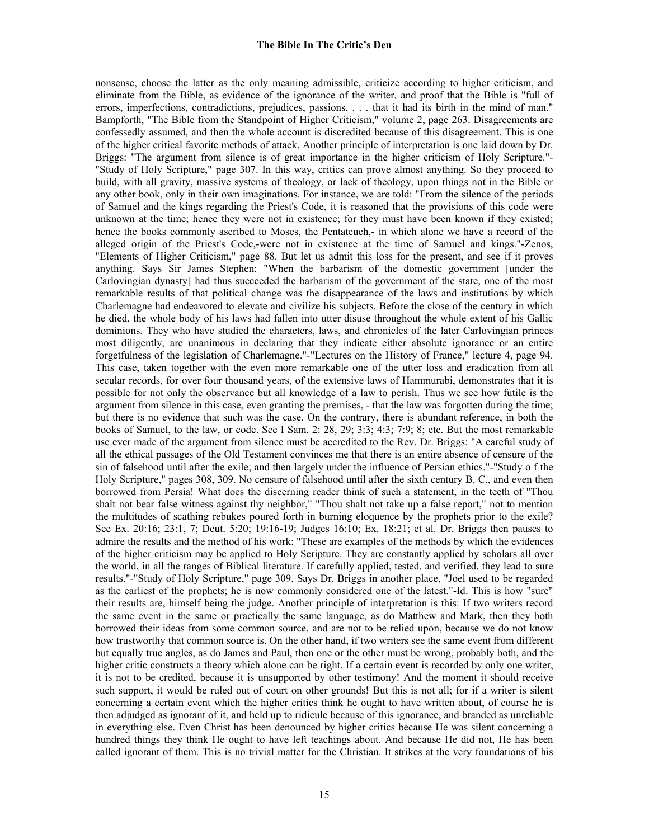nonsense, choose the latter as the only meaning admissible, criticize according to higher criticism, and eliminate from the Bible, as evidence of the ignorance of the writer, and proof that the Bible is "full of errors, imperfections, contradictions, prejudices, passions, . . . that it had its birth in the mind of man." Bampforth, "The Bible from the Standpoint of Higher Criticism," volume 2, page 263. Disagreements are confessedly assumed, and then the whole account is discredited because of this disagreement. This is one of the higher critical favorite methods of attack. Another principle of interpretation is one laid down by Dr. Briggs: "The argument from silence is of great importance in the higher criticism of Holy Scripture."- "Study of Holy Scripture," page 307. In this way, critics can prove almost anything. So they proceed to build, with all gravity, massive systems of theology, or lack of theology, upon things not in the Bible or any other book, only in their own imaginations. For instance, we are told: "From the silence of the periods of Samuel and the kings regarding the Priest's Code, it is reasoned that the provisions of this code were unknown at the time; hence they were not in existence; for they must have been known if they existed; hence the books commonly ascribed to Moses, the Pentateuch,- in which alone we have a record of the alleged origin of the Priest's Code,-were not in existence at the time of Samuel and kings."-Zenos, "Elements of Higher Criticism," page 88. But let us admit this loss for the present, and see if it proves anything. Says Sir James Stephen: "When the barbarism of the domestic government [under the Carlovingian dynasty] had thus succeeded the barbarism of the government of the state, one of the most remarkable results of that political change was the disappearance of the laws and institutions by which Charlemagne had endeavored to elevate and civilize his subjects. Before the close of the century in which he died, the whole body of his laws had fallen into utter disuse throughout the whole extent of his Gallic dominions. They who have studied the characters, laws, and chronicles of the later Carlovingian princes most diligently, are unanimous in declaring that they indicate either absolute ignorance or an entire forgetfulness of the legislation of Charlemagne."-"Lectures on the History of France," lecture 4, page 94. This case, taken together with the even more remarkable one of the utter loss and eradication from all secular records, for over four thousand years, of the extensive laws of Hammurabi, demonstrates that it is possible for not only the observance but all knowledge of a law to perish. Thus we see how futile is the argument from silence in this case, even granting the premises, - that the law was forgotten during the time; but there is no evidence that such was the case. On the contrary, there is abundant reference, in both the books of Samuel, to the law, or code. See I Sam. 2: 28, 29; 3:3; 4:3; 7:9; 8; etc. But the most remarkable use ever made of the argument from silence must be accredited to the Rev. Dr. Briggs: "A careful study of all the ethical passages of the Old Testament convinces me that there is an entire absence of censure of the sin of falsehood until after the exile; and then largely under the influence of Persian ethics."-"Study o f the Holy Scripture," pages 308, 309. No censure of falsehood until after the sixth century B. C., and even then borrowed from Persia! What does the discerning reader think of such a statement, in the teeth of "Thou shalt not bear false witness against thy neighbor," "Thou shalt not take up a false report," not to mention the multitudes of scathing rebukes poured forth in burning eloquence by the prophets prior to the exile? See Ex. 20:16; 23:1, 7; Deut. 5:20; 19:16-19; Judges 16:10; Ex. 18:21; et al. Dr. Briggs then pauses to admire the results and the method of his work: "These are examples of the methods by which the evidences of the higher criticism may be applied to Holy Scripture. They are constantly applied by scholars all over the world, in all the ranges of Biblical literature. If carefully applied, tested, and verified, they lead to sure results."-"Study of Holy Scripture," page 309. Says Dr. Briggs in another place, "Joel used to be regarded as the earliest of the prophets; he is now commonly considered one of the latest."-Id. This is how "sure" their results are, himself being the judge. Another principle of interpretation is this: If two writers record the same event in the same or practically the same language, as do Matthew and Mark, then they both borrowed their ideas from some common source, and are not to be relied upon, because we do not know how trustworthy that common source is. On the other hand, if two writers see the same event from different but equally true angles, as do James and Paul, then one or the other must be wrong, probably both, and the higher critic constructs a theory which alone can be right. If a certain event is recorded by only one writer, it is not to be credited, because it is unsupported by other testimony! And the moment it should receive such support, it would be ruled out of court on other grounds! But this is not all; for if a writer is silent concerning a certain event which the higher critics think he ought to have written about, of course he is then adjudged as ignorant of it, and held up to ridicule because of this ignorance, and branded as unreliable in everything else. Even Christ has been denounced by higher critics because He was silent concerning a hundred things they think He ought to have left teachings about. And because He did not, He has been called ignorant of them. This is no trivial matter for the Christian. It strikes at the very foundations of his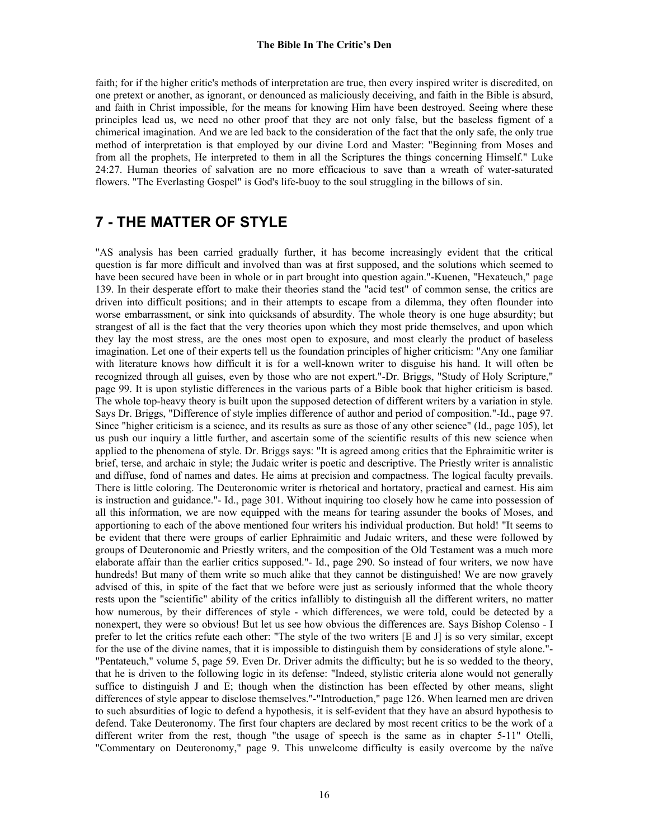faith; for if the higher critic's methods of interpretation are true, then every inspired writer is discredited, on one pretext or another, as ignorant, or denounced as maliciously deceiving, and faith in the Bible is absurd, and faith in Christ impossible, for the means for knowing Him have been destroyed. Seeing where these principles lead us, we need no other proof that they are not only false, but the baseless figment of a chimerical imagination. And we are led back to the consideration of the fact that the only safe, the only true method of interpretation is that employed by our divine Lord and Master: "Beginning from Moses and from all the prophets, He interpreted to them in all the Scriptures the things concerning Himself." Luke 24:27. Human theories of salvation are no more efficacious to save than a wreath of water-saturated flowers. "The Everlasting Gospel" is God's life-buoy to the soul struggling in the billows of sin.

# **7 - THE MATTER OF STYLE**

"AS analysis has been carried gradually further, it has become increasingly evident that the critical question is far more difficult and involved than was at first supposed, and the solutions which seemed to have been secured have been in whole or in part brought into question again."-Kuenen, "Hexateuch," page 139. In their desperate effort to make their theories stand the "acid test" of common sense, the critics are driven into difficult positions; and in their attempts to escape from a dilemma, they often flounder into worse embarrassment, or sink into quicksands of absurdity. The whole theory is one huge absurdity; but strangest of all is the fact that the very theories upon which they most pride themselves, and upon which they lay the most stress, are the ones most open to exposure, and most clearly the product of baseless imagination. Let one of their experts tell us the foundation principles of higher criticism: "Any one familiar with literature knows how difficult it is for a well-known writer to disguise his hand. It will often be recognized through all guises, even by those who are not expert."-Dr. Briggs, "Study of Holy Scripture," page 99. It is upon stylistic differences in the various parts of a Bible book that higher criticism is based. The whole top-heavy theory is built upon the supposed detection of different writers by a variation in style. Says Dr. Briggs, "Difference of style implies difference of author and period of composition."-Id., page 97. Since "higher criticism is a science, and its results as sure as those of any other science" (Id., page 105), let us push our inquiry a little further, and ascertain some of the scientific results of this new science when applied to the phenomena of style. Dr. Briggs says: "It is agreed among critics that the Ephraimitic writer is brief, terse, and archaic in style; the Judaic writer is poetic and descriptive. The Priestly writer is annalistic and diffuse, fond of names and dates. He aims at precision and compactness. The logical faculty prevails. There is little coloring. The Deuteronomic writer is rhetorical and hortatory, practical and earnest. His aim is instruction and guidance."- Id., page 301. Without inquiring too closely how he came into possession of all this information, we are now equipped with the means for tearing assunder the books of Moses, and apportioning to each of the above mentioned four writers his individual production. But hold! "It seems to be evident that there were groups of earlier Ephraimitic and Judaic writers, and these were followed by groups of Deuteronomic and Priestly writers, and the composition of the Old Testament was a much more elaborate affair than the earlier critics supposed."- Id., page 290. So instead of four writers, we now have hundreds! But many of them write so much alike that they cannot be distinguished! We are now gravely advised of this, in spite of the fact that we before were just as seriously informed that the whole theory rests upon the "scientific" ability of the critics infallibly to distinguish all the different writers, no matter how numerous, by their differences of style - which differences, we were told, could be detected by a nonexpert, they were so obvious! But let us see how obvious the differences are. Says Bishop Colenso - I prefer to let the critics refute each other: "The style of the two writers [E and J] is so very similar, except for the use of the divine names, that it is impossible to distinguish them by considerations of style alone."- "Pentateuch," volume 5, page 59. Even Dr. Driver admits the difficulty; but he is so wedded to the theory, that he is driven to the following logic in its defense: "Indeed, stylistic criteria alone would not generally suffice to distinguish J and E; though when the distinction has been effected by other means, slight differences of style appear to disclose themselves."-"Introduction," page 126. When learned men are driven to such absurdities of logic to defend a hypothesis, it is self-evident that they have an absurd hypothesis to defend. Take Deuteronomy. The first four chapters are declared by most recent critics to be the work of a different writer from the rest, though "the usage of speech is the same as in chapter 5-11" Otelli, "Commentary on Deuteronomy," page 9. This unwelcome difficulty is easily overcome by the naïve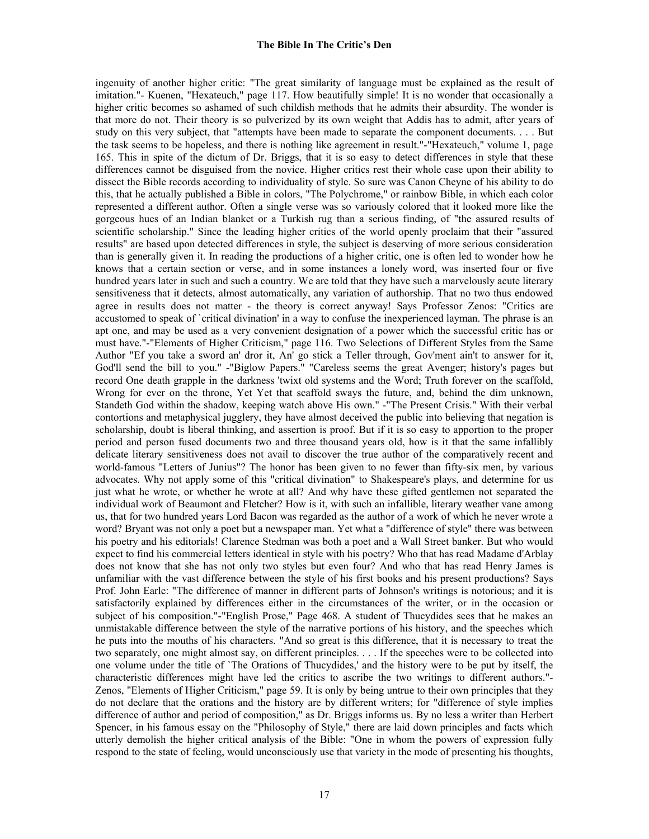ingenuity of another higher critic: "The great similarity of language must be explained as the result of imitation."- Kuenen, "Hexateuch," page 117. How beautifully simple! It is no wonder that occasionally a higher critic becomes so ashamed of such childish methods that he admits their absurdity. The wonder is that more do not. Their theory is so pulverized by its own weight that Addis has to admit, after years of study on this very subject, that "attempts have been made to separate the component documents. . . . But the task seems to be hopeless, and there is nothing like agreement in result."-"Hexateuch," volume 1, page 165. This in spite of the dictum of Dr. Briggs, that it is so easy to detect differences in style that these differences cannot be disguised from the novice. Higher critics rest their whole case upon their ability to dissect the Bible records according to individuality of style. So sure was Canon Cheyne of his ability to do this, that he actually published a Bible in colors, "The Polychrome," or rainbow Bible, in which each color represented a different author. Often a single verse was so variously colored that it looked more like the gorgeous hues of an Indian blanket or a Turkish rug than a serious finding, of "the assured results of scientific scholarship." Since the leading higher critics of the world openly proclaim that their "assured results" are based upon detected differences in style, the subject is deserving of more serious consideration than is generally given it. In reading the productions of a higher critic, one is often led to wonder how he knows that a certain section or verse, and in some instances a lonely word, was inserted four or five hundred years later in such and such a country. We are told that they have such a marvelously acute literary sensitiveness that it detects, almost automatically, any variation of authorship. That no two thus endowed agree in results does not matter - the theory is correct anyway! Says Professor Zenos: "Critics are accustomed to speak of `critical divination' in a way to confuse the inexperienced layman. The phrase is an apt one, and may be used as a very convenient designation of a power which the successful critic has or must have."-"Elements of Higher Criticism," page 116. Two Selections of Different Styles from the Same Author "Ef you take a sword an' dror it, An' go stick a Teller through, Gov'ment ain't to answer for it, God'll send the bill to you." -"Biglow Papers." "Careless seems the great Avenger; history's pages but record One death grapple in the darkness 'twixt old systems and the Word; Truth forever on the scaffold, Wrong for ever on the throne, Yet Yet that scaffold sways the future, and, behind the dim unknown, Standeth God within the shadow, keeping watch above His own." -"The Present Crisis." With their verbal contortions and metaphysical jugglery, they have almost deceived the public into believing that negation is scholarship, doubt is liberal thinking, and assertion is proof. But if it is so easy to apportion to the proper period and person fused documents two and three thousand years old, how is it that the same infallibly delicate literary sensitiveness does not avail to discover the true author of the comparatively recent and world-famous "Letters of Junius"? The honor has been given to no fewer than fifty-six men, by various advocates. Why not apply some of this "critical divination" to Shakespeare's plays, and determine for us just what he wrote, or whether he wrote at all? And why have these gifted gentlemen not separated the individual work of Beaumont and Fletcher? How is it, with such an infallible, literary weather vane among us, that for two hundred years Lord Bacon was regarded as the author of a work of which he never wrote a word? Bryant was not only a poet but a newspaper man. Yet what a "difference of style" there was between his poetry and his editorials! Clarence Stedman was both a poet and a Wall Street banker. But who would expect to find his commercial letters identical in style with his poetry? Who that has read Madame d'Arblay does not know that she has not only two styles but even four? And who that has read Henry James is unfamiliar with the vast difference between the style of his first books and his present productions? Says Prof. John Earle: "The difference of manner in different parts of Johnson's writings is notorious; and it is satisfactorily explained by differences either in the circumstances of the writer, or in the occasion or subject of his composition."-"English Prose," Page 468. A student of Thucydides sees that he makes an unmistakable difference between the style of the narrative portions of his history, and the speeches which he puts into the mouths of his characters. "And so great is this difference, that it is necessary to treat the two separately, one might almost say, on different principles. . . . If the speeches were to be collected into one volume under the title of `The Orations of Thucydides,' and the history were to be put by itself, the characteristic differences might have led the critics to ascribe the two writings to different authors."- Zenos, "Elements of Higher Criticism," page 59. It is only by being untrue to their own principles that they do not declare that the orations and the history are by different writers; for "difference of style implies difference of author and period of composition," as Dr. Briggs informs us. By no less a writer than Herbert Spencer, in his famous essay on the "Philosophy of Style," there are laid down principles and facts which utterly demolish the higher critical analysis of the Bible: "One in whom the powers of expression fully respond to the state of feeling, would unconsciously use that variety in the mode of presenting his thoughts,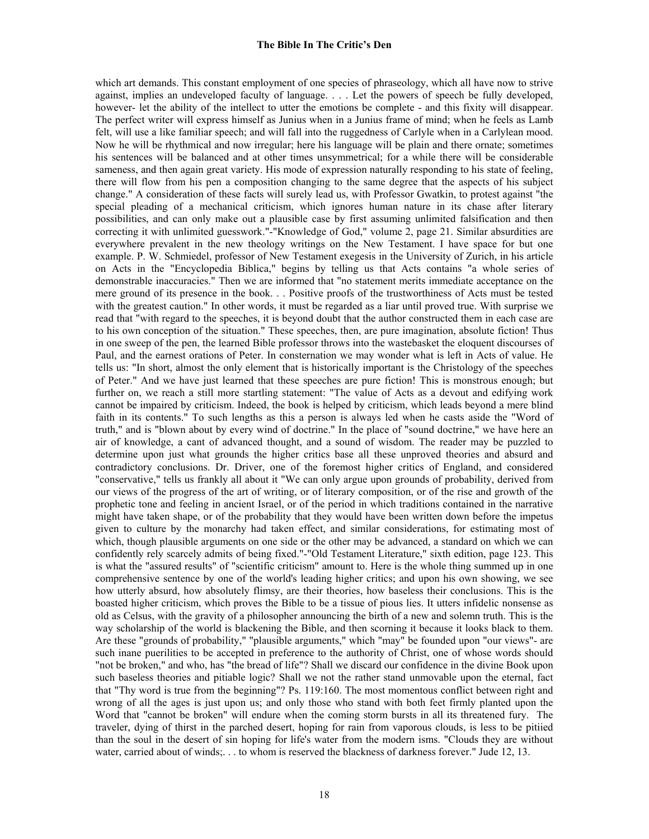which art demands. This constant employment of one species of phraseology, which all have now to strive against, implies an undeveloped faculty of language. . . . Let the powers of speech be fully developed, however- let the ability of the intellect to utter the emotions be complete - and this fixity will disappear. The perfect writer will express himself as Junius when in a Junius frame of mind; when he feels as Lamb felt, will use a like familiar speech; and will fall into the ruggedness of Carlyle when in a Carlylean mood. Now he will be rhythmical and now irregular; here his language will be plain and there ornate; sometimes his sentences will be balanced and at other times unsymmetrical; for a while there will be considerable sameness, and then again great variety. His mode of expression naturally responding to his state of feeling, there will flow from his pen a composition changing to the same degree that the aspects of his subject change." A consideration of these facts will surely lead us, with Professor Gwatkin, to protest against "the special pleading of a mechanical criticism, which ignores human nature in its chase after literary possibilities, and can only make out a plausible case by first assuming unlimited falsification and then correcting it with unlimited guesswork."-"Knowledge of God," volume 2, page 21. Similar absurdities are everywhere prevalent in the new theology writings on the New Testament. I have space for but one example. P. W. Schmiedel, professor of New Testament exegesis in the University of Zurich, in his article on Acts in the "Encyclopedia Biblica," begins by telling us that Acts contains "a whole series of demonstrable inaccuracies." Then we are informed that "no statement merits immediate acceptance on the mere ground of its presence in the book. . . Positive proofs of the trustworthiness of Acts must be tested with the greatest caution." In other words, it must be regarded as a liar until proved true. With surprise we read that "with regard to the speeches, it is beyond doubt that the author constructed them in each case are to his own conception of the situation." These speeches, then, are pure imagination, absolute fiction! Thus in one sweep of the pen, the learned Bible professor throws into the wastebasket the eloquent discourses of Paul, and the earnest orations of Peter. In consternation we may wonder what is left in Acts of value. He tells us: "In short, almost the only element that is historically important is the Christology of the speeches of Peter." And we have just learned that these speeches are pure fiction! This is monstrous enough; but further on, we reach a still more startling statement: "The value of Acts as a devout and edifying work cannot be impaired by criticism. Indeed, the book is helped by criticism, which leads beyond a mere blind faith in its contents." To such lengths as this a person is always led when he casts aside the "Word of truth," and is "blown about by every wind of doctrine." In the place of "sound doctrine," we have here an air of knowledge, a cant of advanced thought, and a sound of wisdom. The reader may be puzzled to determine upon just what grounds the higher critics base all these unproved theories and absurd and contradictory conclusions. Dr. Driver, one of the foremost higher critics of England, and considered "conservative," tells us frankly all about it "We can only argue upon grounds of probability, derived from our views of the progress of the art of writing, or of literary composition, or of the rise and growth of the prophetic tone and feeling in ancient Israel, or of the period in which traditions contained in the narrative might have taken shape, or of the probability that they would have been written down before the impetus given to culture by the monarchy had taken effect, and similar considerations, for estimating most of which, though plausible arguments on one side or the other may be advanced, a standard on which we can confidently rely scarcely admits of being fixed."-"Old Testament Literature," sixth edition, page 123. This is what the "assured results" of "scientific criticism" amount to. Here is the whole thing summed up in one comprehensive sentence by one of the world's leading higher critics; and upon his own showing, we see how utterly absurd, how absolutely flimsy, are their theories, how baseless their conclusions. This is the boasted higher criticism, which proves the Bible to be a tissue of pious lies. It utters infidelic nonsense as old as Celsus, with the gravity of a philosopher announcing the birth of a new and solemn truth. This is the way scholarship of the world is blackening the Bible, and then scorning it because it looks black to them. Are these "grounds of probability," "plausible arguments," which "may" be founded upon "our views"- are such inane puerilities to be accepted in preference to the authority of Christ, one of whose words should "not be broken," and who, has "the bread of life"? Shall we discard our confidence in the divine Book upon such baseless theories and pitiable logic? Shall we not the rather stand unmovable upon the eternal, fact that "Thy word is true from the beginning"? Ps. 119:160. The most momentous conflict between right and wrong of all the ages is just upon us; and only those who stand with both feet firmly planted upon the Word that "cannot be broken" will endure when the coming storm bursts in all its threatened fury. The traveler, dying of thirst in the parched desert, hoping for rain from vaporous clouds, is less to be pitiied than the soul in the desert of sin hoping for life's water from the modern isms. "Clouds they are without water, carried about of winds;... to whom is reserved the blackness of darkness forever." Jude 12, 13.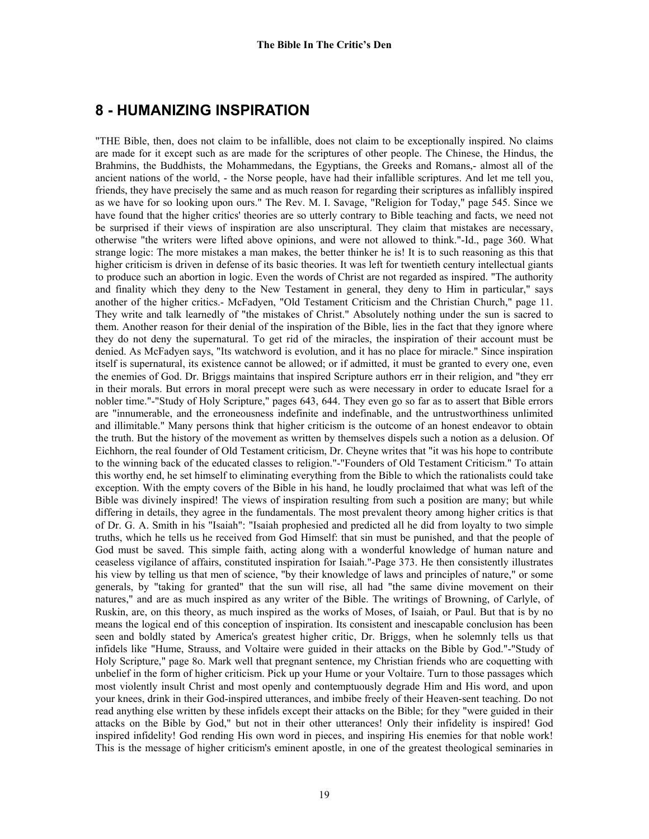## **8 - HUMANIZING INSPIRATION**

"THE Bible, then, does not claim to be infallible, does not claim to be exceptionally inspired. No claims are made for it except such as are made for the scriptures of other people. The Chinese, the Hindus, the Brahmins, the Buddhists, the Mohammedans, the Egyptians, the Greeks and Romans,- almost all of the ancient nations of the world, - the Norse people, have had their infallible scriptures. And let me tell you, friends, they have precisely the same and as much reason for regarding their scriptures as infallibly inspired as we have for so looking upon ours." The Rev. M. I. Savage, "Religion for Today," page 545. Since we have found that the higher critics' theories are so utterly contrary to Bible teaching and facts, we need not be surprised if their views of inspiration are also unscriptural. They claim that mistakes are necessary, otherwise "the writers were lifted above opinions, and were not allowed to think."-Id., page 360. What strange logic: The more mistakes a man makes, the better thinker he is! It is to such reasoning as this that higher criticism is driven in defense of its basic theories. It was left for twentieth century intellectual giants to produce such an abortion in logic. Even the words of Christ are not regarded as inspired. "The authority and finality which they deny to the New Testament in general, they deny to Him in particular," says another of the higher critics.- McFadyen, "Old Testament Criticism and the Christian Church," page 11. They write and talk learnedly of "the mistakes of Christ." Absolutely nothing under the sun is sacred to them. Another reason for their denial of the inspiration of the Bible, lies in the fact that they ignore where they do not deny the supernatural. To get rid of the miracles, the inspiration of their account must be denied. As McFadyen says, "Its watchword is evolution, and it has no place for miracle." Since inspiration itself is supernatural, its existence cannot be allowed; or if admitted, it must be granted to every one, even the enemies of God. Dr. Briggs maintains that inspired Scripture authors err in their religion, and "they err in their morals. But errors in moral precept were such as were necessary in order to educate Israel for a nobler time."-"Study of Holy Scripture," pages 643, 644. They even go so far as to assert that Bible errors are "innumerable, and the erroneousness indefinite and indefinable, and the untrustworthiness unlimited and illimitable." Many persons think that higher criticism is the outcome of an honest endeavor to obtain the truth. But the history of the movement as written by themselves dispels such a notion as a delusion. Of Eichhorn, the real founder of Old Testament criticism, Dr. Cheyne writes that "it was his hope to contribute to the winning back of the educated classes to religion."-"Founders of Old Testament Criticism." To attain this worthy end, he set himself to eliminating everything from the Bible to which the rationalists could take exception. With the empty covers of the Bible in his hand, he loudly proclaimed that what was left of the Bible was divinely inspired! The views of inspiration resulting from such a position are many; but while differing in details, they agree in the fundamentals. The most prevalent theory among higher critics is that of Dr. G. A. Smith in his "Isaiah": "Isaiah prophesied and predicted all he did from loyalty to two simple truths, which he tells us he received from God Himself: that sin must be punished, and that the people of God must be saved. This simple faith, acting along with a wonderful knowledge of human nature and ceaseless vigilance of affairs, constituted inspiration for Isaiah."-Page 373. He then consistently illustrates his view by telling us that men of science, "by their knowledge of laws and principles of nature," or some generals, by "taking for granted" that the sun will rise, all had "the same divine movement on their natures," and are as much inspired as any writer of the Bible. The writings of Browning, of Carlyle, of Ruskin, are, on this theory, as much inspired as the works of Moses, of Isaiah, or Paul. But that is by no means the logical end of this conception of inspiration. Its consistent and inescapable conclusion has been seen and boldly stated by America's greatest higher critic, Dr. Briggs, when he solemnly tells us that infidels like "Hume, Strauss, and Voltaire were guided in their attacks on the Bible by God."-"Study of Holy Scripture," page 8o. Mark well that pregnant sentence, my Christian friends who are coquetting with unbelief in the form of higher criticism. Pick up your Hume or your Voltaire. Turn to those passages which most violently insult Christ and most openly and contemptuously degrade Him and His word, and upon your knees, drink in their God-inspired utterances, and imbibe freely of their Heaven-sent teaching. Do not read anything else written by these infidels except their attacks on the Bible; for they "were guided in their attacks on the Bible by God," but not in their other utterances! Only their infidelity is inspired! God inspired infidelity! God rending His own word in pieces, and inspiring His enemies for that noble work! This is the message of higher criticism's eminent apostle, in one of the greatest theological seminaries in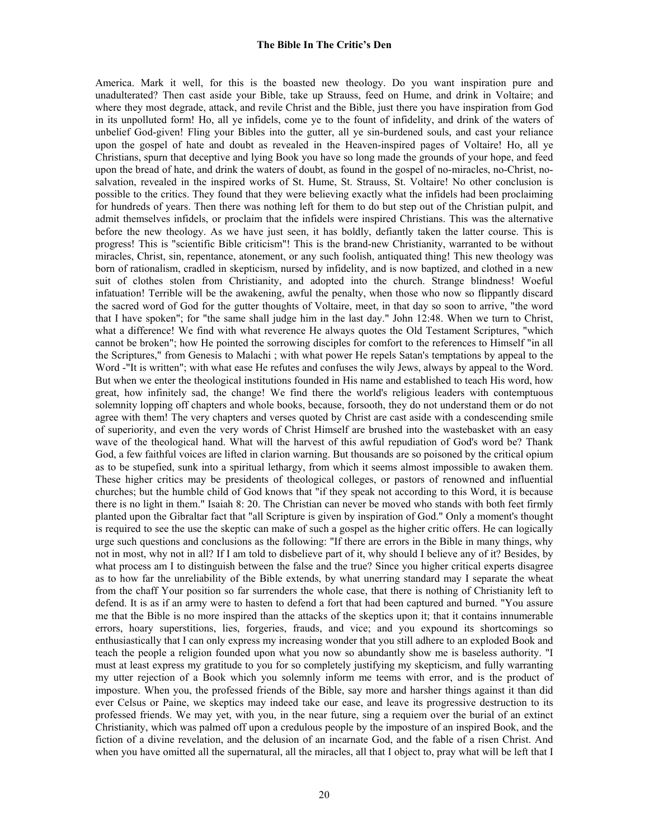America. Mark it well, for this is the boasted new theology. Do you want inspiration pure and unadulterated? Then cast aside your Bible, take up Strauss, feed on Hume, and drink in Voltaire; and where they most degrade, attack, and revile Christ and the Bible, just there you have inspiration from God in its unpolluted form! Ho, all ye infidels, come ye to the fount of infidelity, and drink of the waters of unbelief God-given! Fling your Bibles into the gutter, all ye sin-burdened souls, and cast your reliance upon the gospel of hate and doubt as revealed in the Heaven-inspired pages of Voltaire! Ho, all ye Christians, spurn that deceptive and lying Book you have so long made the grounds of your hope, and feed upon the bread of hate, and drink the waters of doubt, as found in the gospel of no-miracles, no-Christ, nosalvation, revealed in the inspired works of St. Hume, St. Strauss, St. Voltaire! No other conclusion is possible to the critics. They found that they were believing exactly what the infidels had been proclaiming for hundreds of years. Then there was nothing left for them to do but step out of the Christian pulpit, and admit themselves infidels, or proclaim that the infidels were inspired Christians. This was the alternative before the new theology. As we have just seen, it has boldly, defiantly taken the latter course. This is progress! This is "scientific Bible criticism"! This is the brand-new Christianity, warranted to be without miracles, Christ, sin, repentance, atonement, or any such foolish, antiquated thing! This new theology was born of rationalism, cradled in skepticism, nursed by infidelity, and is now baptized, and clothed in a new suit of clothes stolen from Christianity, and adopted into the church. Strange blindness! Woeful infatuation! Terrible will be the awakening, awful the penalty, when those who now so flippantly discard the sacred word of God for the gutter thoughts of Voltaire, meet, in that day so soon to arrive, "the word that I have spoken"; for "the same shall judge him in the last day." John 12:48. When we turn to Christ, what a difference! We find with what reverence He always quotes the Old Testament Scriptures, "which cannot be broken"; how He pointed the sorrowing disciples for comfort to the references to Himself "in all the Scriptures," from Genesis to Malachi ; with what power He repels Satan's temptations by appeal to the Word -"It is written"; with what ease He refutes and confuses the wily Jews, always by appeal to the Word. But when we enter the theological institutions founded in His name and established to teach His word, how great, how infinitely sad, the change! We find there the world's religious leaders with contemptuous solemnity lopping off chapters and whole books, because, forsooth, they do not understand them or do not agree with them! The very chapters and verses quoted by Christ are cast aside with a condescending smile of superiority, and even the very words of Christ Himself are brushed into the wastebasket with an easy wave of the theological hand. What will the harvest of this awful repudiation of God's word be? Thank God, a few faithful voices are lifted in clarion warning. But thousands are so poisoned by the critical opium as to be stupefied, sunk into a spiritual lethargy, from which it seems almost impossible to awaken them. These higher critics may be presidents of theological colleges, or pastors of renowned and influential churches; but the humble child of God knows that "if they speak not according to this Word, it is because there is no light in them." Isaiah 8: 20. The Christian can never be moved who stands with both feet firmly planted upon the Gibraltar fact that "all Scripture is given by inspiration of God." Only a moment's thought is required to see the use the skeptic can make of such a gospel as the higher critic offers. He can logically urge such questions and conclusions as the following: "If there are errors in the Bible in many things, why not in most, why not in all? If I am told to disbelieve part of it, why should I believe any of it? Besides, by what process am I to distinguish between the false and the true? Since you higher critical experts disagree as to how far the unreliability of the Bible extends, by what unerring standard may I separate the wheat from the chaff Your position so far surrenders the whole case, that there is nothing of Christianity left to defend. It is as if an army were to hasten to defend a fort that had been captured and burned. "You assure me that the Bible is no more inspired than the attacks of the skeptics upon it; that it contains innumerable errors, hoary superstitions, lies, forgeries, frauds, and vice; and you expound its shortcomings so enthusiastically that I can only express my increasing wonder that you still adhere to an exploded Book and teach the people a religion founded upon what you now so abundantly show me is baseless authority. "I must at least express my gratitude to you for so completely justifying my skepticism, and fully warranting my utter rejection of a Book which you solemnly inform me teems with error, and is the product of imposture. When you, the professed friends of the Bible, say more and harsher things against it than did ever Celsus or Paine, we skeptics may indeed take our ease, and leave its progressive destruction to its professed friends. We may yet, with you, in the near future, sing a requiem over the burial of an extinct Christianity, which was palmed off upon a credulous people by the imposture of an inspired Book, and the fiction of a divine revelation, and the delusion of an incarnate God, and the fable of a risen Christ. And when you have omitted all the supernatural, all the miracles, all that I object to, pray what will be left that I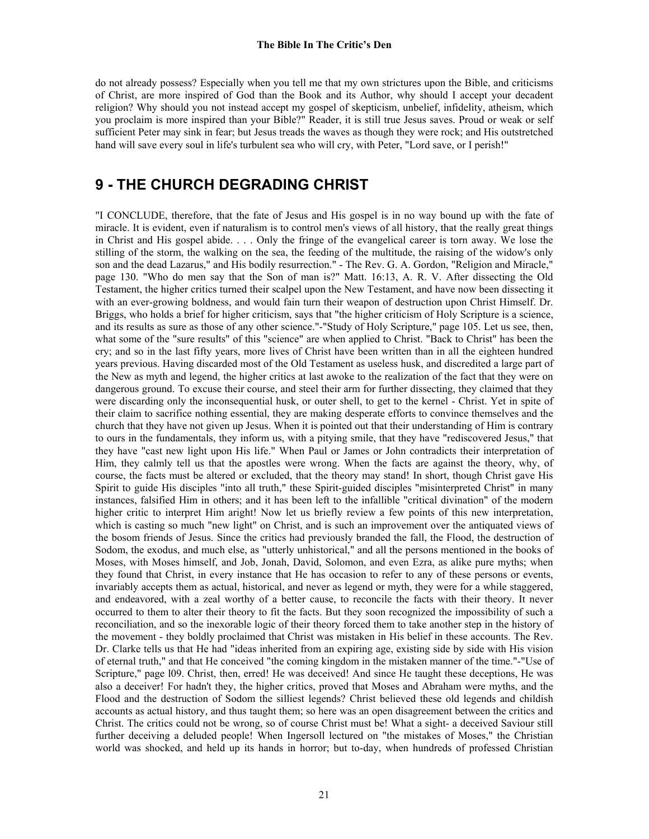do not already possess? Especially when you tell me that my own strictures upon the Bible, and criticisms of Christ, are more inspired of God than the Book and its Author, why should I accept your decadent religion? Why should you not instead accept my gospel of skepticism, unbelief, infidelity, atheism, which you proclaim is more inspired than your Bible?" Reader, it is still true Jesus saves. Proud or weak or self sufficient Peter may sink in fear; but Jesus treads the waves as though they were rock; and His outstretched hand will save every soul in life's turbulent sea who will cry, with Peter, "Lord save, or I perish!"

# **9 - THE CHURCH DEGRADING CHRIST**

"I CONCLUDE, therefore, that the fate of Jesus and His gospel is in no way bound up with the fate of miracle. It is evident, even if naturalism is to control men's views of all history, that the really great things in Christ and His gospel abide. . . . Only the fringe of the evangelical career is torn away. We lose the stilling of the storm, the walking on the sea, the feeding of the multitude, the raising of the widow's only son and the dead Lazarus," and His bodily resurrection." - The Rev. G. A. Gordon, "Religion and Miracle," page 130. "Who do men say that the Son of man is?" Matt. 16:13, A. R. V. After dissecting the Old Testament, the higher critics turned their scalpel upon the New Testament, and have now been dissecting it with an ever-growing boldness, and would fain turn their weapon of destruction upon Christ Himself. Dr. Briggs, who holds a brief for higher criticism, says that "the higher criticism of Holy Scripture is a science, and its results as sure as those of any other science."-"Study of Holy Scripture," page 105. Let us see, then, what some of the "sure results" of this "science" are when applied to Christ. "Back to Christ" has been the cry; and so in the last fifty years, more lives of Christ have been written than in all the eighteen hundred years previous. Having discarded most of the Old Testament as useless husk, and discredited a large part of the New as myth and legend, the higher critics at last awoke to the realization of the fact that they were on dangerous ground. To excuse their course, and steel their arm for further dissecting, they claimed that they were discarding only the inconsequential husk, or outer shell, to get to the kernel - Christ. Yet in spite of their claim to sacrifice nothing essential, they are making desperate efforts to convince themselves and the church that they have not given up Jesus. When it is pointed out that their understanding of Him is contrary to ours in the fundamentals, they inform us, with a pitying smile, that they have "rediscovered Jesus," that they have "cast new light upon His life." When Paul or James or John contradicts their interpretation of Him, they calmly tell us that the apostles were wrong. When the facts are against the theory, why, of course, the facts must be altered or excluded, that the theory may stand! In short, though Christ gave His Spirit to guide His disciples "into all truth," these Spirit-guided disciples "misinterpreted Christ" in many instances, falsified Him in others; and it has been left to the infallible "critical divination" of the modern higher critic to interpret Him aright! Now let us briefly review a few points of this new interpretation, which is casting so much "new light" on Christ, and is such an improvement over the antiquated views of the bosom friends of Jesus. Since the critics had previously branded the fall, the Flood, the destruction of Sodom, the exodus, and much else, as "utterly unhistorical," and all the persons mentioned in the books of Moses, with Moses himself, and Job, Jonah, David, Solomon, and even Ezra, as alike pure myths; when they found that Christ, in every instance that He has occasion to refer to any of these persons or events, invariably accepts them as actual, historical, and never as legend or myth, they were for a while staggered, and endeavored, with a zeal worthy of a better cause, to reconcile the facts with their theory. It never occurred to them to alter their theory to fit the facts. But they soon recognized the impossibility of such a reconciliation, and so the inexorable logic of their theory forced them to take another step in the history of the movement - they boldly proclaimed that Christ was mistaken in His belief in these accounts. The Rev. Dr. Clarke tells us that He had "ideas inherited from an expiring age, existing side by side with His vision of eternal truth," and that He conceived "the coming kingdom in the mistaken manner of the time."-"Use of Scripture," page l09. Christ, then, erred! He was deceived! And since He taught these deceptions, He was also a deceiver! For hadn't they, the higher critics, proved that Moses and Abraham were myths, and the Flood and the destruction of Sodom the silliest legends? Christ believed these old legends and childish accounts as actual history, and thus taught them; so here was an open disagreement between the critics and Christ. The critics could not be wrong, so of course Christ must be! What a sight- a deceived Saviour still further deceiving a deluded people! When Ingersoll lectured on "the mistakes of Moses," the Christian world was shocked, and held up its hands in horror; but to-day, when hundreds of professed Christian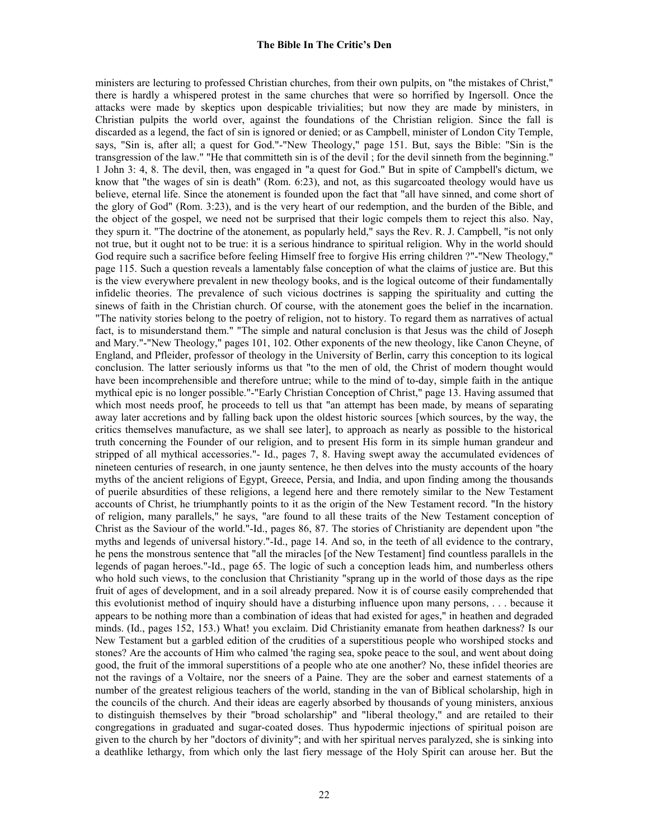ministers are lecturing to professed Christian churches, from their own pulpits, on "the mistakes of Christ," there is hardly a whispered protest in the same churches that were so horrified by Ingersoll. Once the attacks were made by skeptics upon despicable trivialities; but now they are made by ministers, in Christian pulpits the world over, against the foundations of the Christian religion. Since the fall is discarded as a legend, the fact of sin is ignored or denied; or as Campbell, minister of London City Temple, says, "Sin is, after all; a quest for God."-"New Theology," page 151. But, says the Bible: "Sin is the transgression of the law." "He that committeth sin is of the devil ; for the devil sinneth from the beginning." 1 John 3: 4, 8. The devil, then, was engaged in "a quest for God." But in spite of Campbell's dictum, we know that "the wages of sin is death" (Rom. 6:23), and not, as this sugarcoated theology would have us believe, eternal life. Since the atonement is founded upon the fact that "all have sinned, and come short of the glory of God" (Rom. 3:23), and is the very heart of our redemption, and the burden of the Bible, and the object of the gospel, we need not be surprised that their logic compels them to reject this also. Nay, they spurn it. "The doctrine of the atonement, as popularly held," says the Rev. R. J. Campbell, "is not only not true, but it ought not to be true: it is a serious hindrance to spiritual religion. Why in the world should God require such a sacrifice before feeling Himself free to forgive His erring children ?"-"New Theology," page 115. Such a question reveals a lamentably false conception of what the claims of justice are. But this is the view everywhere prevalent in new theology books, and is the logical outcome of their fundamentally infidelic theories. The prevalence of such vicious doctrines is sapping the spirituality and cutting the sinews of faith in the Christian church. Of course, with the atonement goes the belief in the incarnation. "The nativity stories belong to the poetry of religion, not to history. To regard them as narratives of actual fact, is to misunderstand them." "The simple and natural conclusion is that Jesus was the child of Joseph and Mary."-"New Theology," pages 101, 102. Other exponents of the new theology, like Canon Cheyne, of England, and Pfleider, professor of theology in the University of Berlin, carry this conception to its logical conclusion. The latter seriously informs us that "to the men of old, the Christ of modern thought would have been incomprehensible and therefore untrue; while to the mind of to-day, simple faith in the antique mythical epic is no longer possible."-"Early Christian Conception of Christ," page 13. Having assumed that which most needs proof, he proceeds to tell us that "an attempt has been made, by means of separating away later accretions and by falling back upon the oldest historic sources [which sources, by the way, the critics themselves manufacture, as we shall see later], to approach as nearly as possible to the historical truth concerning the Founder of our religion, and to present His form in its simple human grandeur and stripped of all mythical accessories."- Id., pages 7, 8. Having swept away the accumulated evidences of nineteen centuries of research, in one jaunty sentence, he then delves into the musty accounts of the hoary myths of the ancient religions of Egypt, Greece, Persia, and India, and upon finding among the thousands of puerile absurdities of these religions, a legend here and there remotely similar to the New Testament accounts of Christ, he triumphantly points to it as the origin of the New Testament record. "In the history of religion, many parallels," he says, "are found to all these traits of the New Testament conception of Christ as the Saviour of the world."-Id., pages 86, 87. The stories of Christianity are dependent upon "the myths and legends of universal history."-Id., page 14. And so, in the teeth of all evidence to the contrary, he pens the monstrous sentence that "all the miracles [of the New Testament] find countless parallels in the legends of pagan heroes."-Id., page 65. The logic of such a conception leads him, and numberless others who hold such views, to the conclusion that Christianity "sprang up in the world of those days as the ripe fruit of ages of development, and in a soil already prepared. Now it is of course easily comprehended that this evolutionist method of inquiry should have a disturbing influence upon many persons, . . . because it appears to be nothing more than a combination of ideas that had existed for ages," in heathen and degraded minds. (Id., pages 152, 153.) What! you exclaim. Did Christianity emanate from heathen darkness? Is our New Testament but a garbled edition of the crudities of a superstitious people who worshiped stocks and stones? Are the accounts of Him who calmed 'the raging sea, spoke peace to the soul, and went about doing good, the fruit of the immoral superstitions of a people who ate one another? No, these infidel theories are not the ravings of a Voltaire, nor the sneers of a Paine. They are the sober and earnest statements of a number of the greatest religious teachers of the world, standing in the van of Biblical scholarship, high in the councils of the church. And their ideas are eagerly absorbed by thousands of young ministers, anxious to distinguish themselves by their "broad scholarship" and "liberal theology," and are retailed to their congregations in graduated and sugar-coated doses. Thus hypodermic injections of spiritual poison are given to the church by her "doctors of divinity"; and with her spiritual nerves paralyzed, she is sinking into a deathlike lethargy, from which only the last fiery message of the Holy Spirit can arouse her. But the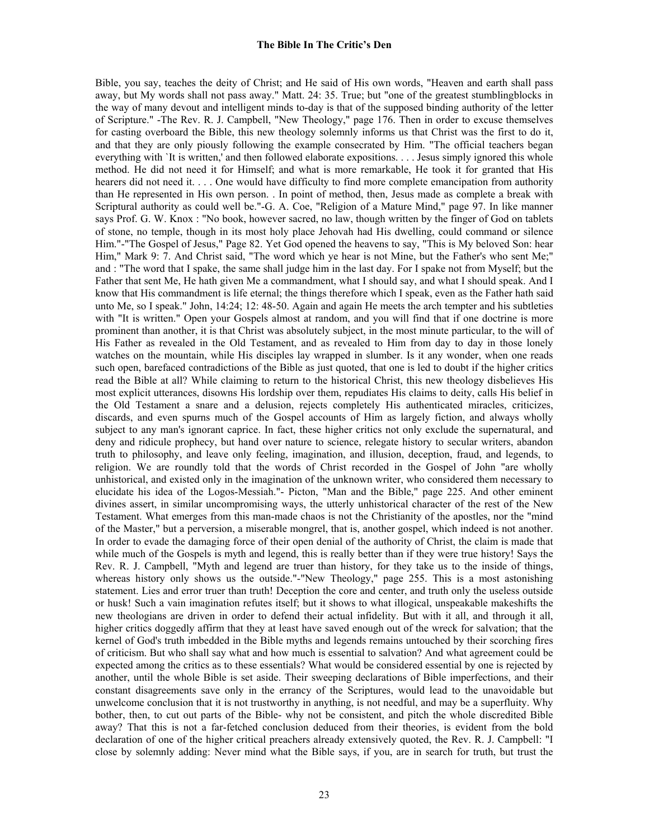Bible, you say, teaches the deity of Christ; and He said of His own words, "Heaven and earth shall pass away, but My words shall not pass away." Matt. 24: 35. True; but "one of the greatest stumblingblocks in the way of many devout and intelligent minds to-day is that of the supposed binding authority of the letter of Scripture." -The Rev. R. J. Campbell, "New Theology," page 176. Then in order to excuse themselves for casting overboard the Bible, this new theology solemnly informs us that Christ was the first to do it, and that they are only piously following the example consecrated by Him. "The official teachers began everything with `It is written,' and then followed elaborate expositions. . . . Jesus simply ignored this whole method. He did not need it for Himself; and what is more remarkable, He took it for granted that His hearers did not need it. . . . One would have difficulty to find more complete emancipation from authority than He represented in His own person. . In point of method, then, Jesus made as complete a break with Scriptural authority as could well be."-G. A. Coe, "Religion of a Mature Mind," page 97. In like manner says Prof. G. W. Knox : "No book, however sacred, no law, though written by the finger of God on tablets of stone, no temple, though in its most holy place Jehovah had His dwelling, could command or silence Him."-"The Gospel of Jesus," Page 82. Yet God opened the heavens to say, "This is My beloved Son: hear Him," Mark 9: 7. And Christ said, "The word which ye hear is not Mine, but the Father's who sent Me;" and : "The word that I spake, the same shall judge him in the last day. For I spake not from Myself; but the Father that sent Me, He hath given Me a commandment, what I should say, and what I should speak. And I know that His commandment is life eternal; the things therefore which I speak, even as the Father hath said unto Me, so I speak." John, 14:24; 12: 48-50. Again and again He meets the arch tempter and his subtleties with "It is written." Open your Gospels almost at random, and you will find that if one doctrine is more prominent than another, it is that Christ was absolutely subject, in the most minute particular, to the will of His Father as revealed in the Old Testament, and as revealed to Him from day to day in those lonely watches on the mountain, while His disciples lay wrapped in slumber. Is it any wonder, when one reads such open, barefaced contradictions of the Bible as just quoted, that one is led to doubt if the higher critics read the Bible at all? While claiming to return to the historical Christ, this new theology disbelieves His most explicit utterances, disowns His lordship over them, repudiates His claims to deity, calls His belief in the Old Testament a snare and a delusion, rejects completely His authenticated miracles, criticizes, discards, and even spurns much of the Gospel accounts of Him as largely fiction, and always wholly subject to any man's ignorant caprice. In fact, these higher critics not only exclude the supernatural, and deny and ridicule prophecy, but hand over nature to science, relegate history to secular writers, abandon truth to philosophy, and leave only feeling, imagination, and illusion, deception, fraud, and legends, to religion. We are roundly told that the words of Christ recorded in the Gospel of John "are wholly unhistorical, and existed only in the imagination of the unknown writer, who considered them necessary to elucidate his idea of the Logos-Messiah."- Picton, "Man and the Bible," page 225. And other eminent divines assert, in similar uncompromising ways, the utterly unhistorical character of the rest of the New Testament. What emerges from this man-made chaos is not the Christianity of the apostles, nor the "mind of the Master," but a perversion, a miserable mongrel, that is, another gospel, which indeed is not another. In order to evade the damaging force of their open denial of the authority of Christ, the claim is made that while much of the Gospels is myth and legend, this is really better than if they were true history! Says the Rev. R. J. Campbell, "Myth and legend are truer than history, for they take us to the inside of things, whereas history only shows us the outside."-"New Theology," page 255. This is a most astonishing statement. Lies and error truer than truth! Deception the core and center, and truth only the useless outside or husk! Such a vain imagination refutes itself; but it shows to what illogical, unspeakable makeshifts the new theologians are driven in order to defend their actual infidelity. But with it all, and through it all, higher critics doggedly affirm that they at least have saved enough out of the wreck for salvation; that the kernel of God's truth imbedded in the Bible myths and legends remains untouched by their scorching fires of criticism. But who shall say what and how much is essential to salvation? And what agreement could be expected among the critics as to these essentials? What would be considered essential by one is rejected by another, until the whole Bible is set aside. Their sweeping declarations of Bible imperfections, and their constant disagreements save only in the errancy of the Scriptures, would lead to the unavoidable but unwelcome conclusion that it is not trustworthy in anything, is not needful, and may be a superfluity. Why bother, then, to cut out parts of the Bible- why not be consistent, and pitch the whole discredited Bible away? That this is not a far-fetched conclusion deduced from their theories, is evident from the bold declaration of one of the higher critical preachers already extensively quoted, the Rev. R. J. Campbell: "I close by solemnly adding: Never mind what the Bible says, if you, are in search for truth, but trust the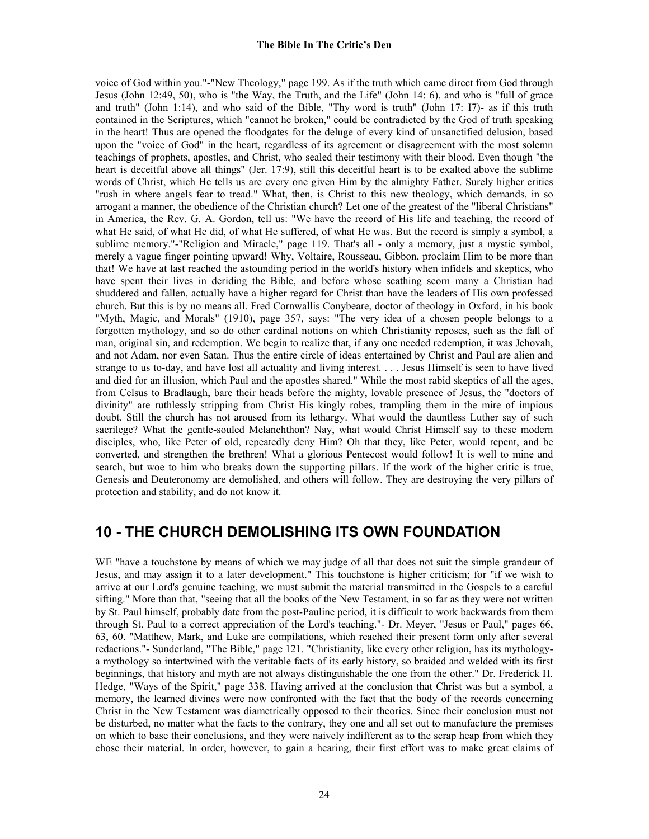voice of God within you."-"New Theology," page 199. As if the truth which came direct from God through Jesus (John 12:49, 50), who is "the Way, the Truth, and the Life" (John 14: 6), and who is "full of grace and truth" (John 1:14), and who said of the Bible, "Thy word is truth" (John 17: I7)- as if this truth contained in the Scriptures, which "cannot he broken," could be contradicted by the God of truth speaking in the heart! Thus are opened the floodgates for the deluge of every kind of unsanctified delusion, based upon the "voice of God" in the heart, regardless of its agreement or disagreement with the most solemn teachings of prophets, apostles, and Christ, who sealed their testimony with their blood. Even though "the heart is deceitful above all things" (Jer. 17:9), still this deceitful heart is to be exalted above the sublime words of Christ, which He tells us are every one given Him by the almighty Father. Surely higher critics "rush in where angels fear to tread." What, then, is Christ to this new theology, which demands, in so arrogant a manner, the obedience of the Christian church? Let one of the greatest of the "liberal Christians" in America, the Rev. G. A. Gordon, tell us: "We have the record of His life and teaching, the record of what He said, of what He did, of what He suffered, of what He was. But the record is simply a symbol, a sublime memory."-"Religion and Miracle," page 119. That's all - only a memory, just a mystic symbol, merely a vague finger pointing upward! Why, Voltaire, Rousseau, Gibbon, proclaim Him to be more than that! We have at last reached the astounding period in the world's history when infidels and skeptics, who have spent their lives in deriding the Bible, and before whose scathing scorn many a Christian had shuddered and fallen, actually have a higher regard for Christ than have the leaders of His own professed church. But this is by no means all. Fred Cornwallis Conybeare, doctor of theology in Oxford, in his book "Myth, Magic, and Morals" (1910), page 357, says: "The very idea of a chosen people belongs to a forgotten mythology, and so do other cardinal notions on which Christianity reposes, such as the fall of man, original sin, and redemption. We begin to realize that, if any one needed redemption, it was Jehovah, and not Adam, nor even Satan. Thus the entire circle of ideas entertained by Christ and Paul are alien and strange to us to-day, and have lost all actuality and living interest. . . . Jesus Himself is seen to have lived and died for an illusion, which Paul and the apostles shared." While the most rabid skeptics of all the ages, from Celsus to Bradlaugh, bare their heads before the mighty, lovable presence of Jesus, the "doctors of divinity" are ruthlessly stripping from Christ His kingly robes, trampling them in the mire of impious doubt. Still the church has not aroused from its lethargy. What would the dauntless Luther say of such sacrilege? What the gentle-souled Melanchthon? Nay, what would Christ Himself say to these modern disciples, who, like Peter of old, repeatedly deny Him? Oh that they, like Peter, would repent, and be converted, and strengthen the brethren! What a glorious Pentecost would follow! It is well to mine and search, but woe to him who breaks down the supporting pillars. If the work of the higher critic is true, Genesis and Deuteronomy are demolished, and others will follow. They are destroying the very pillars of protection and stability, and do not know it.

# **10 - THE CHURCH DEMOLISHING ITS OWN FOUNDATION**

WE "have a touchstone by means of which we may judge of all that does not suit the simple grandeur of Jesus, and may assign it to a later development." This touchstone is higher criticism; for "if we wish to arrive at our Lord's genuine teaching, we must submit the material transmitted in the Gospels to a careful sifting." More than that, "seeing that all the books of the New Testament, in so far as they were not written by St. Paul himself, probably date from the post-Pauline period, it is difficult to work backwards from them through St. Paul to a correct appreciation of the Lord's teaching."- Dr. Meyer, "Jesus or Paul," pages 66, 63, 60. "Matthew, Mark, and Luke are compilations, which reached their present form only after several redactions."- Sunderland, "The Bible," page 121. "Christianity, like every other religion, has its mythologya mythology so intertwined with the veritable facts of its early history, so braided and welded with its first beginnings, that history and myth are not always distinguishable the one from the other." Dr. Frederick H. Hedge, "Ways of the Spirit," page 338. Having arrived at the conclusion that Christ was but a symbol, a memory, the learned divines were now confronted with the fact that the body of the records concerning Christ in the New Testament was diametrically opposed to their theories. Since their conclusion must not be disturbed, no matter what the facts to the contrary, they one and all set out to manufacture the premises on which to base their conclusions, and they were naively indifferent as to the scrap heap from which they chose their material. In order, however, to gain a hearing, their first effort was to make great claims of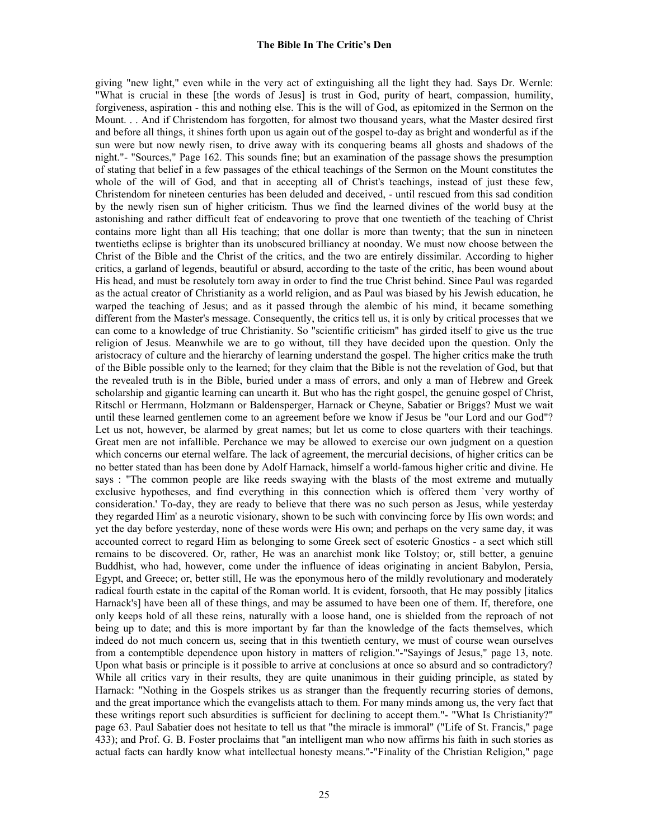giving "new light," even while in the very act of extinguishing all the light they had. Says Dr. Wernle: "What is crucial in these [the words of Jesus] is trust in God, purity of heart, compassion, humility, forgiveness, aspiration - this and nothing else. This is the will of God, as epitomized in the Sermon on the Mount. . . And if Christendom has forgotten, for almost two thousand years, what the Master desired first and before all things, it shines forth upon us again out of the gospel to-day as bright and wonderful as if the sun were but now newly risen, to drive away with its conquering beams all ghosts and shadows of the night."- "Sources," Page 162. This sounds fine; but an examination of the passage shows the presumption of stating that belief in a few passages of the ethical teachings of the Sermon on the Mount constitutes the whole of the will of God, and that in accepting all of Christ's teachings, instead of just these few, Christendom for nineteen centuries has been deluded and deceived, - until rescued from this sad condition by the newly risen sun of higher criticism. Thus we find the learned divines of the world busy at the astonishing and rather difficult feat of endeavoring to prove that one twentieth of the teaching of Christ contains more light than all His teaching; that one dollar is more than twenty; that the sun in nineteen twentieths eclipse is brighter than its unobscured brilliancy at noonday. We must now choose between the Christ of the Bible and the Christ of the critics, and the two are entirely dissimilar. According to higher critics, a garland of legends, beautiful or absurd, according to the taste of the critic, has been wound about His head, and must be resolutely torn away in order to find the true Christ behind. Since Paul was regarded as the actual creator of Christianity as a world religion, and as Paul was biased by his Jewish education, he warped the teaching of Jesus; and as it passed through the alembic of his mind, it became something different from the Master's message. Consequently, the critics tell us, it is only by critical processes that we can come to a knowledge of true Christianity. So "scientific criticism" has girded itself to give us the true religion of Jesus. Meanwhile we are to go without, till they have decided upon the question. Only the aristocracy of culture and the hierarchy of learning understand the gospel. The higher critics make the truth of the Bible possible only to the learned; for they claim that the Bible is not the revelation of God, but that the revealed truth is in the Bible, buried under a mass of errors, and only a man of Hebrew and Greek scholarship and gigantic learning can unearth it. But who has the right gospel, the genuine gospel of Christ, Ritschl or Herrmann, Holzmann or Baldensperger, Harnack or Cheyne, Sabatier or Briggs? Must we wait until these learned gentlemen come to an agreement before we know if Jesus be "our Lord and our God"? Let us not, however, be alarmed by great names; but let us come to close quarters with their teachings. Great men are not infallible. Perchance we may be allowed to exercise our own judgment on a question which concerns our eternal welfare. The lack of agreement, the mercurial decisions, of higher critics can be no better stated than has been done by Adolf Harnack, himself a world-famous higher critic and divine. He says : "The common people are like reeds swaying with the blasts of the most extreme and mutually exclusive hypotheses, and find everything in this connection which is offered them `very worthy of consideration.' To-day, they are ready to believe that there was no such person as Jesus, while yesterday they regarded Him' as a neurotic visionary, shown to be such with convincing force by His own words; and yet the day before yesterday, none of these words were His own; and perhaps on the very same day, it was accounted correct to regard Him as belonging to some Greek sect of esoteric Gnostics - a sect which still remains to be discovered. Or, rather, He was an anarchist monk like Tolstoy; or, still better, a genuine Buddhist, who had, however, come under the influence of ideas originating in ancient Babylon, Persia, Egypt, and Greece; or, better still, He was the eponymous hero of the mildly revolutionary and moderately radical fourth estate in the capital of the Roman world. It is evident, forsooth, that He may possibly [italics Harnack's] have been all of these things, and may be assumed to have been one of them. If, therefore, one only keeps hold of all these reins, naturally with a loose hand, one is shielded from the reproach of not being up to date; and this is more important by far than the knowledge of the facts themselves, which indeed do not much concern us, seeing that in this twentieth century, we must of course wean ourselves from a contemptible dependence upon history in matters of religion."-"Sayings of Jesus," page 13, note. Upon what basis or principle is it possible to arrive at conclusions at once so absurd and so contradictory? While all critics vary in their results, they are quite unanimous in their guiding principle, as stated by Harnack: "Nothing in the Gospels strikes us as stranger than the frequently recurring stories of demons, and the great importance which the evangelists attach to them. For many minds among us, the very fact that these writings report such absurdities is sufficient for declining to accept them."- "What Is Christianity?" page 63. Paul Sabatier does not hesitate to tell us that "the miracle is immoral" ("Life of St. Francis," page 433); and Prof. G. B. Foster proclaims that "an intelligent man who now affirms his faith in such stories as actual facts can hardly know what intellectual honesty means."-"Finality of the Christian Religion," page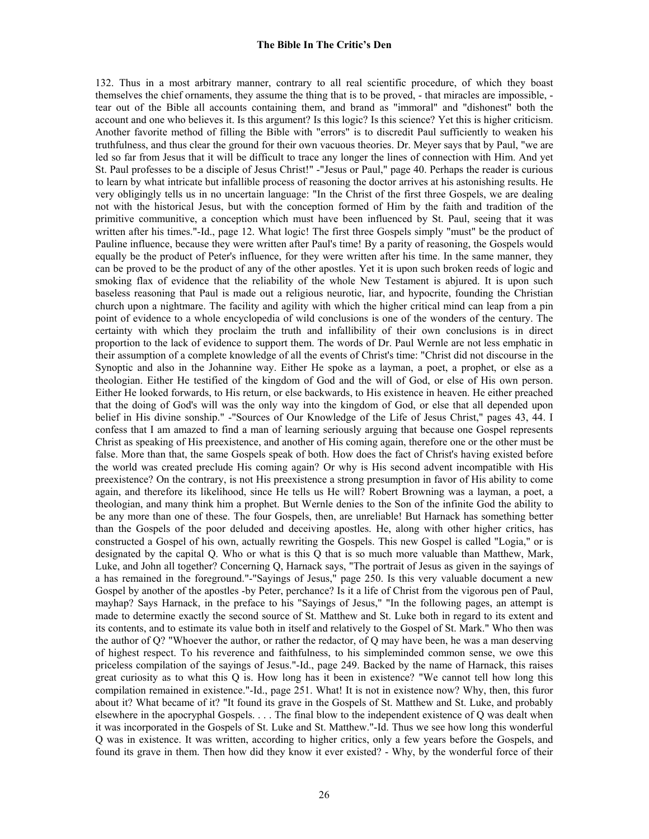132. Thus in a most arbitrary manner, contrary to all real scientific procedure, of which they boast themselves the chief ornaments, they assume the thing that is to be proved, - that miracles are impossible, tear out of the Bible all accounts containing them, and brand as "immoral" and "dishonest" both the account and one who believes it. Is this argument? Is this logic? Is this science? Yet this is higher criticism. Another favorite method of filling the Bible with "errors" is to discredit Paul sufficiently to weaken his truthfulness, and thus clear the ground for their own vacuous theories. Dr. Meyer says that by Paul, "we are led so far from Jesus that it will be difficult to trace any longer the lines of connection with Him. And yet St. Paul professes to be a disciple of Jesus Christ!" -"Jesus or Paul," page 40. Perhaps the reader is curious to learn by what intricate but infallible process of reasoning the doctor arrives at his astonishing results. He very obligingly tells us in no uncertain language: "In the Christ of the first three Gospels, we are dealing not with the historical Jesus, but with the conception formed of Him by the faith and tradition of the primitive communitive, a conception which must have been influenced by St. Paul, seeing that it was written after his times."-Id., page 12. What logic! The first three Gospels simply "must" be the product of Pauline influence, because they were written after Paul's time! By a parity of reasoning, the Gospels would equally be the product of Peter's influence, for they were written after his time. In the same manner, they can be proved to be the product of any of the other apostles. Yet it is upon such broken reeds of logic and smoking flax of evidence that the reliability of the whole New Testament is abjured. It is upon such baseless reasoning that Paul is made out a religious neurotic, liar, and hypocrite, founding the Christian church upon a nightmare. The facility and agility with which the higher critical mind can leap from a pin point of evidence to a whole encyclopedia of wild conclusions is one of the wonders of the century. The certainty with which they proclaim the truth and infallibility of their own conclusions is in direct proportion to the lack of evidence to support them. The words of Dr. Paul Wernle are not less emphatic in their assumption of a complete knowledge of all the events of Christ's time: "Christ did not discourse in the Synoptic and also in the Johannine way. Either He spoke as a layman, a poet, a prophet, or else as a theologian. Either He testified of the kingdom of God and the will of God, or else of His own person. Either He looked forwards, to His return, or else backwards, to His existence in heaven. He either preached that the doing of God's will was the only way into the kingdom of God, or else that all depended upon belief in His divine sonship." -"Sources of Our Knowledge of the Life of Jesus Christ," pages 43, 44. I confess that I am amazed to find a man of learning seriously arguing that because one Gospel represents Christ as speaking of His preexistence, and another of His coming again, therefore one or the other must be false. More than that, the same Gospels speak of both. How does the fact of Christ's having existed before the world was created preclude His coming again? Or why is His second advent incompatible with His preexistence? On the contrary, is not His preexistence a strong presumption in favor of His ability to come again, and therefore its likelihood, since He tells us He will? Robert Browning was a layman, a poet, a theologian, and many think him a prophet. But Wernle denies to the Son of the infinite God the ability to be any more than one of these. The four Gospels, then, are unreliable! But Harnack has something better than the Gospels of the poor deluded and deceiving apostles. He, along with other higher critics, has constructed a Gospel of his own, actually rewriting the Gospels. This new Gospel is called "Logia," or is designated by the capital Q. Who or what is this Q that is so much more valuable than Matthew, Mark, Luke, and John all together? Concerning Q, Harnack says, "The portrait of Jesus as given in the sayings of a has remained in the foreground."-"Sayings of Jesus," page 250. Is this very valuable document a new Gospel by another of the apostles -by Peter, perchance? Is it a life of Christ from the vigorous pen of Paul, mayhap? Says Harnack, in the preface to his "Sayings of Jesus," "In the following pages, an attempt is made to determine exactly the second source of St. Matthew and St. Luke both in regard to its extent and its contents, and to estimate its value both in itself and relatively to the Gospel of St. Mark." Who then was the author of Q? "Whoever the author, or rather the redactor, of Q may have been, he was a man deserving of highest respect. To his reverence and faithfulness, to his simpleminded common sense, we owe this priceless compilation of the sayings of Jesus."-Id., page 249. Backed by the name of Harnack, this raises great curiosity as to what this Q is. How long has it been in existence? "We cannot tell how long this compilation remained in existence."-Id., page 251. What! It is not in existence now? Why, then, this furor about it? What became of it? "It found its grave in the Gospels of St. Matthew and St. Luke, and probably elsewhere in the apocryphal Gospels. . . . The final blow to the independent existence of Q was dealt when it was incorporated in the Gospels of St. Luke and St. Matthew."-Id. Thus we see how long this wonderful Q was in existence. It was written, according to higher critics, only a few years before the Gospels, and found its grave in them. Then how did they know it ever existed? - Why, by the wonderful force of their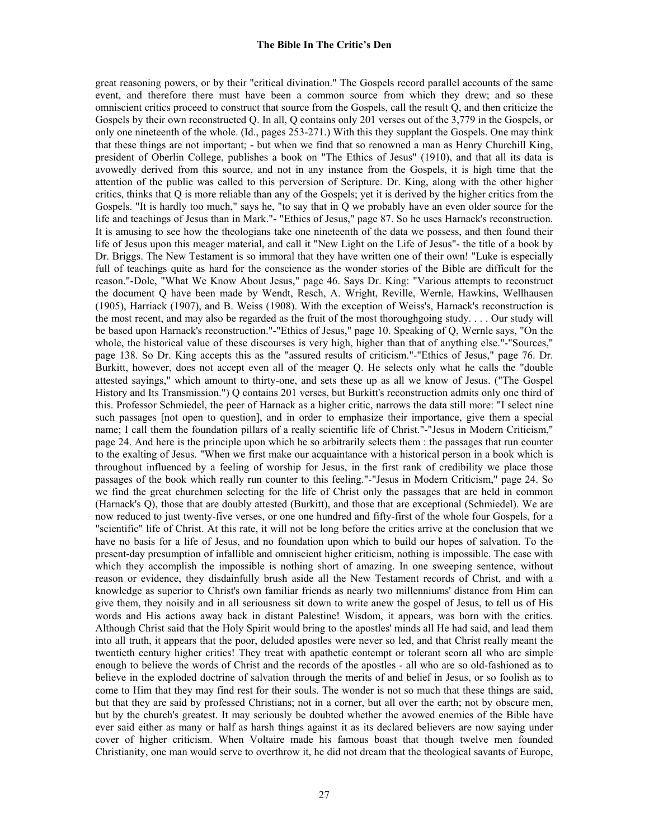great reasoning powers, or by their "critical divination." The Gospels record parallel accounts of the same event, and therefore there must have been a common source from which they drew; and so these omniscient critics proceed to construct that source from the Gospels, call the result Q, and then criticize the Gospels by their own reconstructed Q. In all, Q contains only 201 verses out of the 3,779 in the Gospels, or only one nineteenth of the whole. (Id., pages 253-271.) With this they supplant the Gospels. One may think that these things are not important; - but when we find that so renowned a man as Henry Churchill King, president of Oberlin College, publishes a book on "The Ethics of Jesus" (1910), and that all its data is avowedly derived from this source, and not in any instance from the Gospels, it is high time that the attention of the public was called to this perversion of Scripture. Dr. King, along with the other higher critics, thinks that Q is more reliable than any of the Gospels; yet it is derived by the higher critics from the Gospels. "It is hardly too much," says he, "to say that in Q we probably have an even older source for the life and teachings of Jesus than in Mark."- "Ethics of Jesus," page 87. So he uses Harnack's reconstruction. It is amusing to see how the theologians take one nineteenth of the data we possess, and then found their life of Jesus upon this meager material, and call it "New Light on the Life of Jesus"- the title of a book by Dr. Briggs. The New Testament is so immoral that they have written one of their own! "Luke is especially full of teachings quite as hard for the conscience as the wonder stories of the Bible are difficult for the reason."-Dole, "What We Know About Jesus," page 46. Says Dr. King: "Various attempts to reconstruct the document Q have been made by Wendt, Resch, A. Wright, Reville, Wernle, Hawkins, Wellhausen (1905), Harriack (1907), and B. Weiss (1908). With the exception of Weiss's, Harnack's reconstruction is the most recent, and may also be regarded as the fruit of the most thoroughgoing study. . . . Our study will be based upon Harnack's reconstruction."-"Ethics of Jesus," page 10. Speaking of Q, Wernle says, "On the whole, the historical value of these discourses is very high, higher than that of anything else."-"Sources," page 138. So Dr. King accepts this as the "assured results of criticism."-"Ethics of Jesus," page 76. Dr. Burkitt, however, does not accept even all of the meager Q. He selects only what he calls the "double attested sayings," which amount to thirty-one, and sets these up as all we know of Jesus. ("The Gospel History and Its Transmission.") Q contains 201 verses, but Burkitt's reconstruction admits only one third of this. Professor Schmiedel, the peer of Harnack as a higher critic, narrows the data still more: "I select nine such passages [not open to question], and in order to emphasize their importance, give them a special name; I call them the foundation pillars of a really scientific life of Christ."-"Jesus in Modern Criticism," page 24. And here is the principle upon which he so arbitrarily selects them : the passages that run counter to the exalting of Jesus. "When we first make our acquaintance with a historical person in a book which is throughout influenced by a feeling of worship for Jesus, in the first rank of credibility we place those passages of the book which really run counter to this feeling."-"Jesus in Modern Criticism," page 24. So we find the great churchmen selecting for the life of Christ only the passages that are held in common (Harnack's Q), those that are doubly attested (Burkitt), and those that are exceptional (Schmiedel). We are now reduced to just twenty-five verses, or one one hundred and fifty-first of the whole four Gospels, for a "scientific" life of Christ. At this rate, it will not be long before the critics arrive at the conclusion that we have no basis for a life of Jesus, and no foundation upon which to build our hopes of salvation. To the present-day presumption of infallible and omniscient higher criticism, nothing is impossible. The ease with which they accomplish the impossible is nothing short of amazing. In one sweeping sentence, without reason or evidence, they disdainfully brush aside all the New Testament records of Christ, and with a knowledge as superior to Christ's own familiar friends as nearly two millenniums' distance from Him can give them, they noisily and in all seriousness sit down to write anew the gospel of Jesus, to tell us of His words and His actions away back in distant Palestine! Wisdom, it appears, was born with the critics. Although Christ said that the Holy Spirit would bring to the apostles' minds all He had said, and lead them into all truth, it appears that the poor, deluded apostles were never so led, and that Christ really meant the twentieth century higher critics! They treat with apathetic contempt or tolerant scorn all who are simple enough to believe the words of Christ and the records of the apostles - all who are so old-fashioned as to believe in the exploded doctrine of salvation through the merits of and belief in Jesus, or so foolish as to come to Him that they may find rest for their souls. The wonder is not so much that these things are said, but that they are said by professed Christians; not in a corner, but all over the earth; not by obscure men, but by the church's greatest. It may seriously be doubted whether the avowed enemies of the Bible have ever said either as many or half as harsh things against it as its declared believers are now saying under cover of higher criticism. When Voltaire made his famous boast that though twelve men founded Christianity, one man would serve to overthrow it, he did not dream that the theological savants of Europe,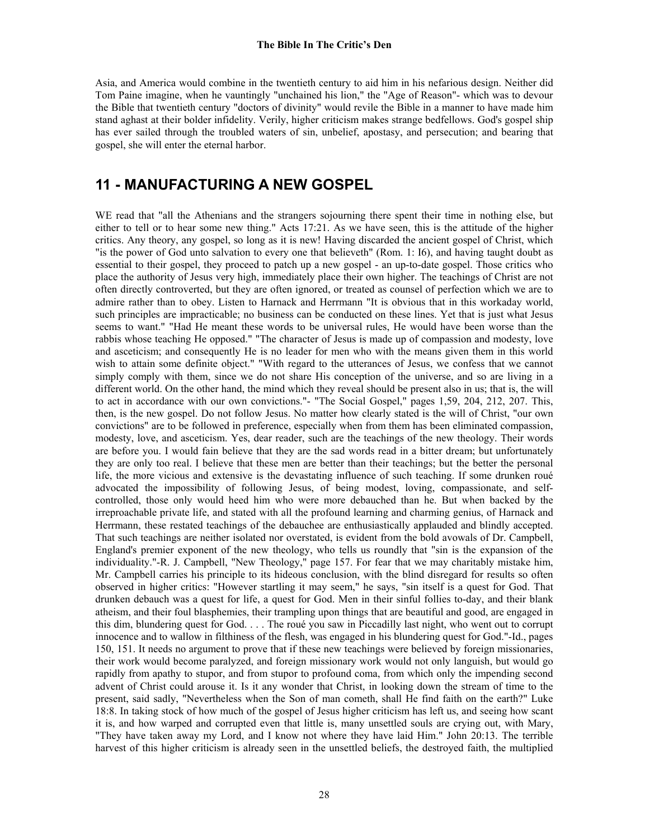Asia, and America would combine in the twentieth century to aid him in his nefarious design. Neither did Tom Paine imagine, when he vauntingly "unchained his lion," the "Age of Reason"- which was to devour the Bible that twentieth century "doctors of divinity" would revile the Bible in a manner to have made him stand aghast at their bolder infidelity. Verily, higher criticism makes strange bedfellows. God's gospel ship has ever sailed through the troubled waters of sin, unbelief, apostasy, and persecution; and bearing that gospel, she will enter the eternal harbor.

# **11 - MANUFACTURING A NEW GOSPEL**

WE read that "all the Athenians and the strangers sojourning there spent their time in nothing else, but either to tell or to hear some new thing." Acts 17:21. As we have seen, this is the attitude of the higher critics. Any theory, any gospel, so long as it is new! Having discarded the ancient gospel of Christ, which "is the power of God unto salvation to every one that believeth" (Rom. 1: I6), and having taught doubt as essential to their gospel, they proceed to patch up a new gospel - an up-to-date gospel. Those critics who place the authority of Jesus very high, immediately place their own higher. The teachings of Christ are not often directly controverted, but they are often ignored, or treated as counsel of perfection which we are to admire rather than to obey. Listen to Harnack and Herrmann "It is obvious that in this workaday world, such principles are impracticable; no business can be conducted on these lines. Yet that is just what Jesus seems to want." "Had He meant these words to be universal rules, He would have been worse than the rabbis whose teaching He opposed." "The character of Jesus is made up of compassion and modesty, love and asceticism; and consequently He is no leader for men who with the means given them in this world wish to attain some definite object." "With regard to the utterances of Jesus, we confess that we cannot simply comply with them, since we do not share His conception of the universe, and so are living in a different world. On the other hand, the mind which they reveal should be present also in us; that is, the will to act in accordance with our own convictions."- "The Social Gospel," pages 1,59, 204, 212, 207. This, then, is the new gospel. Do not follow Jesus. No matter how clearly stated is the will of Christ, "our own convictions" are to be followed in preference, especially when from them has been eliminated compassion, modesty, love, and asceticism. Yes, dear reader, such are the teachings of the new theology. Their words are before you. I would fain believe that they are the sad words read in a bitter dream; but unfortunately they are only too real. I believe that these men are better than their teachings; but the better the personal life, the more vicious and extensive is the devastating influence of such teaching. If some drunken roué advocated the impossibility of following Jesus, of being modest, loving, compassionate, and selfcontrolled, those only would heed him who were more debauched than he. But when backed by the irreproachable private life, and stated with all the profound learning and charming genius, of Harnack and Herrmann, these restated teachings of the debauchee are enthusiastically applauded and blindly accepted. That such teachings are neither isolated nor overstated, is evident from the bold avowals of Dr. Campbell, England's premier exponent of the new theology, who tells us roundly that "sin is the expansion of the individuality."-R. J. Campbell, "New Theology," page 157. For fear that we may charitably mistake him, Mr. Campbell carries his principle to its hideous conclusion, with the blind disregard for results so often observed in higher critics: "However startling it may seem," he says, "sin itself is a quest for God. That drunken debauch was a quest for life, a quest for God. Men in their sinful follies to-day, and their blank atheism, and their foul blasphemies, their trampling upon things that are beautiful and good, are engaged in this dim, blundering quest for God. . . . The roué you saw in Piccadilly last night, who went out to corrupt innocence and to wallow in filthiness of the flesh, was engaged in his blundering quest for God."-Id., pages 150, 151. It needs no argument to prove that if these new teachings were believed by foreign missionaries, their work would become paralyzed, and foreign missionary work would not only languish, but would go rapidly from apathy to stupor, and from stupor to profound coma, from which only the impending second advent of Christ could arouse it. Is it any wonder that Christ, in looking down the stream of time to the present, said sadly, "Nevertheless when the Son of man cometh, shall He find faith on the earth?" Luke 18:8. In taking stock of how much of the gospel of Jesus higher criticism has left us, and seeing how scant it is, and how warped and corrupted even that little is, many unsettled souls are crying out, with Mary, "They have taken away my Lord, and I know not where they have laid Him." John 20:13. The terrible harvest of this higher criticism is already seen in the unsettled beliefs, the destroyed faith, the multiplied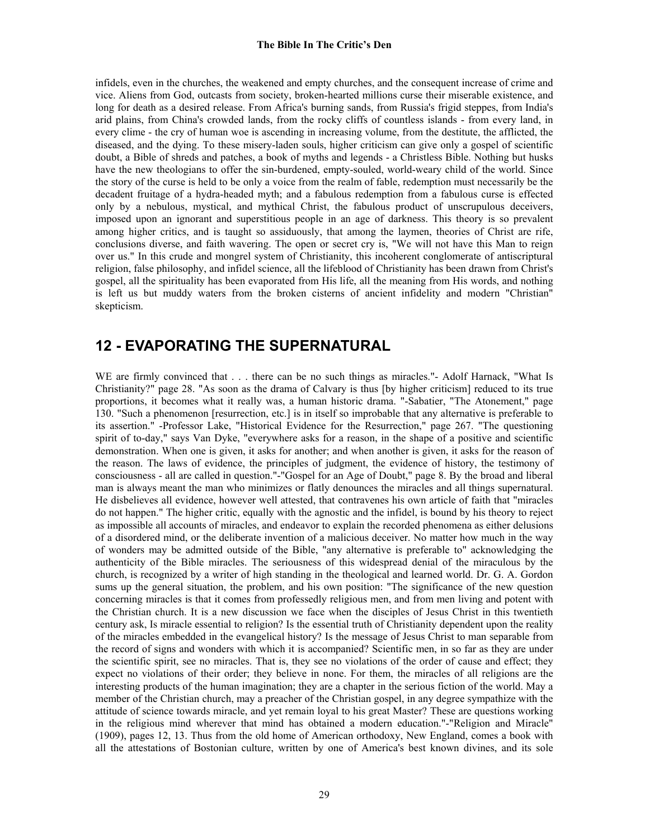infidels, even in the churches, the weakened and empty churches, and the consequent increase of crime and vice. Aliens from God, outcasts from society, broken-hearted millions curse their miserable existence, and long for death as a desired release. From Africa's burning sands, from Russia's frigid steppes, from India's arid plains, from China's crowded lands, from the rocky cliffs of countless islands - from every land, in every clime - the cry of human woe is ascending in increasing volume, from the destitute, the afflicted, the diseased, and the dying. To these misery-laden souls, higher criticism can give only a gospel of scientific doubt, a Bible of shreds and patches, a book of myths and legends - a Christless Bible. Nothing but husks have the new theologians to offer the sin-burdened, empty-souled, world-weary child of the world. Since the story of the curse is held to be only a voice from the realm of fable, redemption must necessarily be the decadent fruitage of a hydra-headed myth; and a fabulous redemption from a fabulous curse is effected only by a nebulous, mystical, and mythical Christ, the fabulous product of unscrupulous deceivers, imposed upon an ignorant and superstitious people in an age of darkness. This theory is so prevalent among higher critics, and is taught so assiduously, that among the laymen, theories of Christ are rife, conclusions diverse, and faith wavering. The open or secret cry is, "We will not have this Man to reign over us." In this crude and mongrel system of Christianity, this incoherent conglomerate of antiscriptural religion, false philosophy, and infidel science, all the lifeblood of Christianity has been drawn from Christ's gospel, all the spirituality has been evaporated from His life, all the meaning from His words, and nothing is left us but muddy waters from the broken cisterns of ancient infidelity and modern "Christian" skepticism.

# **12 - EVAPORATING THE SUPERNATURAL**

WE are firmly convinced that . . . there can be no such things as miracles."- Adolf Harnack, "What Is Christianity?" page 28. "As soon as the drama of Calvary is thus [by higher criticism] reduced to its true proportions, it becomes what it really was, a human historic drama. "-Sabatier, "The Atonement," page 130. "Such a phenomenon [resurrection, etc.] is in itself so improbable that any alternative is preferable to its assertion." -Professor Lake, "Historical Evidence for the Resurrection," page 267. "The questioning spirit of to-day," says Van Dyke, "everywhere asks for a reason, in the shape of a positive and scientific demonstration. When one is given, it asks for another; and when another is given, it asks for the reason of the reason. The laws of evidence, the principles of judgment, the evidence of history, the testimony of consciousness - all are called in question."-"Gospel for an Age of Doubt," page 8. By the broad and liberal man is always meant the man who minimizes or flatly denounces the miracles and all things supernatural. He disbelieves all evidence, however well attested, that contravenes his own article of faith that "miracles do not happen." The higher critic, equally with the agnostic and the infidel, is bound by his theory to reject as impossible all accounts of miracles, and endeavor to explain the recorded phenomena as either delusions of a disordered mind, or the deliberate invention of a malicious deceiver. No matter how much in the way of wonders may be admitted outside of the Bible, "any alternative is preferable to" acknowledging the authenticity of the Bible miracles. The seriousness of this widespread denial of the miraculous by the church, is recognized by a writer of high standing in the theological and learned world. Dr. G. A. Gordon sums up the general situation, the problem, and his own position: "The significance of the new question concerning miracles is that it comes from professedly religious men, and from men living and potent with the Christian church. It is a new discussion we face when the disciples of Jesus Christ in this twentieth century ask, Is miracle essential to religion? Is the essential truth of Christianity dependent upon the reality of the miracles embedded in the evangelical history? Is the message of Jesus Christ to man separable from the record of signs and wonders with which it is accompanied? Scientific men, in so far as they are under the scientific spirit, see no miracles. That is, they see no violations of the order of cause and effect; they expect no violations of their order; they believe in none. For them, the miracles of all religions are the interesting products of the human imagination; they are a chapter in the serious fiction of the world. May a member of the Christian church, may a preacher of the Christian gospel, in any degree sympathize with the attitude of science towards miracle, and yet remain loyal to his great Master? These are questions working in the religious mind wherever that mind has obtained a modern education."-"Religion and Miracle" (1909), pages 12, 13. Thus from the old home of American orthodoxy, New England, comes a book with all the attestations of Bostonian culture, written by one of America's best known divines, and its sole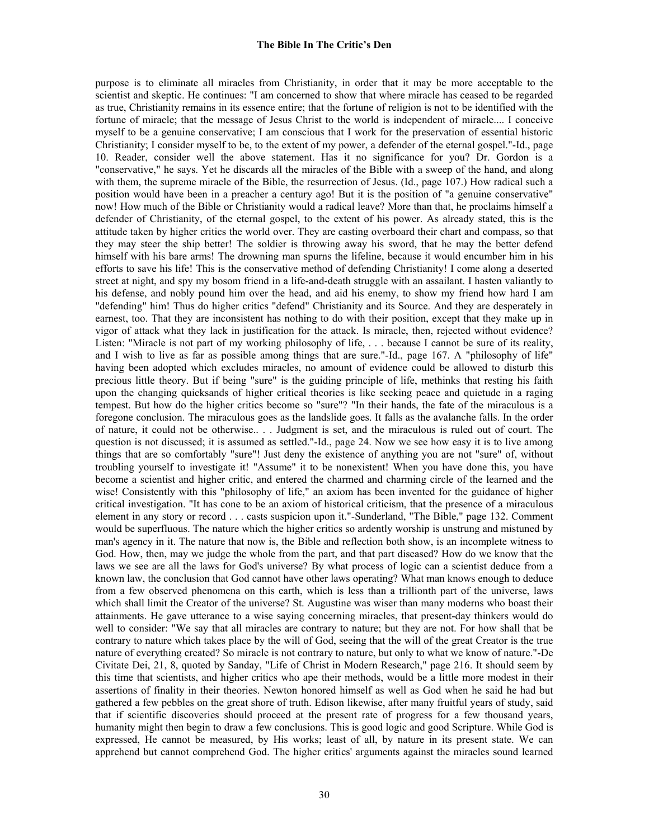purpose is to eliminate all miracles from Christianity, in order that it may be more acceptable to the scientist and skeptic. He continues: "I am concerned to show that where miracle has ceased to be regarded as true, Christianity remains in its essence entire; that the fortune of religion is not to be identified with the fortune of miracle; that the message of Jesus Christ to the world is independent of miracle.... I conceive myself to be a genuine conservative; I am conscious that I work for the preservation of essential historic Christianity; I consider myself to be, to the extent of my power, a defender of the eternal gospel."-Id., page 10. Reader, consider well the above statement. Has it no significance for you? Dr. Gordon is a "conservative," he says. Yet he discards all the miracles of the Bible with a sweep of the hand, and along with them, the supreme miracle of the Bible, the resurrection of Jesus. (Id., page 107.) How radical such a position would have been in a preacher a century ago! But it is the position of "a genuine conservative" now! How much of the Bible or Christianity would a radical leave? More than that, he proclaims himself a defender of Christianity, of the eternal gospel, to the extent of his power. As already stated, this is the attitude taken by higher critics the world over. They are casting overboard their chart and compass, so that they may steer the ship better! The soldier is throwing away his sword, that he may the better defend himself with his bare arms! The drowning man spurns the lifeline, because it would encumber him in his efforts to save his life! This is the conservative method of defending Christianity! I come along a deserted street at night, and spy my bosom friend in a life-and-death struggle with an assailant. I hasten valiantly to his defense, and nobly pound him over the head, and aid his enemy, to show my friend how hard I am "defending" him! Thus do higher critics "defend" Christianity and its Source. And they are desperately in earnest, too. That they are inconsistent has nothing to do with their position, except that they make up in vigor of attack what they lack in justification for the attack. Is miracle, then, rejected without evidence? Listen: "Miracle is not part of my working philosophy of life, . . . because I cannot be sure of its reality, and I wish to live as far as possible among things that are sure."-Id., page 167. A "philosophy of life" having been adopted which excludes miracles, no amount of evidence could be allowed to disturb this precious little theory. But if being "sure" is the guiding principle of life, methinks that resting his faith upon the changing quicksands of higher critical theories is like seeking peace and quietude in a raging tempest. But how do the higher critics become so "sure"? "In their hands, the fate of the miraculous is a foregone conclusion. The miraculous goes as the landslide goes. It falls as the avalanche falls. In the order of nature, it could not be otherwise.. . . Judgment is set, and the miraculous is ruled out of court. The question is not discussed; it is assumed as settled."-Id., page 24. Now we see how easy it is to live among things that are so comfortably "sure"! Just deny the existence of anything you are not "sure" of, without troubling yourself to investigate it! "Assume" it to be nonexistent! When you have done this, you have become a scientist and higher critic, and entered the charmed and charming circle of the learned and the wise! Consistently with this "philosophy of life," an axiom has been invented for the guidance of higher critical investigation. "It has cone to be an axiom of historical criticism, that the presence of a miraculous element in any story or record . . . casts suspicion upon it."-Sunderland, "The Bible," page 132. Comment would be superfluous. The nature which the higher critics so ardently worship is unstrung and mistuned by man's agency in it. The nature that now is, the Bible and reflection both show, is an incomplete witness to God. How, then, may we judge the whole from the part, and that part diseased? How do we know that the laws we see are all the laws for God's universe? By what process of logic can a scientist deduce from a known law, the conclusion that God cannot have other laws operating? What man knows enough to deduce from a few observed phenomena on this earth, which is less than a trillionth part of the universe, laws which shall limit the Creator of the universe? St. Augustine was wiser than many moderns who boast their attainments. He gave utterance to a wise saying concerning miracles, that present-day thinkers would do well to consider: "We say that all miracles are contrary to nature; but they are not. For how shall that be contrary to nature which takes place by the will of God, seeing that the will of the great Creator is the true nature of everything created? So miracle is not contrary to nature, but only to what we know of nature."-De Civitate Dei, 21, 8, quoted by Sanday, "Life of Christ in Modern Research," page 216. It should seem by this time that scientists, and higher critics who ape their methods, would be a little more modest in their assertions of finality in their theories. Newton honored himself as well as God when he said he had but gathered a few pebbles on the great shore of truth. Edison likewise, after many fruitful years of study, said that if scientific discoveries should proceed at the present rate of progress for a few thousand years, humanity might then begin to draw a few conclusions. This is good logic and good Scripture. While God is expressed, He cannot be measured, by His works; least of all, by nature in its present state. We can apprehend but cannot comprehend God. The higher critics' arguments against the miracles sound learned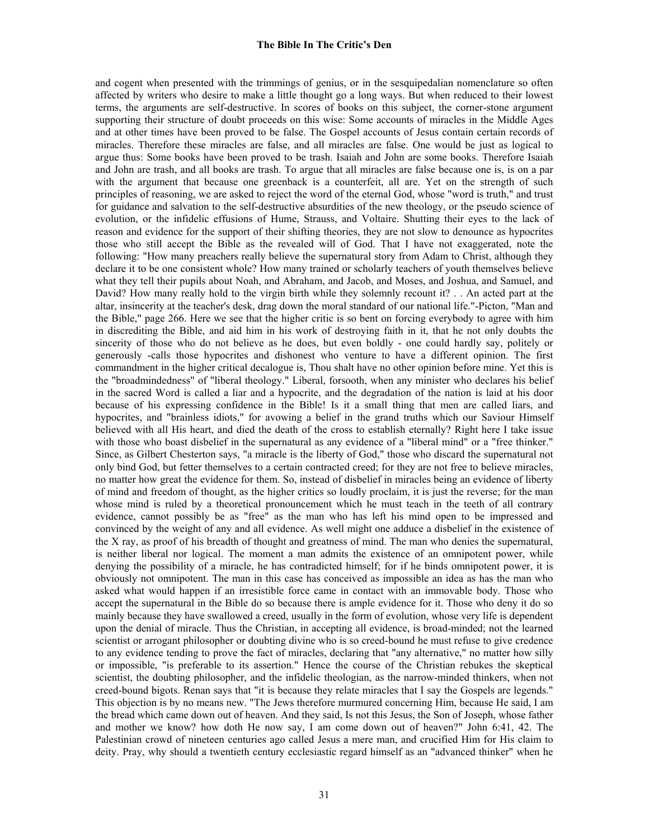and cogent when presented with the trimmings of genius, or in the sesquipedalian nomenclature so often affected by writers who desire to make a little thought go a long ways. But when reduced to their lowest terms, the arguments are self-destructive. In scores of books on this subject, the corner-stone argument supporting their structure of doubt proceeds on this wise: Some accounts of miracles in the Middle Ages and at other times have been proved to be false. The Gospel accounts of Jesus contain certain records of miracles. Therefore these miracles are false, and all miracles are false. One would be just as logical to argue thus: Some books have been proved to be trash. Isaiah and John are some books. Therefore Isaiah and John are trash, and all books are trash. To argue that all miracles are false because one is, is on a par with the argument that because one greenback is a counterfeit, all are. Yet on the strength of such principles of reasoning, we are asked to reject the word of the eternal God, whose "word is truth," and trust for guidance and salvation to the self-destructive absurdities of the new theology, or the pseudo science of evolution, or the infidelic effusions of Hume, Strauss, and Voltaire. Shutting their eyes to the lack of reason and evidence for the support of their shifting theories, they are not slow to denounce as hypocrites those who still accept the Bible as the revealed will of God. That I have not exaggerated, note the following: "How many preachers really believe the supernatural story from Adam to Christ, although they declare it to be one consistent whole? How many trained or scholarly teachers of youth themselves believe what they tell their pupils about Noah, and Abraham, and Jacob, and Moses, and Joshua, and Samuel, and David? How many really hold to the virgin birth while they solemnly recount it? . . An acted part at the altar, insincerity at the teacher's desk, drag down the moral standard of our national life."-Picton, "Man and the Bible," page 266. Here we see that the higher critic is so bent on forcing everybody to agree with him in discrediting the Bible, and aid him in his work of destroying faith in it, that he not only doubts the sincerity of those who do not believe as he does, but even boldly - one could hardly say, politely or generously -calls those hypocrites and dishonest who venture to have a different opinion. The first commandment in the higher critical decalogue is, Thou shalt have no other opinion before mine. Yet this is the "broadmindedness" of "liberal theology." Liberal, forsooth, when any minister who declares his belief in the sacred Word is called a liar and a hypocrite, and the degradation of the nation is laid at his door because of his expressing confidence in the Bible! Is it a small thing that men are called liars, and hypocrites, and "brainless idiots," for avowing a belief in the grand truths which our Saviour Himself believed with all His heart, and died the death of the cross to establish eternally? Right here I take issue with those who boast disbelief in the supernatural as any evidence of a "liberal mind" or a "free thinker." Since, as Gilbert Chesterton says, "a miracle is the liberty of God," those who discard the supernatural not only bind God, but fetter themselves to a certain contracted creed; for they are not free to believe miracles, no matter how great the evidence for them. So, instead of disbelief in miracles being an evidence of liberty of mind and freedom of thought, as the higher critics so loudly proclaim, it is just the reverse; for the man whose mind is ruled by a theoretical pronouncement which he must teach in the teeth of all contrary evidence, cannot possibly be as "free" as the man who has left his mind open to be impressed and convinced by the weight of any and all evidence. As well might one adduce a disbelief in the existence of the X ray, as proof of his breadth of thought and greatness of mind. The man who denies the supernatural, is neither liberal nor logical. The moment a man admits the existence of an omnipotent power, while denying the possibility of a miracle, he has contradicted himself; for if he binds omnipotent power, it is obviously not omnipotent. The man in this case has conceived as impossible an idea as has the man who asked what would happen if an irresistible force came in contact with an immovable body. Those who accept the supernatural in the Bible do so because there is ample evidence for it. Those who deny it do so mainly because they have swallowed a creed, usually in the form of evolution, whose very life is dependent upon the denial of miracle. Thus the Christian, in accepting all evidence, is broad-minded; not the learned scientist or arrogant philosopher or doubting divine who is so creed-bound he must refuse to give credence to any evidence tending to prove the fact of miracles, declaring that "any alternative," no matter how silly or impossible, "is preferable to its assertion." Hence the course of the Christian rebukes the skeptical scientist, the doubting philosopher, and the infidelic theologian, as the narrow-minded thinkers, when not creed-bound bigots. Renan says that "it is because they relate miracles that I say the Gospels are legends." This objection is by no means new. "The Jews therefore murmured concerning Him, because He said, I am the bread which came down out of heaven. And they said, Is not this Jesus, the Son of Joseph, whose father and mother we know? how doth He now say, I am come down out of heaven?" John 6:41, 42. The Palestinian crowd of nineteen centuries ago called Jesus a mere man, and crucified Him for His claim to deity. Pray, why should a twentieth century ecclesiastic regard himself as an "advanced thinker" when he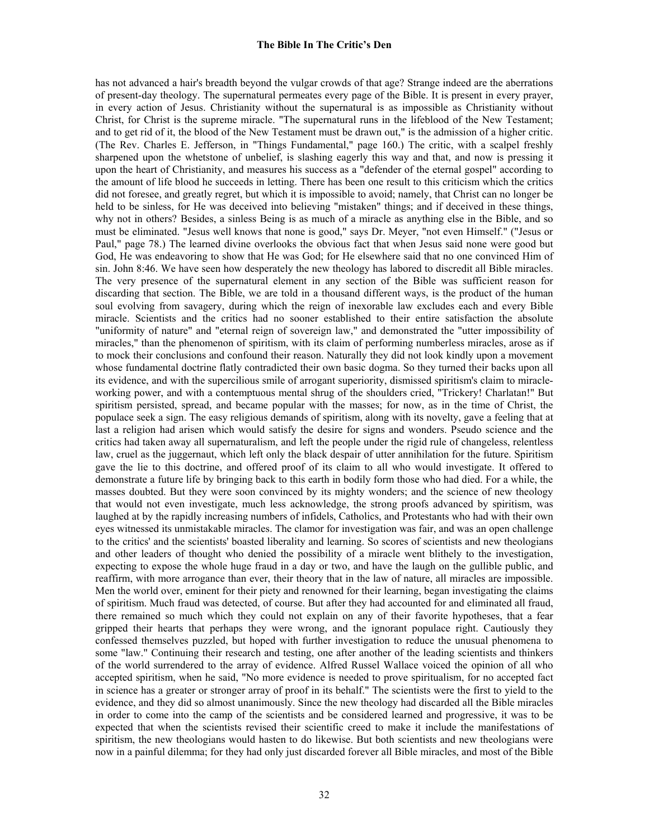has not advanced a hair's breadth beyond the vulgar crowds of that age? Strange indeed are the aberrations of present-day theology. The supernatural permeates every page of the Bible. It is present in every prayer, in every action of Jesus. Christianity without the supernatural is as impossible as Christianity without Christ, for Christ is the supreme miracle. "The supernatural runs in the lifeblood of the New Testament; and to get rid of it, the blood of the New Testament must be drawn out," is the admission of a higher critic. (The Rev. Charles E. Jefferson, in "Things Fundamental," page 160.) The critic, with a scalpel freshly sharpened upon the whetstone of unbelief, is slashing eagerly this way and that, and now is pressing it upon the heart of Christianity, and measures his success as a "defender of the eternal gospel" according to the amount of life blood he succeeds in letting. There has been one result to this criticism which the critics did not foresee, and greatly regret, but which it is impossible to avoid; namely, that Christ can no longer be held to be sinless, for He was deceived into believing "mistaken" things; and if deceived in these things, why not in others? Besides, a sinless Being is as much of a miracle as anything else in the Bible, and so must be eliminated. "Jesus well knows that none is good," says Dr. Meyer, "not even Himself." ("Jesus or Paul," page 78.) The learned divine overlooks the obvious fact that when Jesus said none were good but God, He was endeavoring to show that He was God; for He elsewhere said that no one convinced Him of sin. John 8:46. We have seen how desperately the new theology has labored to discredit all Bible miracles. The very presence of the supernatural element in any section of the Bible was sufficient reason for discarding that section. The Bible, we are told in a thousand different ways, is the product of the human soul evolving from savagery, during which the reign of inexorable law excludes each and every Bible miracle. Scientists and the critics had no sooner established to their entire satisfaction the absolute "uniformity of nature" and "eternal reign of sovereign law," and demonstrated the "utter impossibility of miracles," than the phenomenon of spiritism, with its claim of performing numberless miracles, arose as if to mock their conclusions and confound their reason. Naturally they did not look kindly upon a movement whose fundamental doctrine flatly contradicted their own basic dogma. So they turned their backs upon all its evidence, and with the supercilious smile of arrogant superiority, dismissed spiritism's claim to miracleworking power, and with a contemptuous mental shrug of the shoulders cried, "Trickery! Charlatan!" But spiritism persisted, spread, and became popular with the masses; for now, as in the time of Christ, the populace seek a sign. The easy religious demands of spiritism, along with its novelty, gave a feeling that at last a religion had arisen which would satisfy the desire for signs and wonders. Pseudo science and the critics had taken away all supernaturalism, and left the people under the rigid rule of changeless, relentless law, cruel as the juggernaut, which left only the black despair of utter annihilation for the future. Spiritism gave the lie to this doctrine, and offered proof of its claim to all who would investigate. It offered to demonstrate a future life by bringing back to this earth in bodily form those who had died. For a while, the masses doubted. But they were soon convinced by its mighty wonders; and the science of new theology that would not even investigate, much less acknowledge, the strong proofs advanced by spiritism, was laughed at by the rapidly increasing numbers of infidels, Catholics, and Protestants who had with their own eyes witnessed its unmistakable miracles. The clamor for investigation was fair, and was an open challenge to the critics' and the scientists' boasted liberality and learning. So scores of scientists and new theologians and other leaders of thought who denied the possibility of a miracle went blithely to the investigation, expecting to expose the whole huge fraud in a day or two, and have the laugh on the gullible public, and reaffirm, with more arrogance than ever, their theory that in the law of nature, all miracles are impossible. Men the world over, eminent for their piety and renowned for their learning, began investigating the claims of spiritism. Much fraud was detected, of course. But after they had accounted for and eliminated all fraud, there remained so much which they could not explain on any of their favorite hypotheses, that a fear gripped their hearts that perhaps they were wrong, and the ignorant populace right. Cautiously they confessed themselves puzzled, but hoped with further investigation to reduce the unusual phenomena to some "law." Continuing their research and testing, one after another of the leading scientists and thinkers of the world surrendered to the array of evidence. Alfred Russel Wallace voiced the opinion of all who accepted spiritism, when he said, "No more evidence is needed to prove spiritualism, for no accepted fact in science has a greater or stronger array of proof in its behalf." The scientists were the first to yield to the evidence, and they did so almost unanimously. Since the new theology had discarded all the Bible miracles in order to come into the camp of the scientists and be considered learned and progressive, it was to be expected that when the scientists revised their scientific creed to make it include the manifestations of spiritism, the new theologians would hasten to do likewise. But both scientists and new theologians were now in a painful dilemma; for they had only just discarded forever all Bible miracles, and most of the Bible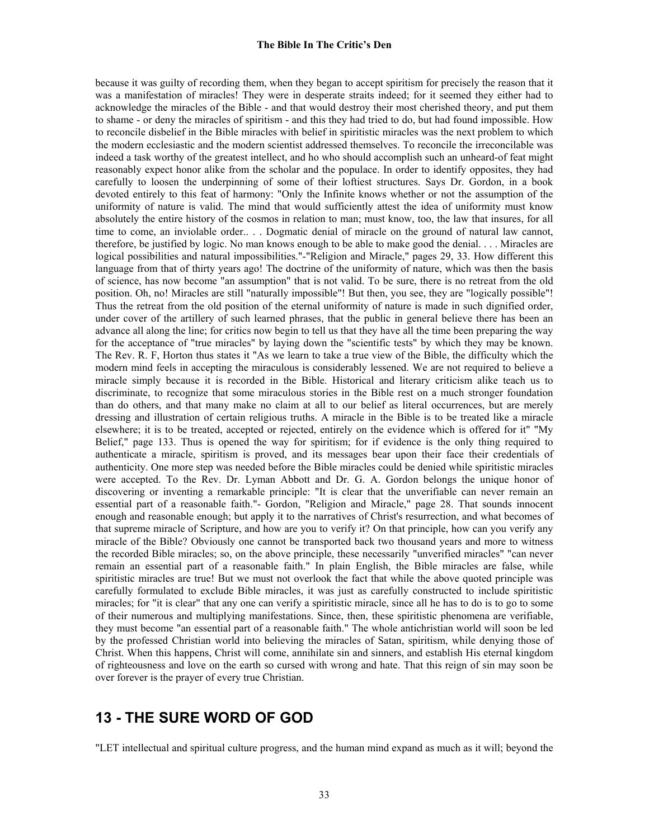because it was guilty of recording them, when they began to accept spiritism for precisely the reason that it was a manifestation of miracles! They were in desperate straits indeed; for it seemed they either had to acknowledge the miracles of the Bible - and that would destroy their most cherished theory, and put them to shame - or deny the miracles of spiritism - and this they had tried to do, but had found impossible. How to reconcile disbelief in the Bible miracles with belief in spiritistic miracles was the next problem to which the modern ecclesiastic and the modern scientist addressed themselves. To reconcile the irreconcilable was indeed a task worthy of the greatest intellect, and ho who should accomplish such an unheard-of feat might reasonably expect honor alike from the scholar and the populace. In order to identify opposites, they had carefully to loosen the underpinning of some of their loftiest structures. Says Dr. Gordon, in a book devoted entirely to this feat of harmony: "Only the Infinite knows whether or not the assumption of the uniformity of nature is valid. The mind that would sufficiently attest the idea of uniformity must know absolutely the entire history of the cosmos in relation to man; must know, too, the law that insures, for all time to come, an inviolable order.. . . Dogmatic denial of miracle on the ground of natural law cannot, therefore, be justified by logic. No man knows enough to be able to make good the denial. . . . Miracles are logical possibilities and natural impossibilities."-"Religion and Miracle," pages 29, 33. How different this language from that of thirty years ago! The doctrine of the uniformity of nature, which was then the basis of science, has now become "an assumption" that is not valid. To be sure, there is no retreat from the old position. Oh, no! Miracles are still "naturally impossible"! But then, you see, they are "logically possible"! Thus the retreat from the old position of the eternal uniformity of nature is made in such dignified order, under cover of the artillery of such learned phrases, that the public in general believe there has been an advance all along the line; for critics now begin to tell us that they have all the time been preparing the way for the acceptance of "true miracles" by laying down the "scientific tests" by which they may be known. The Rev. R. F, Horton thus states it "As we learn to take a true view of the Bible, the difficulty which the modern mind feels in accepting the miraculous is considerably lessened. We are not required to believe a miracle simply because it is recorded in the Bible. Historical and literary criticism alike teach us to discriminate, to recognize that some miraculous stories in the Bible rest on a much stronger foundation than do others, and that many make no claim at all to our belief as literal occurrences, but are merely dressing and illustration of certain religious truths. A miracle in the Bible is to be treated like a miracle elsewhere; it is to be treated, accepted or rejected, entirely on the evidence which is offered for it" "My Belief," page 133. Thus is opened the way for spiritism; for if evidence is the only thing required to authenticate a miracle, spiritism is proved, and its messages bear upon their face their credentials of authenticity. One more step was needed before the Bible miracles could be denied while spiritistic miracles were accepted. To the Rev. Dr. Lyman Abbott and Dr. G. A. Gordon belongs the unique honor of discovering or inventing a remarkable principle: "It is clear that the unverifiable can never remain an essential part of a reasonable faith."- Gordon, "Religion and Miracle," page 28. That sounds innocent enough and reasonable enough; but apply it to the narratives of Christ's resurrection, and what becomes of that supreme miracle of Scripture, and how are you to verify it? On that principle, how can you verify any miracle of the Bible? Obviously one cannot be transported back two thousand years and more to witness the recorded Bible miracles; so, on the above principle, these necessarily "unverified miracles" "can never remain an essential part of a reasonable faith." In plain English, the Bible miracles are false, while spiritistic miracles are true! But we must not overlook the fact that while the above quoted principle was carefully formulated to exclude Bible miracles, it was just as carefully constructed to include spiritistic miracles; for "it is clear" that any one can verify a spiritistic miracle, since all he has to do is to go to some of their numerous and multiplying manifestations. Since, then, these spiritistic phenomena are verifiable, they must become "an essential part of a reasonable faith." The whole antichristian world will soon be led by the professed Christian world into believing the miracles of Satan, spiritism, while denying those of Christ. When this happens, Christ will come, annihilate sin and sinners, and establish His eternal kingdom of righteousness and love on the earth so cursed with wrong and hate. That this reign of sin may soon be over forever is the prayer of every true Christian.

# **13 - THE SURE WORD OF GOD**

"LET intellectual and spiritual culture progress, and the human mind expand as much as it will; beyond the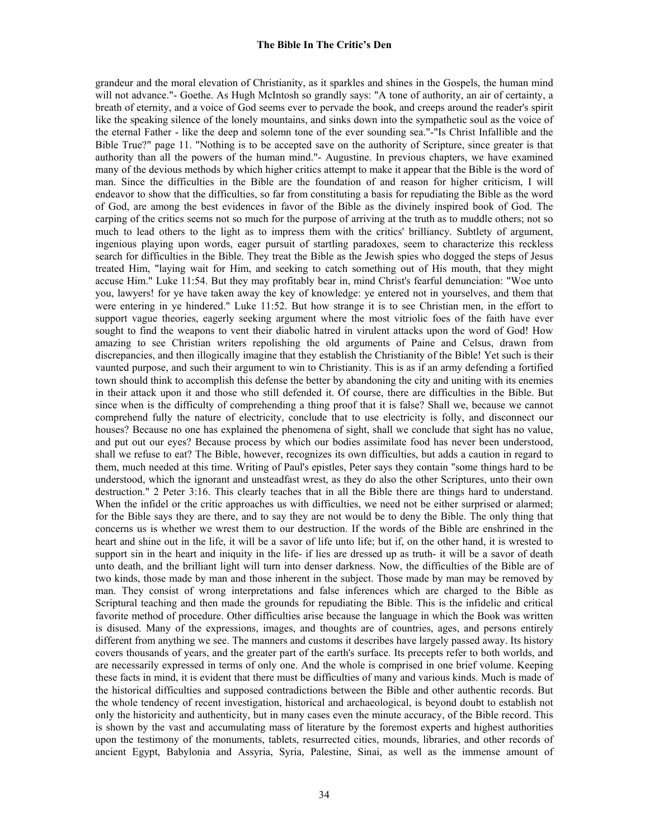grandeur and the moral elevation of Christianity, as it sparkles and shines in the Gospels, the human mind will not advance."- Goethe. As Hugh McIntosh so grandly says: "A tone of authority, an air of certainty, a breath of eternity, and a voice of God seems ever to pervade the book, and creeps around the reader's spirit like the speaking silence of the lonely mountains, and sinks down into the sympathetic soul as the voice of the eternal Father - like the deep and solemn tone of the ever sounding sea."-"Is Christ Infallible and the Bible True?" page 11. "Nothing is to be accepted save on the authority of Scripture, since greater is that authority than all the powers of the human mind."- Augustine. In previous chapters, we have examined many of the devious methods by which higher critics attempt to make it appear that the Bible is the word of man. Since the difficulties in the Bible are the foundation of and reason for higher criticism, I will endeavor to show that the difficulties, so far from constituting a basis for repudiating the Bible as the word of God, are among the best evidences in favor of the Bible as the divinely inspired book of God. The carping of the critics seems not so much for the purpose of arriving at the truth as to muddle others; not so much to lead others to the light as to impress them with the critics' brilliancy. Subtlety of argument, ingenious playing upon words, eager pursuit of startling paradoxes, seem to characterize this reckless search for difficulties in the Bible. They treat the Bible as the Jewish spies who dogged the steps of Jesus treated Him, "laying wait for Him, and seeking to catch something out of His mouth, that they might accuse Him." Luke 11:54. But they may profitably bear in, mind Christ's fearful denunciation: "Woe unto you, lawyers! for ye have taken away the key of knowledge: ye entered not in yourselves, and them that were entering in ye hindered." Luke 11:52. But how strange it is to see Christian men, in the effort to support vague theories, eagerly seeking argument where the most vitriolic foes of the faith have ever sought to find the weapons to vent their diabolic hatred in virulent attacks upon the word of God! How amazing to see Christian writers repolishing the old arguments of Paine and Celsus, drawn from discrepancies, and then illogically imagine that they establish the Christianity of the Bible! Yet such is their vaunted purpose, and such their argument to win to Christianity. This is as if an army defending a fortified town should think to accomplish this defense the better by abandoning the city and uniting with its enemies in their attack upon it and those who still defended it. Of course, there are difficulties in the Bible. But since when is the difficulty of comprehending a thing proof that it is false? Shall we, because we cannot comprehend fully the nature of electricity, conclude that to use electricity is folly, and disconnect our houses? Because no one has explained the phenomena of sight, shall we conclude that sight has no value, and put out our eyes? Because process by which our bodies assimilate food has never been understood, shall we refuse to eat? The Bible, however, recognizes its own difficulties, but adds a caution in regard to them, much needed at this time. Writing of Paul's epistles, Peter says they contain "some things hard to be understood, which the ignorant and unsteadfast wrest, as they do also the other Scriptures, unto their own destruction." 2 Peter 3:16. This clearly teaches that in all the Bible there are things hard to understand. When the infidel or the critic approaches us with difficulties, we need not be either surprised or alarmed; for the Bible says they are there, and to say they are not would be to deny the Bible. The only thing that concerns us is whether we wrest them to our destruction. If the words of the Bible are enshrined in the heart and shine out in the life, it will be a savor of life unto life; but if, on the other hand, it is wrested to support sin in the heart and iniquity in the life- if lies are dressed up as truth- it will be a savor of death unto death, and the brilliant light will turn into denser darkness. Now, the difficulties of the Bible are of two kinds, those made by man and those inherent in the subject. Those made by man may be removed by man. They consist of wrong interpretations and false inferences which are charged to the Bible as Scriptural teaching and then made the grounds for repudiating the Bible. This is the infidelic and critical favorite method of procedure. Other difficulties arise because the language in which the Book was written is disused. Many of the expressions, images, and thoughts are of countries, ages, and persons entirely different from anything we see. The manners and customs it describes have largely passed away. Its history covers thousands of years, and the greater part of the earth's surface. Its precepts refer to both worlds, and are necessarily expressed in terms of only one. And the whole is comprised in one brief volume. Keeping these facts in mind, it is evident that there must be difficulties of many and various kinds. Much is made of the historical difficulties and supposed contradictions between the Bible and other authentic records. But the whole tendency of recent investigation, historical and archaeological, is beyond doubt to establish not only the historicity and authenticity, but in many cases even the minute accuracy, of the Bible record. This is shown by the vast and accumulating mass of literature by the foremost experts and highest authorities upon the testimony of the monuments, tablets, resurrected cities, mounds, libraries, and other records of ancient Egypt, Babylonia and Assyria, Syria, Palestine, Sinai, as well as the immense amount of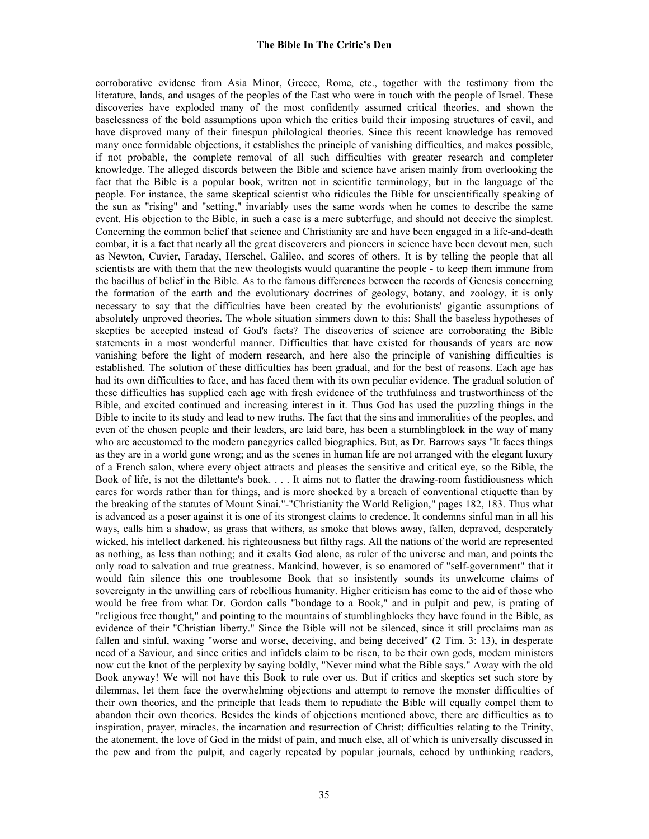corroborative evidense from Asia Minor, Greece, Rome, etc., together with the testimony from the literature, lands, and usages of the peoples of the East who were in touch with the people of Israel. These discoveries have exploded many of the most confidently assumed critical theories, and shown the baselessness of the bold assumptions upon which the critics build their imposing structures of cavil, and have disproved many of their finespun philological theories. Since this recent knowledge has removed many once formidable objections, it establishes the principle of vanishing difficulties, and makes possible, if not probable, the complete removal of all such difficulties with greater research and completer knowledge. The alleged discords between the Bible and science have arisen mainly from overlooking the fact that the Bible is a popular book, written not in scientific terminology, but in the language of the people. For instance, the same skeptical scientist who ridicules the Bible for unscientifically speaking of the sun as "rising" and "setting," invariably uses the same words when he comes to describe the same event. His objection to the Bible, in such a case is a mere subterfuge, and should not deceive the simplest. Concerning the common belief that science and Christianity are and have been engaged in a life-and-death combat, it is a fact that nearly all the great discoverers and pioneers in science have been devout men, such as Newton, Cuvier, Faraday, Herschel, Galileo, and scores of others. It is by telling the people that all scientists are with them that the new theologists would quarantine the people - to keep them immune from the bacillus of belief in the Bible. As to the famous differences between the records of Genesis concerning the formation of the earth and the evolutionary doctrines of geology, botany, and zoology, it is only necessary to say that the difficulties have been created by the evolutionists' gigantic assumptions of absolutely unproved theories. The whole situation simmers down to this: Shall the baseless hypotheses of skeptics be accepted instead of God's facts? The discoveries of science are corroborating the Bible statements in a most wonderful manner. Difficulties that have existed for thousands of years are now vanishing before the light of modern research, and here also the principle of vanishing difficulties is established. The solution of these difficulties has been gradual, and for the best of reasons. Each age has had its own difficulties to face, and has faced them with its own peculiar evidence. The gradual solution of these difficulties has supplied each age with fresh evidence of the truthfulness and trustworthiness of the Bible, and excited continued and increasing interest in it. Thus God has used the puzzling things in the Bible to incite to its study and lead to new truths. The fact that the sins and immoralities of the peoples, and even of the chosen people and their leaders, are laid bare, has been a stumblingblock in the way of many who are accustomed to the modern panegyrics called biographies. But, as Dr. Barrows says "It faces things as they are in a world gone wrong; and as the scenes in human life are not arranged with the elegant luxury of a French salon, where every object attracts and pleases the sensitive and critical eye, so the Bible, the Book of life, is not the dilettante's book. . . . It aims not to flatter the drawing-room fastidiousness which cares for words rather than for things, and is more shocked by a breach of conventional etiquette than by the breaking of the statutes of Mount Sinai."-"Christianity the World Religion," pages 182, 183. Thus what is advanced as a poser against it is one of its strongest claims to credence. It condemns sinful man in all his ways, calls him a shadow, as grass that withers, as smoke that blows away, fallen, depraved, desperately wicked, his intellect darkened, his righteousness but filthy rags. All the nations of the world are represented as nothing, as less than nothing; and it exalts God alone, as ruler of the universe and man, and points the only road to salvation and true greatness. Mankind, however, is so enamored of "self-government" that it would fain silence this one troublesome Book that so insistently sounds its unwelcome claims of sovereignty in the unwilling ears of rebellious humanity. Higher criticism has come to the aid of those who would be free from what Dr. Gordon calls "bondage to a Book," and in pulpit and pew, is prating of "religious free thought," and pointing to the mountains of stumblingblocks they have found in the Bible, as evidence of their "Christian liberty." Since the Bible will not be silenced, since it still proclaims man as fallen and sinful, waxing "worse and worse, deceiving, and being deceived" (2 Tim. 3: 13), in desperate need of a Saviour, and since critics and infidels claim to be risen, to be their own gods, modern ministers now cut the knot of the perplexity by saying boldly, "Never mind what the Bible says." Away with the old Book anyway! We will not have this Book to rule over us. But if critics and skeptics set such store by dilemmas, let them face the overwhelming objections and attempt to remove the monster difficulties of their own theories, and the principle that leads them to repudiate the Bible will equally compel them to abandon their own theories. Besides the kinds of objections mentioned above, there are difficulties as to inspiration, prayer, miracles, the incarnation and resurrection of Christ; difficulties relating to the Trinity, the atonement, the love of God in the midst of pain, and much else, all of which is universally discussed in the pew and from the pulpit, and eagerly repeated by popular journals, echoed by unthinking readers,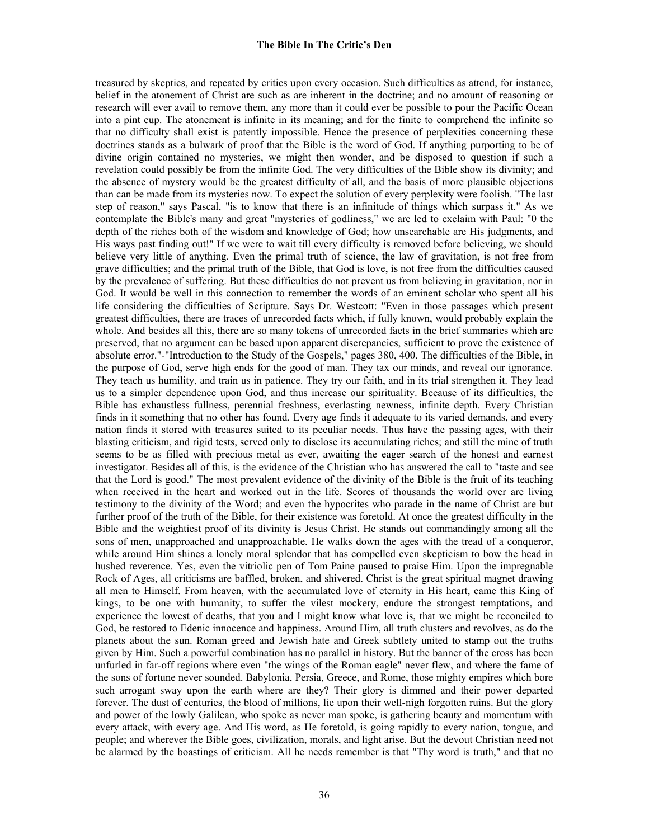treasured by skeptics, and repeated by critics upon every occasion. Such difficulties as attend, for instance, belief in the atonement of Christ are such as are inherent in the doctrine; and no amount of reasoning or research will ever avail to remove them, any more than it could ever be possible to pour the Pacific Ocean into a pint cup. The atonement is infinite in its meaning; and for the finite to comprehend the infinite so that no difficulty shall exist is patently impossible. Hence the presence of perplexities concerning these doctrines stands as a bulwark of proof that the Bible is the word of God. If anything purporting to be of divine origin contained no mysteries, we might then wonder, and be disposed to question if such a revelation could possibly be from the infinite God. The very difficulties of the Bible show its divinity; and the absence of mystery would be the greatest difficulty of all, and the basis of more plausible objections than can be made from its mysteries now. To expect the solution of every perplexity were foolish. "The last step of reason," says Pascal, "is to know that there is an infinitude of things which surpass it." As we contemplate the Bible's many and great "mysteries of godliness," we are led to exclaim with Paul: "0 the depth of the riches both of the wisdom and knowledge of God; how unsearchable are His judgments, and His ways past finding out!" If we were to wait till every difficulty is removed before believing, we should believe very little of anything. Even the primal truth of science, the law of gravitation, is not free from grave difficulties; and the primal truth of the Bible, that God is love, is not free from the difficulties caused by the prevalence of suffering. But these difficulties do not prevent us from believing in gravitation, nor in God. It would be well in this connection to remember the words of an eminent scholar who spent all his life considering the difficulties of Scripture. Says Dr. Westcott: "Even in those passages which present greatest difficulties, there are traces of unrecorded facts which, if fully known, would probably explain the whole. And besides all this, there are so many tokens of unrecorded facts in the brief summaries which are preserved, that no argument can be based upon apparent discrepancies, sufficient to prove the existence of absolute error."-"Introduction to the Study of the Gospels," pages 380, 400. The difficulties of the Bible, in the purpose of God, serve high ends for the good of man. They tax our minds, and reveal our ignorance. They teach us humility, and train us in patience. They try our faith, and in its trial strengthen it. They lead us to a simpler dependence upon God, and thus increase our spirituality. Because of its difficulties, the Bible has exhaustless fullness, perennial freshness, everlasting newness, infinite depth. Every Christian finds in it something that no other has found. Every age finds it adequate to its varied demands, and every nation finds it stored with treasures suited to its peculiar needs. Thus have the passing ages, with their blasting criticism, and rigid tests, served only to disclose its accumulating riches; and still the mine of truth seems to be as filled with precious metal as ever, awaiting the eager search of the honest and earnest investigator. Besides all of this, is the evidence of the Christian who has answered the call to "taste and see that the Lord is good." The most prevalent evidence of the divinity of the Bible is the fruit of its teaching when received in the heart and worked out in the life. Scores of thousands the world over are living testimony to the divinity of the Word; and even the hypocrites who parade in the name of Christ are but further proof of the truth of the Bible, for their existence was foretold. At once the greatest difficulty in the Bible and the weightiest proof of its divinity is Jesus Christ. He stands out commandingly among all the sons of men, unapproached and unapproachable. He walks down the ages with the tread of a conqueror, while around Him shines a lonely moral splendor that has compelled even skepticism to bow the head in hushed reverence. Yes, even the vitriolic pen of Tom Paine paused to praise Him. Upon the impregnable Rock of Ages, all criticisms are baffled, broken, and shivered. Christ is the great spiritual magnet drawing all men to Himself. From heaven, with the accumulated love of eternity in His heart, came this King of kings, to be one with humanity, to suffer the vilest mockery, endure the strongest temptations, and experience the lowest of deaths, that you and I might know what love is, that we might be reconciled to God, be restored to Edenic innocence and happiness. Around Him, all truth clusters and revolves, as do the planets about the sun. Roman greed and Jewish hate and Greek subtlety united to stamp out the truths given by Him. Such a powerful combination has no parallel in history. But the banner of the cross has been unfurled in far-off regions where even "the wings of the Roman eagle" never flew, and where the fame of the sons of fortune never sounded. Babylonia, Persia, Greece, and Rome, those mighty empires which bore such arrogant sway upon the earth where are they? Their glory is dimmed and their power departed forever. The dust of centuries, the blood of millions, lie upon their well-nigh forgotten ruins. But the glory and power of the lowly Galilean, who spoke as never man spoke, is gathering beauty and momentum with every attack, with every age. And His word, as He foretold, is going rapidly to every nation, tongue, and people; and wherever the Bible goes, civilization, morals, and light arise. But the devout Christian need not be alarmed by the boastings of criticism. All he needs remember is that "Thy word is truth," and that no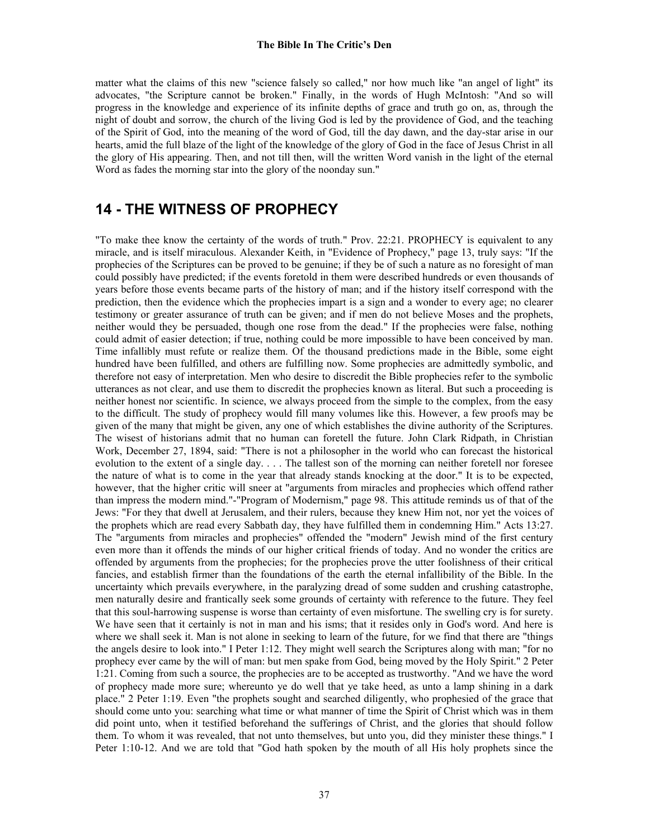matter what the claims of this new "science falsely so called," nor how much like "an angel of light" its advocates, "the Scripture cannot be broken." Finally, in the words of Hugh McIntosh: "And so will progress in the knowledge and experience of its infinite depths of grace and truth go on, as, through the night of doubt and sorrow, the church of the living God is led by the providence of God, and the teaching of the Spirit of God, into the meaning of the word of God, till the day dawn, and the day-star arise in our hearts, amid the full blaze of the light of the knowledge of the glory of God in the face of Jesus Christ in all the glory of His appearing. Then, and not till then, will the written Word vanish in the light of the eternal Word as fades the morning star into the glory of the noonday sun."

# **14 - THE WITNESS OF PROPHECY**

"To make thee know the certainty of the words of truth." Prov. 22:21. PROPHECY is equivalent to any miracle, and is itself miraculous. Alexander Keith, in "Evidence of Prophecy," page 13, truly says: "If the prophecies of the Scriptures can be proved to be genuine; if they be of such a nature as no foresight of man could possibly have predicted; if the events foretold in them were described hundreds or even thousands of years before those events became parts of the history of man; and if the history itself correspond with the prediction, then the evidence which the prophecies impart is a sign and a wonder to every age; no clearer testimony or greater assurance of truth can be given; and if men do not believe Moses and the prophets, neither would they be persuaded, though one rose from the dead." If the prophecies were false, nothing could admit of easier detection; if true, nothing could be more impossible to have been conceived by man. Time infallibly must refute or realize them. Of the thousand predictions made in the Bible, some eight hundred have been fulfilled, and others are fulfilling now. Some prophecies are admittedly symbolic, and therefore not easy of interpretation. Men who desire to discredit the Bible prophecies refer to the symbolic utterances as not clear, and use them to discredit the prophecies known as literal. But such a proceeding is neither honest nor scientific. In science, we always proceed from the simple to the complex, from the easy to the difficult. The study of prophecy would fill many volumes like this. However, a few proofs may be given of the many that might be given, any one of which establishes the divine authority of the Scriptures. The wisest of historians admit that no human can foretell the future. John Clark Ridpath, in Christian Work, December 27, 1894, said: "There is not a philosopher in the world who can forecast the historical evolution to the extent of a single day. . . . The tallest son of the morning can neither foretell nor foresee the nature of what is to come in the year that already stands knocking at the door." It is to be expected, however, that the higher critic will sneer at "arguments from miracles and prophecies which offend rather than impress the modern mind."-"Program of Modernism," page 98. This attitude reminds us of that of the Jews: "For they that dwell at Jerusalem, and their rulers, because they knew Him not, nor yet the voices of the prophets which are read every Sabbath day, they have fulfilled them in condemning Him." Acts 13:27. The "arguments from miracles and prophecies" offended the "modern" Jewish mind of the first century even more than it offends the minds of our higher critical friends of today. And no wonder the critics are offended by arguments from the prophecies; for the prophecies prove the utter foolishness of their critical fancies, and establish firmer than the foundations of the earth the eternal infallibility of the Bible. In the uncertainty which prevails everywhere, in the paralyzing dread of some sudden and crushing catastrophe, men naturally desire and frantically seek some grounds of certainty with reference to the future. They feel that this soul-harrowing suspense is worse than certainty of even misfortune. The swelling cry is for surety. We have seen that it certainly is not in man and his isms; that it resides only in God's word. And here is where we shall seek it. Man is not alone in seeking to learn of the future, for we find that there are "things the angels desire to look into." I Peter 1:12. They might well search the Scriptures along with man; "for no prophecy ever came by the will of man: but men spake from God, being moved by the Holy Spirit." 2 Peter 1:21. Coming from such a source, the prophecies are to be accepted as trustworthy. "And we have the word of prophecy made more sure; whereunto ye do well that ye take heed, as unto a lamp shining in a dark place." 2 Peter 1:19. Even "the prophets sought and searched diligently, who prophesied of the grace that should come unto you: searching what time or what manner of time the Spirit of Christ which was in them did point unto, when it testified beforehand the sufferings of Christ, and the glories that should follow them. To whom it was revealed, that not unto themselves, but unto you, did they minister these things." I Peter 1:10-12. And we are told that "God hath spoken by the mouth of all His holy prophets since the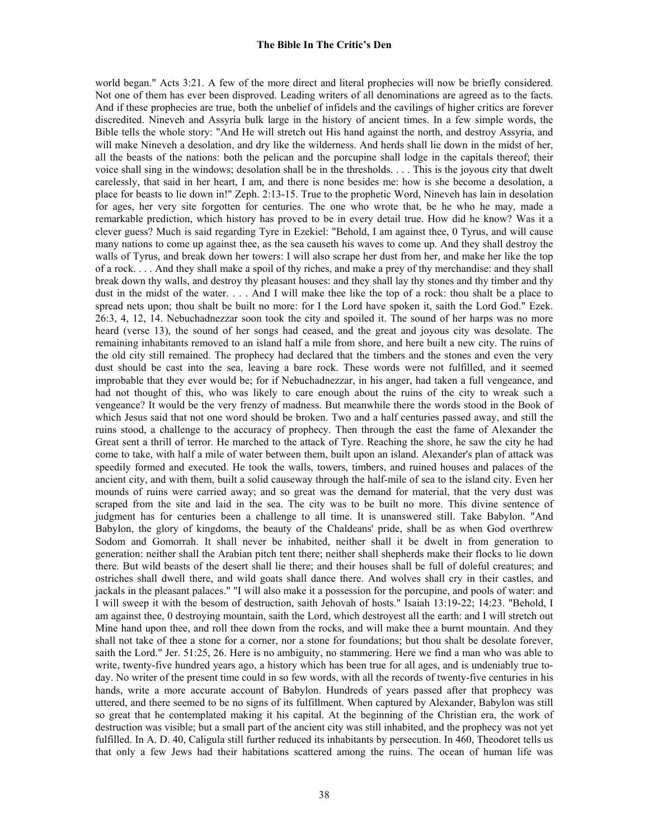world began." Acts 3:21. A few of the more direct and literal prophecies will now be briefly considered. Not one of them has ever been disproved. Leading writers of all denominations are agreed as to the facts. And if these prophecies are true, both the unbelief of infidels and the cavilings of higher critics are forever discredited. Nineveh and Assyria bulk large in the history of ancient times. In a few simple words, the Bible tells the whole story: "And He will stretch out His hand against the north, and destroy Assyria, and will make Nineveh a desolation, and dry like the wilderness. And herds shall lie down in the midst of her, all the beasts of the nations: both the pelican and the porcupine shall lodge in the capitals thereof; their voice shall sing in the windows; desolation shall be in the thresholds. . . . This is the joyous city that dwelt carelessly, that said in her heart, I am, and there is none besides me: how is she become a desolation, a place for beasts to lie down in!" Zeph. 2:13-15. True to the prophetic Word, Nineveh has lain in desolation for ages, her very site forgotten for centuries. The one who wrote that, be he who he may, made a remarkable prediction, which history has proved to be in every detail true. How did he know? Was it a clever guess? Much is said regarding Tyre in Ezekiel: "Behold, I am against thee, 0 Tyrus, and will cause many nations to come up against thee, as the sea causeth his waves to come up. And they shall destroy the walls of Tyrus, and break down her towers: I will also scrape her dust from her, and make her like the top of a rock. . . . And they shall make a spoil of thy riches, and make a prey of thy merchandise: and they shall break down thy walls, and destroy thy pleasant houses: and they shall lay thy stones and thy timber and thy dust in the midst of the water. . . . And I will make thee like the top of a rock: thou shalt be a place to spread nets upon; thou shalt be built no more: for I the Lord have spoken it, saith the Lord God." Ezek. 26:3, 4, 12, 14. Nebuchadnezzar soon took the city and spoiled it. The sound of her harps was no more heard (verse 13), the sound of her songs had ceased, and the great and joyous city was desolate. The remaining inhabitants removed to an island half a mile from shore, and here built a new city. The ruins of the old city still remained. The prophecy had declared that the timbers and the stones and even the very dust should be cast into the sea, leaving a bare rock. These words were not fulfilled, and it seemed improbable that they ever would be; for if Nebuchadnezzar, in his anger, had taken a full vengeance, and had not thought of this, who was likely to care enough about the ruins of the city to wreak such a vengeance? It would be the very frenzy of madness. But meanwhile there the words stood in the Book of which Jesus said that not one word should be broken. Two and a half centuries passed away, and still the ruins stood, a challenge to the accuracy of prophecy. Then through the east the fame of Alexander the Great sent a thrill of terror. He marched to the attack of Tyre. Reaching the shore, he saw the city he had come to take, with half a mile of water between them, built upon an island. Alexander's plan of attack was speedily formed and executed. He took the walls, towers, timbers, and ruined houses and palaces of the ancient city, and with them, built a solid causeway through the half-mile of sea to the island city. Even her mounds of ruins were carried away; and so great was the demand for material, that the very dust was scraped from the site and laid in the sea. The city was to be built no more. This divine sentence of judgment has for centuries been a challenge to all time. It is unanswered still. Take Babylon. "And Babylon, the glory of kingdoms, the beauty of the Chaldeans' pride, shall be as when God overthrew Sodom and Gomorrah. It shall never be inhabited, neither shall it be dwelt in from generation to generation: neither shall the Arabian pitch tent there; neither shall shepherds make their flocks to lie down there. But wild beasts of the desert shall lie there; and their houses shall be full of doleful creatures; and ostriches shall dwell there, and wild goats shall dance there. And wolves shall cry in their castles, and jackals in the pleasant palaces." "I will also make it a possession for the porcupine, and pools of water: and I will sweep it with the besom of destruction, saith Jehovah of hosts." Isaiah 13:19-22; 14:23. "Behold, I am against thee, 0 destroying mountain, saith the Lord, which destroyest all the earth: and I will stretch out Mine hand upon thee, and roll thee down from the rocks, and will make thee a burnt mountain. And they shall not take of thee a stone for a corner, nor a stone for foundations; but thou shalt be desolate forever, saith the Lord." Jer. 51:25, 26. Here is no ambiguity, no stammering. Here we find a man who was able to write, twenty-five hundred years ago, a history which has been true for all ages, and is undeniably true today. No writer of the present time could in so few words, with all the records of twenty-five centuries in his hands, write a more accurate account of Babylon. Hundreds of years passed after that prophecy was uttered, and there seemed to be no signs of its fulfillment. When captured by Alexander, Babylon was still so great that he contemplated making it his capital. At the beginning of the Christian era, the work of destruction was visible; but a small part of the ancient city was still inhabited, and the prophecy was not yet fulfilled. In A. D. 40, Caligula still further reduced its inhabitants by persecution. In 460, Theodoret tells us that only a few Jews had their habitations scattered among the ruins. The ocean of human life was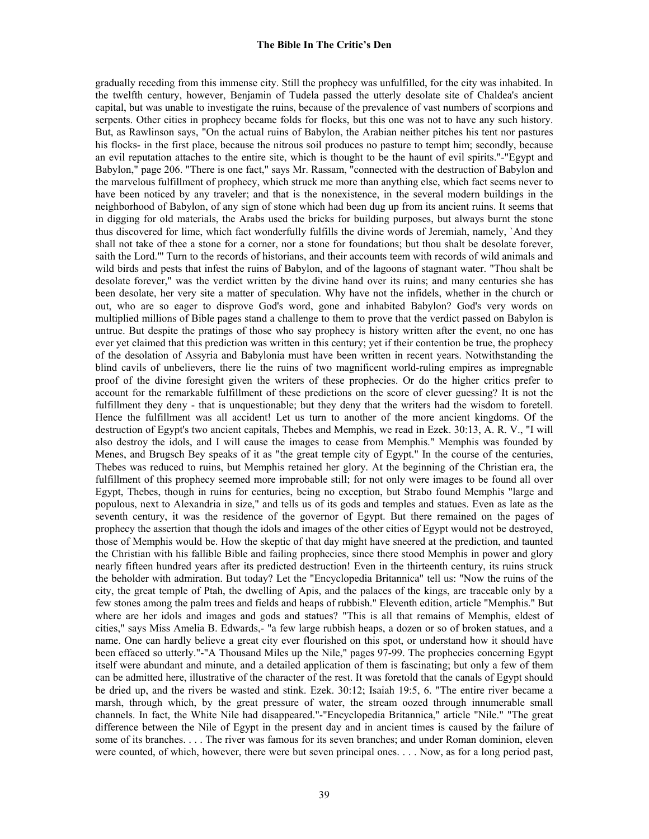gradually receding from this immense city. Still the prophecy was unfulfilled, for the city was inhabited. In the twelfth century, however, Benjamin of Tudela passed the utterly desolate site of Chaldea's ancient capital, but was unable to investigate the ruins, because of the prevalence of vast numbers of scorpions and serpents. Other cities in prophecy became folds for flocks, but this one was not to have any such history. But, as Rawlinson says, "On the actual ruins of Babylon, the Arabian neither pitches his tent nor pastures his flocks- in the first place, because the nitrous soil produces no pasture to tempt him; secondly, because an evil reputation attaches to the entire site, which is thought to be the haunt of evil spirits."-"Egypt and Babylon," page 206. "There is one fact," says Mr. Rassam, "connected with the destruction of Babylon and the marvelous fulfillment of prophecy, which struck me more than anything else, which fact seems never to have been noticed by any traveler; and that is the nonexistence, in the several modern buildings in the neighborhood of Babylon, of any sign of stone which had been dug up from its ancient ruins. It seems that in digging for old materials, the Arabs used the bricks for building purposes, but always burnt the stone thus discovered for lime, which fact wonderfully fulfills the divine words of Jeremiah, namely, `And they shall not take of thee a stone for a corner, nor a stone for foundations; but thou shalt be desolate forever, saith the Lord."' Turn to the records of historians, and their accounts teem with records of wild animals and wild birds and pests that infest the ruins of Babylon, and of the lagoons of stagnant water. "Thou shalt be desolate forever," was the verdict written by the divine hand over its ruins; and many centuries she has been desolate, her very site a matter of speculation. Why have not the infidels, whether in the church or out, who are so eager to disprove God's word, gone and inhabited Babylon? God's very words on multiplied millions of Bible pages stand a challenge to them to prove that the verdict passed on Babylon is untrue. But despite the pratings of those who say prophecy is history written after the event, no one has ever yet claimed that this prediction was written in this century; yet if their contention be true, the prophecy of the desolation of Assyria and Babylonia must have been written in recent years. Notwithstanding the blind cavils of unbelievers, there lie the ruins of two magnificent world-ruling empires as impregnable proof of the divine foresight given the writers of these prophecies. Or do the higher critics prefer to account for the remarkable fulfillment of these predictions on the score of clever guessing? It is not the fulfillment they deny - that is unquestionable; but they deny that the writers had the wisdom to foretell. Hence the fulfillment was all accident! Let us turn to another of the more ancient kingdoms. Of the destruction of Egypt's two ancient capitals, Thebes and Memphis, we read in Ezek. 30:13, A. R. V., "I will also destroy the idols, and I will cause the images to cease from Memphis." Memphis was founded by Menes, and Brugsch Bey speaks of it as "the great temple city of Egypt." In the course of the centuries, Thebes was reduced to ruins, but Memphis retained her glory. At the beginning of the Christian era, the fulfillment of this prophecy seemed more improbable still; for not only were images to be found all over Egypt, Thebes, though in ruins for centuries, being no exception, but Strabo found Memphis "large and populous, next to Alexandria in size," and tells us of its gods and temples and statues. Even as late as the seventh century, it was the residence of the governor of Egypt. But there remained on the pages of prophecy the assertion that though the idols and images of the other cities of Egypt would not be destroyed, those of Memphis would be. How the skeptic of that day might have sneered at the prediction, and taunted the Christian with his fallible Bible and failing prophecies, since there stood Memphis in power and glory nearly fifteen hundred years after its predicted destruction! Even in the thirteenth century, its ruins struck the beholder with admiration. But today? Let the "Encyclopedia Britannica" tell us: "Now the ruins of the city, the great temple of Ptah, the dwelling of Apis, and the palaces of the kings, are traceable only by a few stones among the palm trees and fields and heaps of rubbish." Eleventh edition, article "Memphis." But where are her idols and images and gods and statues? "This is all that remains of Memphis, eldest of cities," says Miss Amelia B. Edwards,- "a few large rubbish heaps, a dozen or so of broken statues, and a name. One can hardly believe a great city ever flourished on this spot, or understand how it should have been effaced so utterly."-"A Thousand Miles up the Nile," pages 97-99. The prophecies concerning Egypt itself were abundant and minute, and a detailed application of them is fascinating; but only a few of them can be admitted here, illustrative of the character of the rest. It was foretold that the canals of Egypt should be dried up, and the rivers be wasted and stink. Ezek. 30:12; Isaiah 19:5, 6. "The entire river became a marsh, through which, by the great pressure of water, the stream oozed through innumerable small channels. In fact, the White Nile had disappeared."-"Encyclopedia Britannica," article "Nile." "The great difference between the Nile of Egypt in the present day and in ancient times is caused by the failure of some of its branches. . . . The river was famous for its seven branches; and under Roman dominion, eleven were counted, of which, however, there were but seven principal ones. . . . Now, as for a long period past,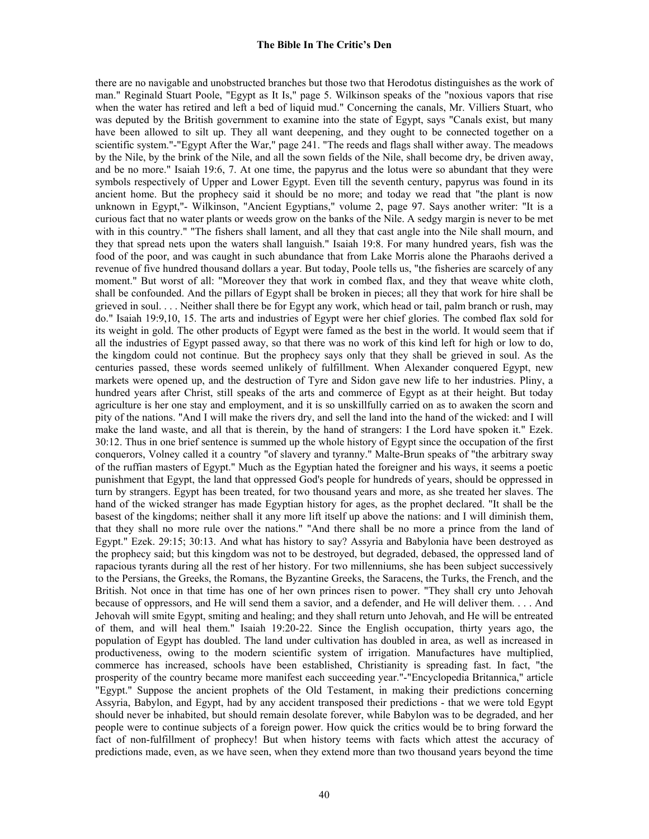there are no navigable and unobstructed branches but those two that Herodotus distinguishes as the work of man." Reginald Stuart Poole, "Egypt as It Is," page 5. Wilkinson speaks of the "noxious vapors that rise when the water has retired and left a bed of liquid mud." Concerning the canals, Mr. Villiers Stuart, who was deputed by the British government to examine into the state of Egypt, says "Canals exist, but many have been allowed to silt up. They all want deepening, and they ought to be connected together on a scientific system."-"Egypt After the War," page 241. "The reeds and flags shall wither away. The meadows by the Nile, by the brink of the Nile, and all the sown fields of the Nile, shall become dry, be driven away, and be no more." Isaiah 19:6, 7. At one time, the papyrus and the lotus were so abundant that they were symbols respectively of Upper and Lower Egypt. Even till the seventh century, papyrus was found in its ancient home. But the prophecy said it should be no more; and today we read that "the plant is now unknown in Egypt,"- Wilkinson, "Ancient Egyptians," volume 2, page 97. Says another writer: "It is a curious fact that no water plants or weeds grow on the banks of the Nile. A sedgy margin is never to be met with in this country." "The fishers shall lament, and all they that cast angle into the Nile shall mourn, and they that spread nets upon the waters shall languish." Isaiah 19:8. For many hundred years, fish was the food of the poor, and was caught in such abundance that from Lake Morris alone the Pharaohs derived a revenue of five hundred thousand dollars a year. But today, Poole tells us, "the fisheries are scarcely of any moment." But worst of all: "Moreover they that work in combed flax, and they that weave white cloth, shall be confounded. And the pillars of Egypt shall be broken in pieces; all they that work for hire shall be grieved in soul. . . . Neither shall there be for Egypt any work, which head or tail, palm branch or rush, may do." Isaiah 19:9,10, 15. The arts and industries of Egypt were her chief glories. The combed flax sold for its weight in gold. The other products of Egypt were famed as the best in the world. It would seem that if all the industries of Egypt passed away, so that there was no work of this kind left for high or low to do, the kingdom could not continue. But the prophecy says only that they shall be grieved in soul. As the centuries passed, these words seemed unlikely of fulfillment. When Alexander conquered Egypt, new markets were opened up, and the destruction of Tyre and Sidon gave new life to her industries. Pliny, a hundred years after Christ, still speaks of the arts and commerce of Egypt as at their height. But today agriculture is her one stay and employment, and it is so unskillfully carried on as to awaken the scorn and pity of the nations. "And I will make the rivers dry, and sell the land into the hand of the wicked: and I will make the land waste, and all that is therein, by the hand of strangers: I the Lord have spoken it." Ezek. 30:12. Thus in one brief sentence is summed up the whole history of Egypt since the occupation of the first conquerors, Volney called it a country "of slavery and tyranny." Malte-Brun speaks of "the arbitrary sway of the ruffian masters of Egypt." Much as the Egyptian hated the foreigner and his ways, it seems a poetic punishment that Egypt, the land that oppressed God's people for hundreds of years, should be oppressed in turn by strangers. Egypt has been treated, for two thousand years and more, as she treated her slaves. The hand of the wicked stranger has made Egyptian history for ages, as the prophet declared. "It shall be the basest of the kingdoms; neither shall it any more lift itself up above the nations: and I will diminish them, that they shall no more rule over the nations." "And there shall be no more a prince from the land of Egypt." Ezek. 29:15; 30:13. And what has history to say? Assyria and Babylonia have been destroyed as the prophecy said; but this kingdom was not to be destroyed, but degraded, debased, the oppressed land of rapacious tyrants during all the rest of her history. For two millenniums, she has been subject successively to the Persians, the Greeks, the Romans, the Byzantine Greeks, the Saracens, the Turks, the French, and the British. Not once in that time has one of her own princes risen to power. "They shall cry unto Jehovah because of oppressors, and He will send them a savior, and a defender, and He will deliver them. . . . And Jehovah will smite Egypt, smiting and healing; and they shall return unto Jehovah, and He will be entreated of them, and will heal them." Isaiah 19:20-22. Since the English occupation, thirty years ago, the population of Egypt has doubled. The land under cultivation has doubled in area, as well as increased in productiveness, owing to the modern scientific system of irrigation. Manufactures have multiplied, commerce has increased, schools have been established, Christianity is spreading fast. In fact, "the prosperity of the country became more manifest each succeeding year."-"Encyclopedia Britannica," article "Egypt." Suppose the ancient prophets of the Old Testament, in making their predictions concerning Assyria, Babylon, and Egypt, had by any accident transposed their predictions - that we were told Egypt should never be inhabited, but should remain desolate forever, while Babylon was to be degraded, and her people were to continue subjects of a foreign power. How quick the critics would be to bring forward the fact of non-fulfillment of prophecy! But when history teems with facts which attest the accuracy of predictions made, even, as we have seen, when they extend more than two thousand years beyond the time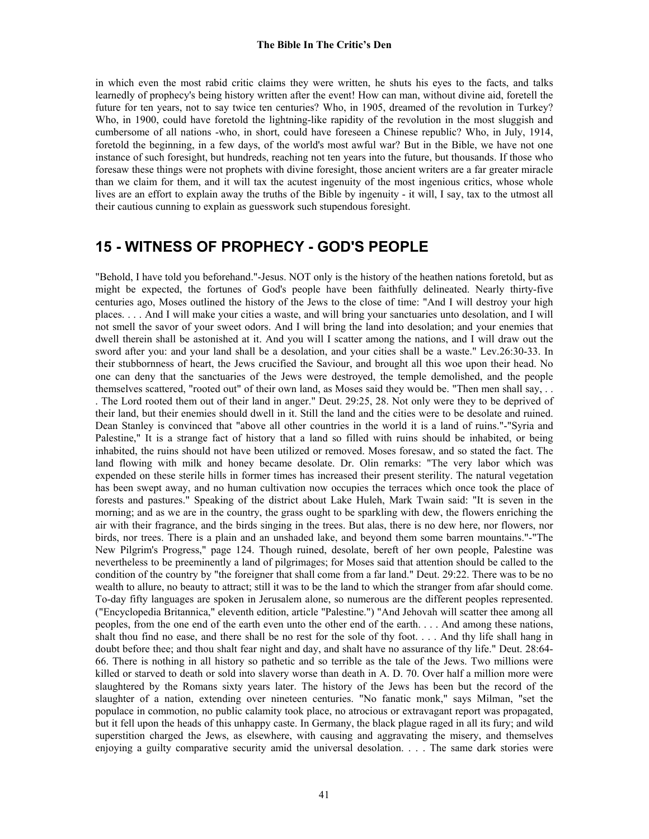in which even the most rabid critic claims they were written, he shuts his eyes to the facts, and talks learnedly of prophecy's being history written after the event! How can man, without divine aid, foretell the future for ten years, not to say twice ten centuries? Who, in 1905, dreamed of the revolution in Turkey? Who, in 1900, could have foretold the lightning-like rapidity of the revolution in the most sluggish and cumbersome of all nations -who, in short, could have foreseen a Chinese republic? Who, in July, 1914, foretold the beginning, in a few days, of the world's most awful war? But in the Bible, we have not one instance of such foresight, but hundreds, reaching not ten years into the future, but thousands. If those who foresaw these things were not prophets with divine foresight, those ancient writers are a far greater miracle than we claim for them, and it will tax the acutest ingenuity of the most ingenious critics, whose whole lives are an effort to explain away the truths of the Bible by ingenuity - it will, I say, tax to the utmost all their cautious cunning to explain as guesswork such stupendous foresight.

# **15 - WITNESS OF PROPHECY - GOD'S PEOPLE**

"Behold, I have told you beforehand."-Jesus. NOT only is the history of the heathen nations foretold, but as might be expected, the fortunes of God's people have been faithfully delineated. Nearly thirty-five centuries ago, Moses outlined the history of the Jews to the close of time: "And I will destroy your high places. . . . And I will make your cities a waste, and will bring your sanctuaries unto desolation, and I will not smell the savor of your sweet odors. And I will bring the land into desolation; and your enemies that dwell therein shall be astonished at it. And you will I scatter among the nations, and I will draw out the sword after you: and your land shall be a desolation, and your cities shall be a waste." Lev.26:30-33. In their stubbornness of heart, the Jews crucified the Saviour, and brought all this woe upon their head. No one can deny that the sanctuaries of the Jews were destroyed, the temple demolished, and the people themselves scattered, "rooted out" of their own land, as Moses said they would be. "Then men shall say, . . . The Lord rooted them out of their land in anger." Deut. 29:25, 28. Not only were they to be deprived of their land, but their enemies should dwell in it. Still the land and the cities were to be desolate and ruined. Dean Stanley is convinced that "above all other countries in the world it is a land of ruins."-"Syria and Palestine," It is a strange fact of history that a land so filled with ruins should be inhabited, or being inhabited, the ruins should not have been utilized or removed. Moses foresaw, and so stated the fact. The land flowing with milk and honey became desolate. Dr. Olin remarks: "The very labor which was expended on these sterile hills in former times has increased their present sterility. The natural vegetation has been swept away, and no human cultivation now occupies the terraces which once took the place of forests and pastures." Speaking of the district about Lake Huleh, Mark Twain said: "It is seven in the morning; and as we are in the country, the grass ought to be sparkling with dew, the flowers enriching the air with their fragrance, and the birds singing in the trees. But alas, there is no dew here, nor flowers, nor birds, nor trees. There is a plain and an unshaded lake, and beyond them some barren mountains."-"The New Pilgrim's Progress," page 124. Though ruined, desolate, bereft of her own people, Palestine was nevertheless to be preeminently a land of pilgrimages; for Moses said that attention should be called to the condition of the country by "the foreigner that shall come from a far land." Deut. 29:22. There was to be no wealth to allure, no beauty to attract; still it was to be the land to which the stranger from afar should come. To-day fifty languages are spoken in Jerusalem alone, so numerous are the different peoples represented. ("Encyclopedia Britannica," eleventh edition, article "Palestine.") "And Jehovah will scatter thee among all peoples, from the one end of the earth even unto the other end of the earth. . . . And among these nations, shalt thou find no ease, and there shall be no rest for the sole of thy foot. . . . And thy life shall hang in doubt before thee; and thou shalt fear night and day, and shalt have no assurance of thy life." Deut. 28:64- 66. There is nothing in all history so pathetic and so terrible as the tale of the Jews. Two millions were killed or starved to death or sold into slavery worse than death in A. D. 70. Over half a million more were slaughtered by the Romans sixty years later. The history of the Jews has been but the record of the slaughter of a nation, extending over nineteen centuries. "No fanatic monk," says Milman, "set the populace in commotion, no public calamity took place, no atrocious or extravagant report was propagated, but it fell upon the heads of this unhappy caste. In Germany, the black plague raged in all its fury; and wild superstition charged the Jews, as elsewhere, with causing and aggravating the misery, and themselves enjoying a guilty comparative security amid the universal desolation. . . . The same dark stories were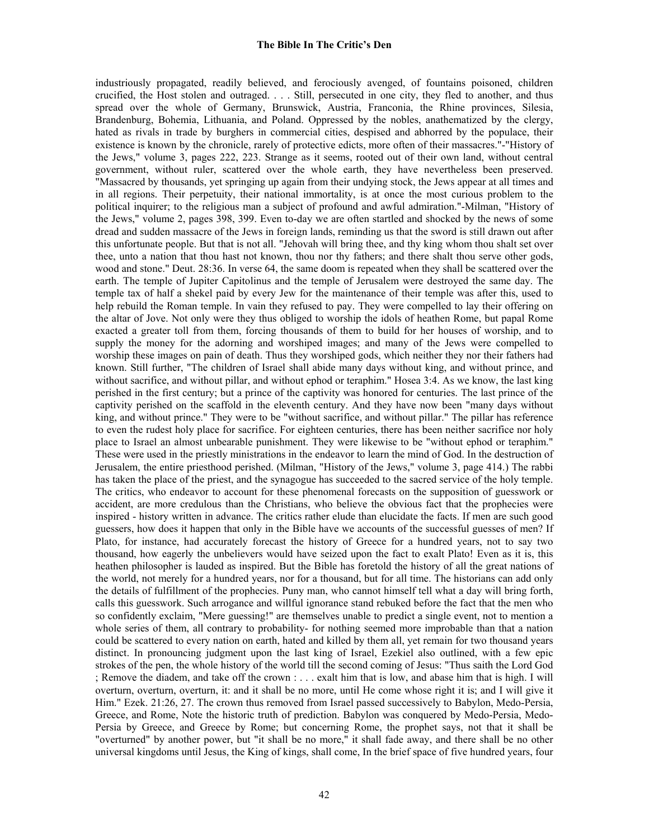industriously propagated, readily believed, and ferociously avenged, of fountains poisoned, children crucified, the Host stolen and outraged. . . . Still, persecuted in one city, they fled to another, and thus spread over the whole of Germany, Brunswick, Austria, Franconia, the Rhine provinces, Silesia, Brandenburg, Bohemia, Lithuania, and Poland. Oppressed by the nobles, anathematized by the clergy, hated as rivals in trade by burghers in commercial cities, despised and abhorred by the populace, their existence is known by the chronicle, rarely of protective edicts, more often of their massacres."-"History of the Jews," volume 3, pages 222, 223. Strange as it seems, rooted out of their own land, without central government, without ruler, scattered over the whole earth, they have nevertheless been preserved. "Massacred by thousands, yet springing up again from their undying stock, the Jews appear at all times and in all regions. Their perpetuity, their national immortality, is at once the most curious problem to the political inquirer; to the religious man a subject of profound and awful admiration."-Milman, "History of the Jews," volume 2, pages 398, 399. Even to-day we are often startled and shocked by the news of some dread and sudden massacre of the Jews in foreign lands, reminding us that the sword is still drawn out after this unfortunate people. But that is not all. "Jehovah will bring thee, and thy king whom thou shalt set over thee, unto a nation that thou hast not known, thou nor thy fathers; and there shalt thou serve other gods, wood and stone." Deut. 28:36. In verse 64, the same doom is repeated when they shall be scattered over the earth. The temple of Jupiter Capitolinus and the temple of Jerusalem were destroyed the same day. The temple tax of half a shekel paid by every Jew for the maintenance of their temple was after this, used to help rebuild the Roman temple. In vain they refused to pay. They were compelled to lay their offering on the altar of Jove. Not only were they thus obliged to worship the idols of heathen Rome, but papal Rome exacted a greater toll from them, forcing thousands of them to build for her houses of worship, and to supply the money for the adorning and worshiped images; and many of the Jews were compelled to worship these images on pain of death. Thus they worshiped gods, which neither they nor their fathers had known. Still further, "The children of Israel shall abide many days without king, and without prince, and without sacrifice, and without pillar, and without ephod or teraphim." Hosea 3:4. As we know, the last king perished in the first century; but a prince of the captivity was honored for centuries. The last prince of the captivity perished on the scaffold in the eleventh century. And they have now been "many days without king, and without prince." They were to be "without sacrifice, and without pillar." The pillar has reference to even the rudest holy place for sacrifice. For eighteen centuries, there has been neither sacrifice nor holy place to Israel an almost unbearable punishment. They were likewise to be "without ephod or teraphim." These were used in the priestly ministrations in the endeavor to learn the mind of God. In the destruction of Jerusalem, the entire priesthood perished. (Milman, "History of the Jews," volume 3, page 414.) The rabbi has taken the place of the priest, and the synagogue has succeeded to the sacred service of the holy temple. The critics, who endeavor to account for these phenomenal forecasts on the supposition of guesswork or accident, are more credulous than the Christians, who believe the obvious fact that the prophecies were inspired - history written in advance. The critics rather elude than elucidate the facts. If men are such good guessers, how does it happen that only in the Bible have we accounts of the successful guesses of men? If Plato, for instance, had accurately forecast the history of Greece for a hundred years, not to say two thousand, how eagerly the unbelievers would have seized upon the fact to exalt Plato! Even as it is, this heathen philosopher is lauded as inspired. But the Bible has foretold the history of all the great nations of the world, not merely for a hundred years, nor for a thousand, but for all time. The historians can add only the details of fulfillment of the prophecies. Puny man, who cannot himself tell what a day will bring forth, calls this guesswork. Such arrogance and willful ignorance stand rebuked before the fact that the men who so confidently exclaim, "Mere guessing!" are themselves unable to predict a single event, not to mention a whole series of them, all contrary to probability- for nothing seemed more improbable than that a nation could be scattered to every nation on earth, hated and killed by them all, yet remain for two thousand years distinct. In pronouncing judgment upon the last king of Israel, Ezekiel also outlined, with a few epic strokes of the pen, the whole history of the world till the second coming of Jesus: "Thus saith the Lord God ; Remove the diadem, and take off the crown : . . . exalt him that is low, and abase him that is high. I will overturn, overturn, overturn, it: and it shall be no more, until He come whose right it is; and I will give it Him." Ezek. 21:26, 27. The crown thus removed from Israel passed successively to Babylon, Medo-Persia, Greece, and Rome, Note the historic truth of prediction. Babylon was conquered by Medo-Persia, Medo-Persia by Greece, and Greece by Rome; but concerning Rome, the prophet says, not that it shall be "overturned" by another power, but "it shall be no more," it shall fade away, and there shall be no other universal kingdoms until Jesus, the King of kings, shall come, In the brief space of five hundred years, four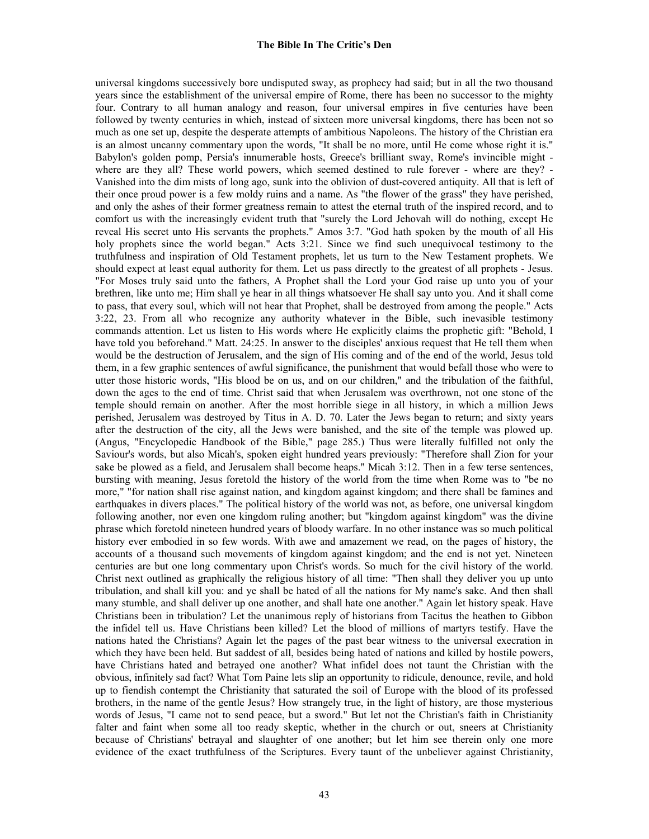universal kingdoms successively bore undisputed sway, as prophecy had said; but in all the two thousand years since the establishment of the universal empire of Rome, there has been no successor to the mighty four. Contrary to all human analogy and reason, four universal empires in five centuries have been followed by twenty centuries in which, instead of sixteen more universal kingdoms, there has been not so much as one set up, despite the desperate attempts of ambitious Napoleons. The history of the Christian era is an almost uncanny commentary upon the words, "It shall be no more, until He come whose right it is." Babylon's golden pomp, Persia's innumerable hosts, Greece's brilliant sway, Rome's invincible might where are they all? These world powers, which seemed destined to rule forever - where are they? - Vanished into the dim mists of long ago, sunk into the oblivion of dust-covered antiquity. All that is left of their once proud power is a few moldy ruins and a name. As "the flower of the grass" they have perished, and only the ashes of their former greatness remain to attest the eternal truth of the inspired record, and to comfort us with the increasingly evident truth that "surely the Lord Jehovah will do nothing, except He reveal His secret unto His servants the prophets." Amos 3:7. "God hath spoken by the mouth of all His holy prophets since the world began." Acts 3:21. Since we find such unequivocal testimony to the truthfulness and inspiration of Old Testament prophets, let us turn to the New Testament prophets. We should expect at least equal authority for them. Let us pass directly to the greatest of all prophets - Jesus. "For Moses truly said unto the fathers, A Prophet shall the Lord your God raise up unto you of your brethren, like unto me; Him shall ye hear in all things whatsoever He shall say unto you. And it shall come to pass, that every soul, which will not hear that Prophet, shall be destroyed from among the people." Acts 3:22, 23. From all who recognize any authority whatever in the Bible, such inevasible testimony commands attention. Let us listen to His words where He explicitly claims the prophetic gift: "Behold, I have told you beforehand." Matt. 24:25. In answer to the disciples' anxious request that He tell them when would be the destruction of Jerusalem, and the sign of His coming and of the end of the world, Jesus told them, in a few graphic sentences of awful significance, the punishment that would befall those who were to utter those historic words, "His blood be on us, and on our children," and the tribulation of the faithful, down the ages to the end of time. Christ said that when Jerusalem was overthrown, not one stone of the temple should remain on another. After the most horrible siege in all history, in which a million Jews perished, Jerusalem was destroyed by Titus in A. D. 70. Later the Jews began to return; and sixty years after the destruction of the city, all the Jews were banished, and the site of the temple was plowed up. (Angus, "Encyclopedic Handbook of the Bible," page 285.) Thus were literally fulfilled not only the Saviour's words, but also Micah's, spoken eight hundred years previously: "Therefore shall Zion for your sake be plowed as a field, and Jerusalem shall become heaps." Micah 3:12. Then in a few terse sentences, bursting with meaning, Jesus foretold the history of the world from the time when Rome was to "be no more," "for nation shall rise against nation, and kingdom against kingdom; and there shall be famines and earthquakes in divers places." The political history of the world was not, as before, one universal kingdom following another, nor even one kingdom ruling another; but "kingdom against kingdom" was the divine phrase which foretold nineteen hundred years of bloody warfare. In no other instance was so much political history ever embodied in so few words. With awe and amazement we read, on the pages of history, the accounts of a thousand such movements of kingdom against kingdom; and the end is not yet. Nineteen centuries are but one long commentary upon Christ's words. So much for the civil history of the world. Christ next outlined as graphically the religious history of all time: "Then shall they deliver you up unto tribulation, and shall kill you: and ye shall be hated of all the nations for My name's sake. And then shall many stumble, and shall deliver up one another, and shall hate one another." Again let history speak. Have Christians been in tribulation? Let the unanimous reply of historians from Tacitus the heathen to Gibbon the infidel tell us. Have Christians been killed? Let the blood of millions of martyrs testify. Have the nations hated the Christians? Again let the pages of the past bear witness to the universal execration in which they have been held. But saddest of all, besides being hated of nations and killed by hostile powers, have Christians hated and betrayed one another? What infidel does not taunt the Christian with the obvious, infinitely sad fact? What Tom Paine lets slip an opportunity to ridicule, denounce, revile, and hold up to fiendish contempt the Christianity that saturated the soil of Europe with the blood of its professed brothers, in the name of the gentle Jesus? How strangely true, in the light of history, are those mysterious words of Jesus, "I came not to send peace, but a sword." But let not the Christian's faith in Christianity falter and faint when some all too ready skeptic, whether in the church or out, sneers at Christianity because of Christians' betrayal and slaughter of one another; but let him see therein only one more evidence of the exact truthfulness of the Scriptures. Every taunt of the unbeliever against Christianity,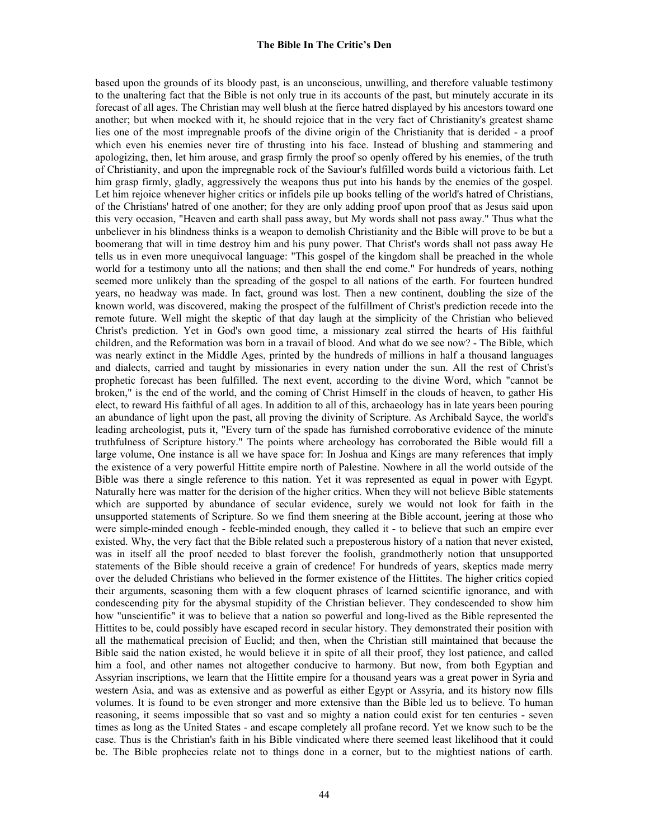based upon the grounds of its bloody past, is an unconscious, unwilling, and therefore valuable testimony to the unaltering fact that the Bible is not only true in its accounts of the past, but minutely accurate in its forecast of all ages. The Christian may well blush at the fierce hatred displayed by his ancestors toward one another; but when mocked with it, he should rejoice that in the very fact of Christianity's greatest shame lies one of the most impregnable proofs of the divine origin of the Christianity that is derided - a proof which even his enemies never tire of thrusting into his face. Instead of blushing and stammering and apologizing, then, let him arouse, and grasp firmly the proof so openly offered by his enemies, of the truth of Christianity, and upon the impregnable rock of the Saviour's fulfilled words build a victorious faith. Let him grasp firmly, gladly, aggressively the weapons thus put into his hands by the enemies of the gospel. Let him rejoice whenever higher critics or infidels pile up books telling of the world's hatred of Christians, of the Christians' hatred of one another; for they are only adding proof upon proof that as Jesus said upon this very occasion, "Heaven and earth shall pass away, but My words shall not pass away." Thus what the unbeliever in his blindness thinks is a weapon to demolish Christianity and the Bible will prove to be but a boomerang that will in time destroy him and his puny power. That Christ's words shall not pass away He tells us in even more unequivocal language: "This gospel of the kingdom shall be preached in the whole world for a testimony unto all the nations; and then shall the end come." For hundreds of years, nothing seemed more unlikely than the spreading of the gospel to all nations of the earth. For fourteen hundred years, no headway was made. In fact, ground was lost. Then a new continent, doubling the size of the known world, was discovered, making the prospect of the fulfillment of Christ's prediction recede into the remote future. Well might the skeptic of that day laugh at the simplicity of the Christian who believed Christ's prediction. Yet in God's own good time, a missionary zeal stirred the hearts of His faithful children, and the Reformation was born in a travail of blood. And what do we see now? - The Bible, which was nearly extinct in the Middle Ages, printed by the hundreds of millions in half a thousand languages and dialects, carried and taught by missionaries in every nation under the sun. All the rest of Christ's prophetic forecast has been fulfilled. The next event, according to the divine Word, which "cannot be broken," is the end of the world, and the coming of Christ Himself in the clouds of heaven, to gather His elect, to reward His faithful of all ages. In addition to all of this, archaeology has in late years been pouring an abundance of light upon the past, all proving the divinity of Scripture. As Archibald Sayce, the world's leading archeologist, puts it, "Every turn of the spade has furnished corroborative evidence of the minute truthfulness of Scripture history." The points where archeology has corroborated the Bible would fill a large volume, One instance is all we have space for: In Joshua and Kings are many references that imply the existence of a very powerful Hittite empire north of Palestine. Nowhere in all the world outside of the Bible was there a single reference to this nation. Yet it was represented as equal in power with Egypt. Naturally here was matter for the derision of the higher critics. When they will not believe Bible statements which are supported by abundance of secular evidence, surely we would not look for faith in the unsupported statements of Scripture. So we find them sneering at the Bible account, jeering at those who were simple-minded enough - feeble-minded enough, they called it - to believe that such an empire ever existed. Why, the very fact that the Bible related such a preposterous history of a nation that never existed, was in itself all the proof needed to blast forever the foolish, grandmotherly notion that unsupported statements of the Bible should receive a grain of credence! For hundreds of years, skeptics made merry over the deluded Christians who believed in the former existence of the Hittites. The higher critics copied their arguments, seasoning them with a few eloquent phrases of learned scientific ignorance, and with condescending pity for the abysmal stupidity of the Christian believer. They condescended to show him how "unscientific" it was to believe that a nation so powerful and long-lived as the Bible represented the Hittites to be, could possibly have escaped record in secular history. They demonstrated their position with all the mathematical precision of Euclid; and then, when the Christian still maintained that because the Bible said the nation existed, he would believe it in spite of all their proof, they lost patience, and called him a fool, and other names not altogether conducive to harmony. But now, from both Egyptian and Assyrian inscriptions, we learn that the Hittite empire for a thousand years was a great power in Syria and western Asia, and was as extensive and as powerful as either Egypt or Assyria, and its history now fills volumes. It is found to be even stronger and more extensive than the Bible led us to believe. To human reasoning, it seems impossible that so vast and so mighty a nation could exist for ten centuries - seven times as long as the United States - and escape completely all profane record. Yet we know such to be the case. Thus is the Christian's faith in his Bible vindicated where there seemed least likelihood that it could be. The Bible prophecies relate not to things done in a corner, but to the mightiest nations of earth.